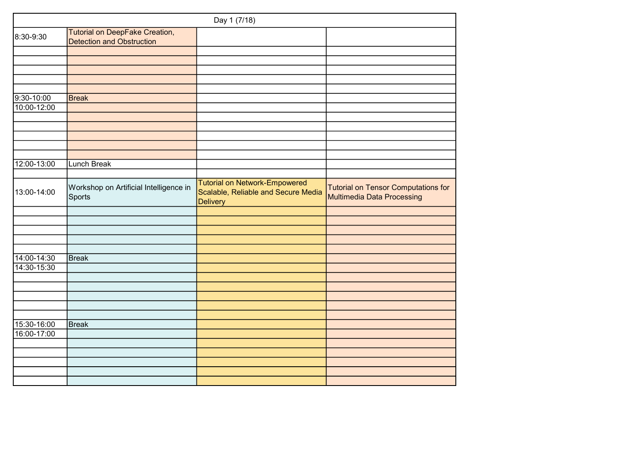|                |                                                                    | Day 1 (7/18)                                                                                   |                                                                   |
|----------------|--------------------------------------------------------------------|------------------------------------------------------------------------------------------------|-------------------------------------------------------------------|
| 8:30-9:30      | Tutorial on DeepFake Creation,<br><b>Detection and Obstruction</b> |                                                                                                |                                                                   |
|                |                                                                    |                                                                                                |                                                                   |
|                |                                                                    |                                                                                                |                                                                   |
|                |                                                                    |                                                                                                |                                                                   |
|                |                                                                    |                                                                                                |                                                                   |
|                |                                                                    |                                                                                                |                                                                   |
| $9:30 - 10:00$ | <b>Break</b>                                                       |                                                                                                |                                                                   |
| 10:00-12:00    |                                                                    |                                                                                                |                                                                   |
|                |                                                                    |                                                                                                |                                                                   |
|                |                                                                    |                                                                                                |                                                                   |
|                |                                                                    |                                                                                                |                                                                   |
|                |                                                                    |                                                                                                |                                                                   |
|                |                                                                    |                                                                                                |                                                                   |
| 12:00-13:00    | <b>Lunch Break</b>                                                 |                                                                                                |                                                                   |
|                |                                                                    |                                                                                                |                                                                   |
| 13:00-14:00    | Workshop on Artificial Intelligence in<br>Sports                   | <b>Tutorial on Network-Empowered</b><br>Scalable, Reliable and Secure Media<br><b>Delivery</b> | Tutorial on Tensor Computations for<br>Multimedia Data Processing |
|                |                                                                    |                                                                                                |                                                                   |
|                |                                                                    |                                                                                                |                                                                   |
|                |                                                                    |                                                                                                |                                                                   |
|                |                                                                    |                                                                                                |                                                                   |
|                |                                                                    |                                                                                                |                                                                   |
| 14:00-14:30    | Break                                                              |                                                                                                |                                                                   |
| 14:30-15:30    |                                                                    |                                                                                                |                                                                   |
|                |                                                                    |                                                                                                |                                                                   |
|                |                                                                    |                                                                                                |                                                                   |
|                |                                                                    |                                                                                                |                                                                   |
|                |                                                                    |                                                                                                |                                                                   |
|                |                                                                    |                                                                                                |                                                                   |
| 15:30-16:00    | Break                                                              |                                                                                                |                                                                   |
| 16:00-17:00    |                                                                    |                                                                                                |                                                                   |
|                |                                                                    |                                                                                                |                                                                   |
|                |                                                                    |                                                                                                |                                                                   |
|                |                                                                    |                                                                                                |                                                                   |
|                |                                                                    |                                                                                                |                                                                   |
|                |                                                                    |                                                                                                |                                                                   |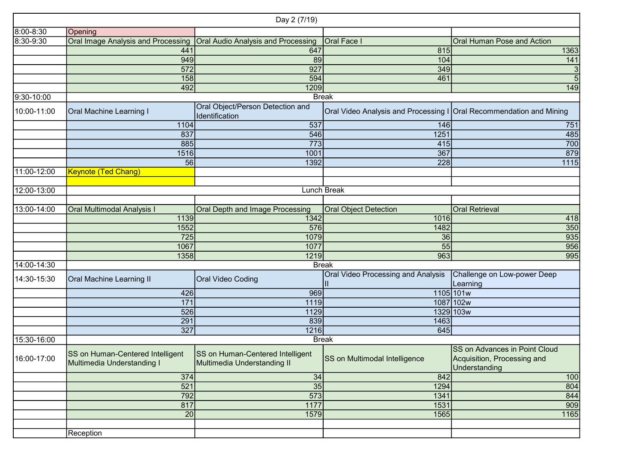|             |                                                                                      | Day 2 (7/19)                                                    |                                                                       |                                                                                      |  |  |  |  |
|-------------|--------------------------------------------------------------------------------------|-----------------------------------------------------------------|-----------------------------------------------------------------------|--------------------------------------------------------------------------------------|--|--|--|--|
| 8:00-8:30   | Opening                                                                              |                                                                 |                                                                       |                                                                                      |  |  |  |  |
| 8:30-9:30   | <b>Oral Image Analysis and Processing</b>                                            | <b>Oral Audio Analysis and Processing</b>                       | Oral Face                                                             | <b>Oral Human Pose and Action</b>                                                    |  |  |  |  |
|             | 44 <sup>′</sup>                                                                      | 647                                                             | 815                                                                   | 1363                                                                                 |  |  |  |  |
|             | 949                                                                                  | 89                                                              | 104                                                                   | 141                                                                                  |  |  |  |  |
|             | 572                                                                                  | 927                                                             | 349                                                                   |                                                                                      |  |  |  |  |
|             | 158                                                                                  | 594                                                             | 461                                                                   |                                                                                      |  |  |  |  |
|             | 492                                                                                  | 1209                                                            |                                                                       | 149                                                                                  |  |  |  |  |
| 9:30-10:00  |                                                                                      |                                                                 | <b>Break</b>                                                          |                                                                                      |  |  |  |  |
| 10:00-11:00 | Oral Object/Person Detection and<br><b>Oral Machine Learning I</b><br>Identification |                                                                 | Oral Video Analysis and Processing I   Oral Recommendation and Mining |                                                                                      |  |  |  |  |
|             | 1104                                                                                 | 537                                                             | 146                                                                   | 751                                                                                  |  |  |  |  |
|             | 837                                                                                  | 546                                                             | 1251                                                                  | 485                                                                                  |  |  |  |  |
|             | 885                                                                                  | 773                                                             | 415                                                                   | 700                                                                                  |  |  |  |  |
|             | 1516                                                                                 | 1001                                                            | 367                                                                   | 879                                                                                  |  |  |  |  |
|             | 56                                                                                   | 1392                                                            | 228                                                                   | 1115                                                                                 |  |  |  |  |
| 11:00-12:00 | <b>Keynote (Ted Chang)</b>                                                           |                                                                 |                                                                       |                                                                                      |  |  |  |  |
|             |                                                                                      |                                                                 |                                                                       |                                                                                      |  |  |  |  |
| 12:00-13:00 |                                                                                      |                                                                 | Lunch Break                                                           |                                                                                      |  |  |  |  |
|             |                                                                                      |                                                                 |                                                                       |                                                                                      |  |  |  |  |
| 13:00-14:00 | <b>Oral Multimodal Analysis I</b>                                                    | Oral Depth and Image Processing                                 | <b>Oral Object Detection</b>                                          | <b>Oral Retrieval</b>                                                                |  |  |  |  |
|             | 1139                                                                                 | 1342                                                            | 1016                                                                  | 418                                                                                  |  |  |  |  |
|             | 1552                                                                                 | 576                                                             | 1482                                                                  | 350                                                                                  |  |  |  |  |
|             | 725                                                                                  | 1079                                                            | 36                                                                    | 935                                                                                  |  |  |  |  |
|             | 1067                                                                                 | 1077                                                            | 55                                                                    | 956                                                                                  |  |  |  |  |
|             | 1358                                                                                 | 1219                                                            | 963                                                                   | 995                                                                                  |  |  |  |  |
| 14:00-14:30 |                                                                                      |                                                                 | <b>Break</b>                                                          |                                                                                      |  |  |  |  |
| 14:30-15:30 | <b>Oral Machine Learning II</b>                                                      | Oral Video Coding                                               | Oral Video Processing and Analysis                                    | Challenge on Low-power Deep<br>Learning                                              |  |  |  |  |
|             | 426                                                                                  | 969                                                             |                                                                       | 1105 101w                                                                            |  |  |  |  |
|             | 171                                                                                  | 1119                                                            |                                                                       | 1087 102w                                                                            |  |  |  |  |
|             | 526                                                                                  | 1129                                                            |                                                                       | 1329 103w                                                                            |  |  |  |  |
|             | 291                                                                                  | 839                                                             | 1463                                                                  |                                                                                      |  |  |  |  |
|             | 327                                                                                  | 1216                                                            | 645                                                                   |                                                                                      |  |  |  |  |
| 15:30-16:00 |                                                                                      | <b>Break</b>                                                    |                                                                       |                                                                                      |  |  |  |  |
| 16:00-17:00 | SS on Human-Centered Intelligent<br>Multimedia Understanding I                       | SS on Human-Centered Intelligent<br>Multimedia Understanding II | SS on Multimodal Intelligence                                         | <b>SS on Advances in Point Cloud</b><br>Acquisition, Processing and<br>Understanding |  |  |  |  |
|             | 374                                                                                  | 34                                                              | 842                                                                   | 100                                                                                  |  |  |  |  |
|             | 521                                                                                  | $\overline{35}$                                                 | 1294                                                                  | 804                                                                                  |  |  |  |  |
|             | 792                                                                                  | 573                                                             | 1341                                                                  | 844                                                                                  |  |  |  |  |
|             | 817                                                                                  | 1177                                                            | 1531                                                                  | 909                                                                                  |  |  |  |  |
|             | 20                                                                                   | 1579                                                            | 1565                                                                  | 1165                                                                                 |  |  |  |  |
|             |                                                                                      |                                                                 |                                                                       |                                                                                      |  |  |  |  |
|             | Reception                                                                            |                                                                 |                                                                       |                                                                                      |  |  |  |  |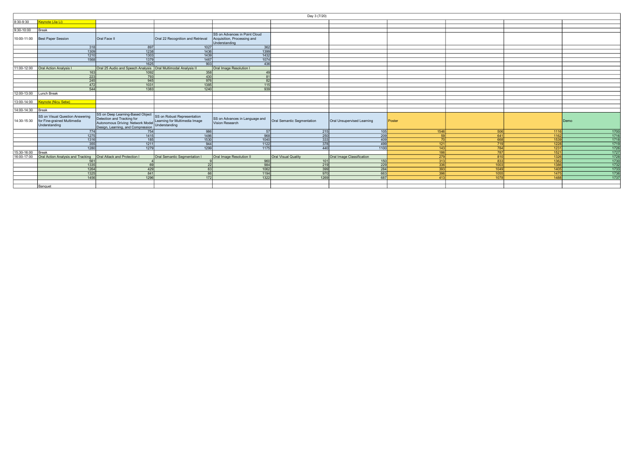|                   | Day 3 (7/20)                                                                    |                                                                                                                                          |                                                                               |                                                                               |                            |                            |        |      |      |      |
|-------------------|---------------------------------------------------------------------------------|------------------------------------------------------------------------------------------------------------------------------------------|-------------------------------------------------------------------------------|-------------------------------------------------------------------------------|----------------------------|----------------------------|--------|------|------|------|
| 8:30-9:30         | Keynote (Jia Li)                                                                |                                                                                                                                          |                                                                               |                                                                               |                            |                            |        |      |      |      |
|                   |                                                                                 |                                                                                                                                          |                                                                               |                                                                               |                            |                            |        |      |      |      |
| $9:30 - 10:00$    | Break                                                                           |                                                                                                                                          |                                                                               |                                                                               |                            |                            |        |      |      |      |
|                   | 10:00-11:00 Best Paper Session                                                  | Oral Face II                                                                                                                             | Oral 22 Recognition and Retrieval                                             | SS on Advances in Point Cloud<br>Acquisition, Processing and<br>Understanding |                            |                            |        |      |      |      |
|                   | 318                                                                             | 897                                                                                                                                      | 1027                                                                          | 362                                                                           |                            |                            |        |      |      |      |
|                   | 1309                                                                            | 1238                                                                                                                                     | 1436                                                                          | 1399                                                                          |                            |                            |        |      |      |      |
|                   | 1210                                                                            | 1303                                                                                                                                     | 1439                                                                          | 1432                                                                          |                            |                            |        |      |      |      |
|                   | 1568                                                                            | 1379                                                                                                                                     | 1467                                                                          | 1074                                                                          |                            |                            |        |      |      |      |
|                   |                                                                                 | 1625                                                                                                                                     | 903                                                                           | 436                                                                           |                            |                            |        |      |      |      |
| 11:00-12:00       | <b>Oral Action Analysis I</b>                                                   | Oral 25 Audio and Speech Analysis   Oral Multimodal Analysis II                                                                          |                                                                               | Oral Image Resolution I                                                       |                            |                            |        |      |      |      |
|                   | 163                                                                             | 1092                                                                                                                                     | 358                                                                           | 49                                                                            |                            |                            |        |      |      |      |
|                   | 223                                                                             | 793                                                                                                                                      | 430                                                                           | 81                                                                            |                            |                            |        |      |      |      |
|                   | 245                                                                             | 945                                                                                                                                      | 976                                                                           | 82                                                                            |                            |                            |        |      |      |      |
|                   | 472                                                                             | 1031                                                                                                                                     | 1385                                                                          | 115                                                                           |                            |                            |        |      |      |      |
|                   | 544                                                                             | 1383                                                                                                                                     | 1240                                                                          | 939                                                                           |                            |                            |        |      |      |      |
| 12:00-13:00       | Lunch Break                                                                     |                                                                                                                                          |                                                                               |                                                                               |                            |                            |        |      |      |      |
|                   |                                                                                 |                                                                                                                                          |                                                                               |                                                                               |                            |                            |        |      |      |      |
| 13:00-14:00       | <b>Keynote (Nicu Sebe)</b>                                                      |                                                                                                                                          |                                                                               |                                                                               |                            |                            |        |      |      |      |
|                   |                                                                                 |                                                                                                                                          |                                                                               |                                                                               |                            |                            |        |      |      |      |
| 14:00-14:30 Break |                                                                                 |                                                                                                                                          |                                                                               |                                                                               |                            |                            |        |      |      |      |
| 14:30-15:30       | SS on Visual Question Answering<br>for Fine-grained Multimedia<br>Understanding | SS on Deep Learning-Based Object<br>Detection and Tracking for<br>Autonomous Driving: Network Model<br>Design, Learning, and Compression | SS on Robust Representation<br>Learning for Multimedia Image<br>Understanding | SS on Advances in Language and<br>Vision Research                             | Oral Semantic Segmentation | Oral Unsupervised Learning | Poster |      |      | Demo |
|                   | 774                                                                             | 754                                                                                                                                      | 986                                                                           | -57 l                                                                         | 215                        | 105                        | 1546   | 506  | 1116 | 1700 |
|                   | 1275                                                                            | 1415                                                                                                                                     | 1486                                                                          | 968                                                                           | 250                        | 209                        | 50     | 641  | 1162 | 1716 |
|                   | 1316                                                                            | 185                                                                                                                                      | 1530                                                                          | 1040                                                                          | 333                        | 409                        |        | 668  | 1539 | 1718 |
|                   | 355                                                                             | 1211                                                                                                                                     | 944                                                                           | 1122                                                                          | 378                        | 499                        | 121    | 719  | 1228 | 1719 |
|                   | 1280                                                                            | 1279                                                                                                                                     | 1299                                                                          | 1175                                                                          | 440                        | 1100                       | 143    | 784  | 1231 | 1726 |
| 15:30-16:00       | Break                                                                           |                                                                                                                                          |                                                                               |                                                                               |                            |                            | 186    | 787  | 1521 | 1727 |
| 16:00-17:00       | Oral Action Analysis and Tracking                                               | Oral Attack and Protection I                                                                                                             | Oral Semantic Segmentation I                                                  | Oral Image Resolution II                                                      | Oral Visual Quality        | Oral Image Classification  | 279    | 810  | 1326 | 1728 |
|                   | 561                                                                             |                                                                                                                                          |                                                                               | 960                                                                           | 101                        | 150                        | 313    | 833  | 1362 | 1730 |
|                   | 1335                                                                            | 69                                                                                                                                       | 22                                                                            | 984                                                                           | $\overline{219}$           | $\overline{229}$           | 336    | 1003 | 1386 | 1732 |
|                   | 1264                                                                            | 429                                                                                                                                      | 63                                                                            | 1062                                                                          | 399                        | 284                        | 393    | 1049 | 1405 | 1733 |
|                   | 1325                                                                            | 841                                                                                                                                      | 66                                                                            | 1194                                                                          | 970                        | 663                        | 396    | 1055 | 1475 | 1736 |
|                   | 1456                                                                            | 1296                                                                                                                                     | 172                                                                           | 1322                                                                          | 1269                       | 687                        | 413    | 1078 | 1488 | 1737 |
|                   |                                                                                 |                                                                                                                                          |                                                                               |                                                                               |                            |                            |        |      |      |      |
|                   | Banquet                                                                         |                                                                                                                                          |                                                                               |                                                                               |                            |                            |        |      |      |      |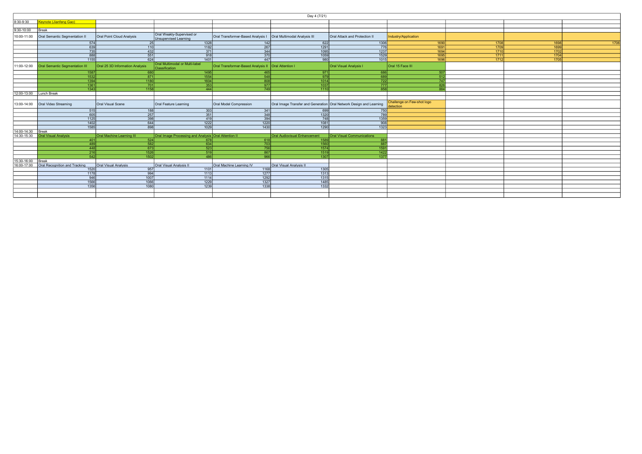| Day 4 (7/21)            |                                       |                                 |                                                      |                                                       |                                                                     |                                   |                                         |      |      |      |
|-------------------------|---------------------------------------|---------------------------------|------------------------------------------------------|-------------------------------------------------------|---------------------------------------------------------------------|-----------------------------------|-----------------------------------------|------|------|------|
| 8:30-9:30               | <b>Keynote (Jianfeng Gao)</b>         |                                 |                                                      |                                                       |                                                                     |                                   |                                         |      |      |      |
|                         |                                       |                                 |                                                      |                                                       |                                                                     |                                   |                                         |      |      |      |
| 9:30-10:00              | Break                                 |                                 |                                                      |                                                       |                                                                     |                                   |                                         |      |      |      |
| 10:00-11:00             | Oral Semantic Segmentation II         | Oral Point Cloud Analysis       | Oral Weakly-Supervised or<br>Unsupervised Learning   | Oral Transformer-Based Analysis I                     | Oral Multimodal Analysis III                                        | Oral Attack and Protection II     | Industry/Application                    |      |      |      |
|                         | 574                                   | 25                              | 1328                                                 | 142                                                   | 622                                                                 | 1306                              | 1690                                    | 1708 | 1698 | 1706 |
|                         | 639                                   | 110                             | $\frac{1182}{ }$                                     | 267                                                   | $\boxed{1291}$                                                      | 776                               | 169 <sup>°</sup>                        | 1709 | 1699 |      |
|                         | 735                                   | 432                             | 371                                                  | 344                                                   | 1095                                                                | 1237                              | 1694                                    | 1710 | 1702 |      |
|                         | 888                                   | 551                             | 918                                                  | 370                                                   | 1059                                                                | 1529                              | 1695                                    | 1711 | 1704 |      |
|                         | 1155                                  | 624                             | 1401                                                 | 447                                                   | 980                                                                 | $\boxed{1015}$                    | 1696                                    | 1712 | 1705 |      |
| 11:00-12:00             | <b>Oral Semantic Segmentation III</b> | Oral 25 3D Information Analysis | Oral Multimodal or Multi-label<br>Classification     | Oral Transformer-Based Analysis II   Oral Attention I |                                                                     | Oral Visual Analysis I            | Oral 15 Face III                        |      |      |      |
|                         | 1587                                  | 680                             | 7495                                                 | 465                                                   | 971                                                                 | 686                               | 50                                      |      |      |      |
|                         | 1532                                  | 871                             | 1554                                                 | 548                                                   | $\overline{979}$                                                    | 689                               | 51                                      |      |      |      |
|                         | 1394                                  | 1180                            | 1604                                                 | 808                                                   | 1014                                                                | 722                               | 74                                      |      |      |      |
|                         | 1361                                  | 701                             | 353                                                  | 977                                                   | $\boxed{1037}$                                                      | 777                               | 82                                      |      |      |      |
|                         | 1343                                  | 1158                            | 444                                                  | 749                                                   | 1110                                                                | 858                               | <b>R</b>                                |      |      |      |
| 12:00-13:00 Lunch Break |                                       |                                 |                                                      |                                                       |                                                                     |                                   |                                         |      |      |      |
|                         |                                       |                                 |                                                      |                                                       |                                                                     |                                   |                                         |      |      |      |
| 13:00-14:00             | Oral Video Streaming                  | Oral Visual Scene               | Oral Feature Learning                                | Oral Model Compression                                | Oral Image Transfer and Generation Oral Network Design and Learning |                                   | Challenge on Few-shot logo<br>detection |      |      |      |
|                         | 515                                   | 188                             | 303                                                  | 341                                                   | 699                                                                 | 750                               |                                         |      |      |      |
|                         | 605                                   | 257                             | 351                                                  | 348                                                   | $\frac{1320}{ }$                                                    | 789                               |                                         |      |      |      |
|                         | 1125                                  | 398                             | 419                                                  | 394                                                   | 748                                                                 | 1359                              |                                         |      |      |      |
|                         | 1402                                  | 644                             | 1222                                                 | 1220                                                  | 1081                                                                | 908                               |                                         |      |      |      |
|                         | 1585                                  | 898                             | 1029                                                 | 1430                                                  | 1290                                                                | 1323                              |                                         |      |      |      |
| 14:00-14:30             | Break                                 |                                 |                                                      |                                                       |                                                                     |                                   |                                         |      |      |      |
| 14:30-15:30             | <b>Oral Visual Analysis</b>           | Oral Machine Learning III       | Oral Image Processing and Analysis Oral Attention II |                                                       | <b>Oral Audiovisual Enhancement</b>                                 | <b>Oral Visual Communications</b> |                                         |      |      |      |
|                         | 401                                   | 524                             | 678I                                                 | 618                                                   | <b>1589</b>                                                         | 881                               |                                         |      |      |      |
|                         | 489                                   | 582                             | 634                                                  | 703                                                   | 1560                                                                | 887                               |                                         |      |      |      |
|                         | 448                                   | 673                             | 523                                                  | 756                                                   | 1574                                                                | 1591                              |                                         |      |      |      |
|                         | 216                                   | 1526                            | 519                                                  | 867                                                   | 1519                                                                | 1422                              |                                         |      |      |      |
|                         | 542                                   | 1502                            | 486                                                  | 966                                                   | 1307                                                                | 1377                              |                                         |      |      |      |
| 15:30-16:00             | Break                                 |                                 |                                                      |                                                       |                                                                     |                                   |                                         |      |      |      |
| 16:00-17:00             | Oral Recognition and Tracking         | <b>Oral Visual Analysis</b>     | Oral Visual Analysis II                              | Oral Machine Learning IV                              | Oral Visual Analysis II                                             |                                   |                                         |      |      |      |
|                         | 1520                                  | 957                             | 1101                                                 | 1168                                                  | 1305                                                                |                                   |                                         |      |      |      |
|                         | 1178                                  | 994                             | 1113                                                 | 1277                                                  | 1313                                                                |                                   |                                         |      |      |      |
|                         | 946                                   | 1007                            | 1114                                                 | 1292                                                  | 1315                                                                |                                   |                                         |      |      |      |
|                         | 1566                                  | 1066                            | 1229                                                 | 1327                                                  | 1485                                                                |                                   |                                         |      |      |      |
|                         | 1356                                  | 1080                            | 1239                                                 | 1338                                                  | 1332                                                                |                                   |                                         |      |      |      |
|                         |                                       |                                 |                                                      |                                                       |                                                                     |                                   |                                         |      |      |      |
|                         |                                       |                                 |                                                      |                                                       |                                                                     |                                   |                                         |      |      |      |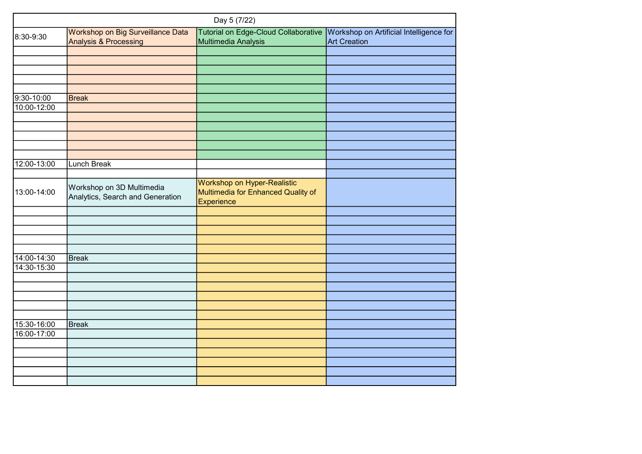|             |                                                                       | Day 5 (7/22)                                                                    |                                                                |  |  |
|-------------|-----------------------------------------------------------------------|---------------------------------------------------------------------------------|----------------------------------------------------------------|--|--|
| 8:30-9:30   | Workshop on Big Surveillance Data<br><b>Analysis &amp; Processing</b> | Tutorial on Edge-Cloud Collaborative<br>Multimedia Analysis                     | Workshop on Artificial Intelligence for<br><b>Art Creation</b> |  |  |
|             |                                                                       |                                                                                 |                                                                |  |  |
|             |                                                                       |                                                                                 |                                                                |  |  |
|             |                                                                       |                                                                                 |                                                                |  |  |
|             |                                                                       |                                                                                 |                                                                |  |  |
|             |                                                                       |                                                                                 |                                                                |  |  |
| 9:30-10:00  | <b>Break</b>                                                          |                                                                                 |                                                                |  |  |
| 10:00-12:00 |                                                                       |                                                                                 |                                                                |  |  |
|             |                                                                       |                                                                                 |                                                                |  |  |
|             |                                                                       |                                                                                 |                                                                |  |  |
|             |                                                                       |                                                                                 |                                                                |  |  |
|             |                                                                       |                                                                                 |                                                                |  |  |
|             |                                                                       |                                                                                 |                                                                |  |  |
| 12:00-13:00 | <b>Lunch Break</b>                                                    |                                                                                 |                                                                |  |  |
|             |                                                                       |                                                                                 |                                                                |  |  |
| 13:00-14:00 | Workshop on 3D Multimedia<br>Analytics, Search and Generation         | Workshop on Hyper-Realistic<br>Multimedia for Enhanced Quality of<br>Experience |                                                                |  |  |
|             |                                                                       |                                                                                 |                                                                |  |  |
|             |                                                                       |                                                                                 |                                                                |  |  |
|             |                                                                       |                                                                                 |                                                                |  |  |
|             |                                                                       |                                                                                 |                                                                |  |  |
|             |                                                                       |                                                                                 |                                                                |  |  |
| 14:00-14:30 | Break                                                                 |                                                                                 |                                                                |  |  |
| 14:30-15:30 |                                                                       |                                                                                 |                                                                |  |  |
|             |                                                                       |                                                                                 |                                                                |  |  |
|             |                                                                       |                                                                                 |                                                                |  |  |
|             |                                                                       |                                                                                 |                                                                |  |  |
|             |                                                                       |                                                                                 |                                                                |  |  |
|             |                                                                       |                                                                                 |                                                                |  |  |
| 15:30-16:00 | Break                                                                 |                                                                                 |                                                                |  |  |
| 16:00-17:00 |                                                                       |                                                                                 |                                                                |  |  |
|             |                                                                       |                                                                                 |                                                                |  |  |
|             |                                                                       |                                                                                 |                                                                |  |  |
|             |                                                                       |                                                                                 |                                                                |  |  |
|             |                                                                       |                                                                                 |                                                                |  |  |
|             |                                                                       |                                                                                 |                                                                |  |  |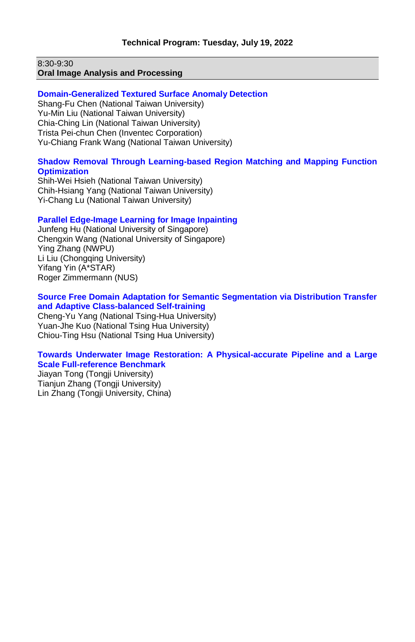8:30-9:30 **Oral Image Analysis and Processing**

#### **Domain-Generalized Textured Surface Anomaly Detection**

Shang-Fu Chen (National Taiwan University) Yu-Min Liu (National Taiwan University) Chia-Ching Lin (National Taiwan University) Trista Pei-chun Chen (Inventec Corporation) Yu-Chiang Frank Wang (National Taiwan University)

# **Shadow Removal Through Learning-based Region Matching and Mapping Function Optimization**

Shih-Wei Hsieh (National Taiwan University) Chih-Hsiang Yang (National Taiwan University) Yi-Chang Lu (National Taiwan University)

### **Parallel Edge-Image Learning for Image Inpainting**

Junfeng Hu (National University of Singapore) Chengxin Wang (National University of Singapore) Ying Zhang (NWPU) Li Liu (Chongqing University) Yifang Yin (A\*STAR) Roger Zimmermann (NUS)

#### **Source Free Domain Adaptation for Semantic Segmentation via Distribution Transfer and Adaptive Class-balanced Self-training**

Cheng-Yu Yang (National Tsing-Hua University) Yuan-Jhe Kuo (National Tsing Hua University) Chiou-Ting Hsu (National Tsing Hua University)

#### **Towards Underwater Image Restoration: A Physical-accurate Pipeline and a Large Scale Full-reference Benchmark**

Jiayan Tong (Tongji University) Tianjun Zhang (Tongji University) Lin Zhang (Tongji University, China)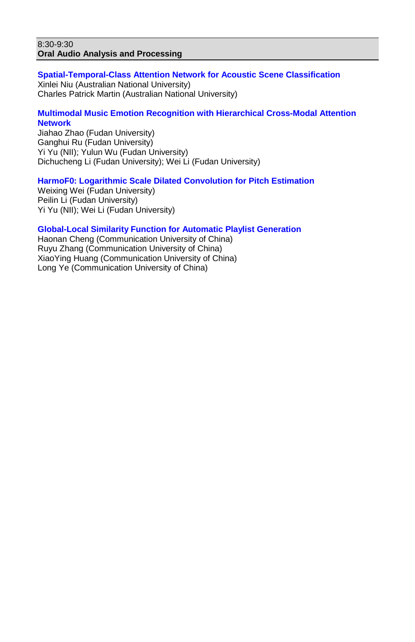#### 8:30-9:30 **Oral Audio Analysis and Processing**

**Spatial-Temporal-Class Attention Network for Acoustic Scene Classification** Xinlei Niu (Australian National University) Charles Patrick Martin (Australian National University)

# **Multimodal Music Emotion Recognition with Hierarchical Cross-Modal Attention Network**

Jiahao Zhao (Fudan University) Ganghui Ru (Fudan University) Yi Yu (NII); Yulun Wu (Fudan University) Dichucheng Li (Fudan University); Wei Li (Fudan University)

### **HarmoF0: Logarithmic Scale Dilated Convolution for Pitch Estimation**

Weixing Wei (Fudan University) Peilin Li (Fudan University) Yi Yu (NII); Wei Li (Fudan University)

#### **Global-Local Similarity Function for Automatic Playlist Generation**

Haonan Cheng (Communication University of China) Ruyu Zhang (Communication University of China) XiaoYing Huang (Communication University of China) Long Ye (Communication University of China)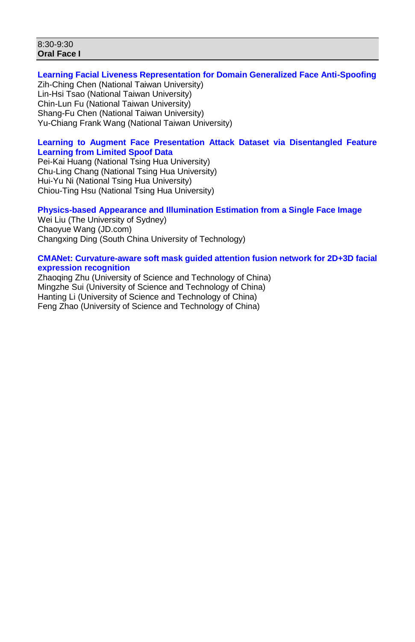#### 8:30-9:30 **Oral Face I**

#### **Learning Facial Liveness Representation for Domain Generalized Face Anti-Spoofing** Zih-Ching Chen (National Taiwan University) Lin-Hsi Tsao (National Taiwan University) Chin-Lun Fu (National Taiwan University) Shang-Fu Chen (National Taiwan University) Yu-Chiang Frank Wang (National Taiwan University)

# **Learning to Augment Face Presentation Attack Dataset via Disentangled Feature Learning from Limited Spoof Data**

Pei-Kai Huang (National Tsing Hua University) Chu-Ling Chang (National Tsing Hua University) Hui-Yu Ni (National Tsing Hua University) Chiou-Ting Hsu (National Tsing Hua University)

#### **Physics-based Appearance and Illumination Estimation from a Single Face Image** Wei Liu (The University of Sydney)

Chaoyue Wang (JD.com) Changxing Ding (South China University of Technology)

#### **CMANet: Curvature-aware soft mask guided attention fusion network for 2D+3D facial expression recognition**

Zhaoqing Zhu (University of Science and Technology of China) Mingzhe Sui (University of Science and Technology of China) Hanting Li (University of Science and Technology of China) Feng Zhao (University of Science and Technology of China)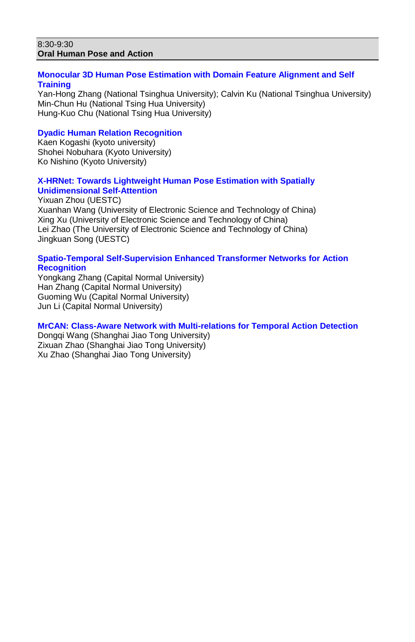#### 8:30-9:30 **Oral Human Pose and Action**

## **Monocular 3D Human Pose Estimation with Domain Feature Alignment and Self Training**

Yan-Hong Zhang (National Tsinghua University); Calvin Ku (National Tsinghua University) Min-Chun Hu (National Tsing Hua University) Hung-Kuo Chu (National Tsing Hua University)

## **Dyadic Human Relation Recognition**

Kaen Kogashi (kyoto university) Shohei Nobuhara (Kyoto University) Ko Nishino (Kyoto University)

### **X-HRNet: Towards Lightweight Human Pose Estimation with Spatially Unidimensional Self-Attention**

Yixuan Zhou (UESTC) Xuanhan Wang (University of Electronic Science and Technology of China) Xing Xu (University of Electronic Science and Technology of China) Lei Zhao (The University of Electronic Science and Technology of China) Jingkuan Song (UESTC)

## **Spatio-Temporal Self-Supervision Enhanced Transformer Networks for Action Recognition**

Yongkang Zhang (Capital Normal University) Han Zhang (Capital Normal University) Guoming Wu (Capital Normal University) Jun Li (Capital Normal University)

# **MrCAN: Class-Aware Network with Multi-relations for Temporal Action Detection**

Dongqi Wang (Shanghai Jiao Tong University) Zixuan Zhao (Shanghai Jiao Tong University) Xu Zhao (Shanghai Jiao Tong University)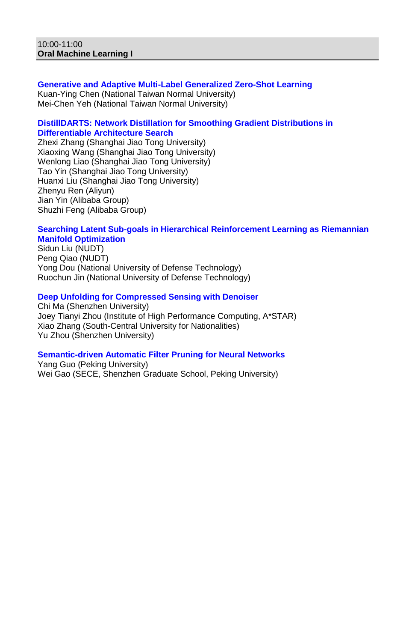#### 10:00-11:00 **Oral Machine Learning I**

**Generative and Adaptive Multi-Label Generalized Zero-Shot Learning** Kuan-Ying Chen (National Taiwan Normal University) Mei-Chen Yeh (National Taiwan Normal University)

## **DistillDARTS: Network Distillation for Smoothing Gradient Distributions in Differentiable Architecture Search**

Zhexi Zhang (Shanghai Jiao Tong University) Xiaoxing Wang (Shanghai Jiao Tong University) Wenlong Liao (Shanghai Jiao Tong University) Tao Yin (Shanghai Jiao Tong University) Huanxi Liu (Shanghai Jiao Tong University) Zhenyu Ren (Aliyun) Jian Yin (Alibaba Group) Shuzhi Feng (Alibaba Group)

#### **Searching Latent Sub-goals in Hierarchical Reinforcement Learning as Riemannian Manifold Optimization**

Sidun Liu (NUDT) Peng Qiao (NUDT) Yong Dou (National University of Defense Technology) Ruochun Jin (National University of Defense Technology)

### **Deep Unfolding for Compressed Sensing with Denoiser**

Chi Ma (Shenzhen University) Joey Tianyi Zhou (Institute of High Performance Computing, A\*STAR) Xiao Zhang (South-Central University for Nationalities) Yu Zhou (Shenzhen University)

### **Semantic-driven Automatic Filter Pruning for Neural Networks**

Yang Guo (Peking University) Wei Gao (SECE, Shenzhen Graduate School, Peking University)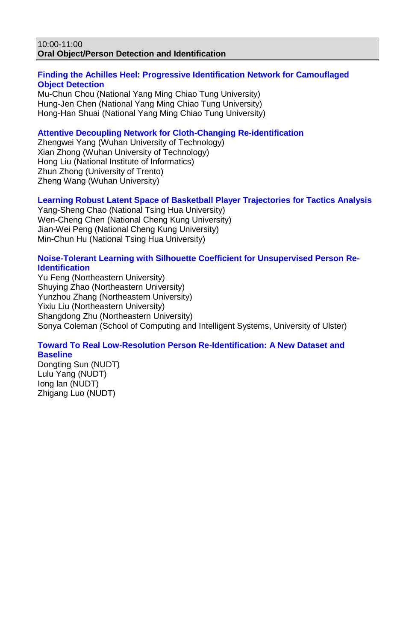#### 10:00-11:00 **Oral Object/Person Detection and Identification**

## **Finding the Achilles Heel: Progressive Identification Network for Camouflaged Object Detection**

Mu-Chun Chou (National Yang Ming Chiao Tung University) Hung-Jen Chen (National Yang Ming Chiao Tung University) Hong-Han Shuai (National Yang Ming Chiao Tung University)

# **Attentive Decoupling Network for Cloth-Changing Re-identification**

Zhengwei Yang (Wuhan University of Technology) Xian Zhong (Wuhan University of Technology) Hong Liu (National Institute of Informatics) Zhun Zhong (University of Trento) Zheng Wang (Wuhan University)

# **Learning Robust Latent Space of Basketball Player Trajectories for Tactics Analysis**

Yang-Sheng Chao (National Tsing Hua University) Wen-Cheng Chen (National Cheng Kung University) Jian-Wei Peng (National Cheng Kung University) Min-Chun Hu (National Tsing Hua University)

### **Noise-Tolerant Learning with Silhouette Coefficient for Unsupervised Person Re-Identification**

Yu Feng (Northeastern University) Shuying Zhao (Northeastern University) Yunzhou Zhang (Northeastern University) Yixiu Liu (Northeastern University) Shangdong Zhu (Northeastern University) Sonya Coleman (School of Computing and Intelligent Systems, University of Ulster)

#### **Toward To Real Low-Resolution Person Re-Identification: A New Dataset and Baseline**

Dongting Sun (NUDT) Lulu Yang (NUDT) Iong lan (NUDT) Zhigang Luo (NUDT)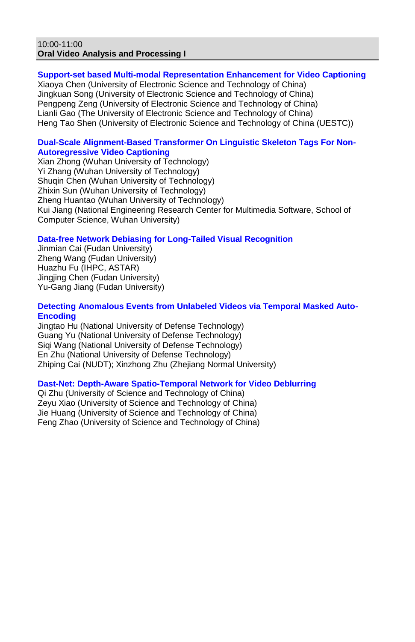### 10:00-11:00 **Oral Video Analysis and Processing I**

## **Support-set based Multi-modal Representation Enhancement for Video Captioning**

Xiaoya Chen (University of Electronic Science and Technology of China) Jingkuan Song (University of Electronic Science and Technology of China) Pengpeng Zeng (University of Electronic Science and Technology of China) Lianli Gao (The University of Electronic Science and Technology of China) Heng Tao Shen (University of Electronic Science and Technology of China (UESTC))

## **Dual-Scale Alignment-Based Transformer On Linguistic Skeleton Tags For Non-Autoregressive Video Captioning**

Xian Zhong (Wuhan University of Technology) Yi Zhang (Wuhan University of Technology) Shuqin Chen (Wuhan University of Technology) Zhixin Sun (Wuhan University of Technology) Zheng Huantao (Wuhan University of Technology) Kui Jiang (National Engineering Research Center for Multimedia Software, School of Computer Science, Wuhan University)

# **Data-free Network Debiasing for Long-Tailed Visual Recognition**

Jinmian Cai (Fudan University) Zheng Wang (Fudan University) Huazhu Fu (IHPC, ASTAR) Jingjing Chen (Fudan University) Yu-Gang Jiang (Fudan University)

# **Detecting Anomalous Events from Unlabeled Videos via Temporal Masked Auto-Encoding**

Jingtao Hu (National University of Defense Technology) Guang Yu (National University of Defense Technology) Siqi Wang (National University of Defense Technology) En Zhu (National University of Defense Technology) Zhiping Cai (NUDT); Xinzhong Zhu (Zhejiang Normal University)

# **Dast-Net: Depth-Aware Spatio-Temporal Network for Video Deblurring**

Qi Zhu (University of Science and Technology of China) Zeyu Xiao (University of Science and Technology of China) Jie Huang (University of Science and Technology of China) Feng Zhao (University of Science and Technology of China)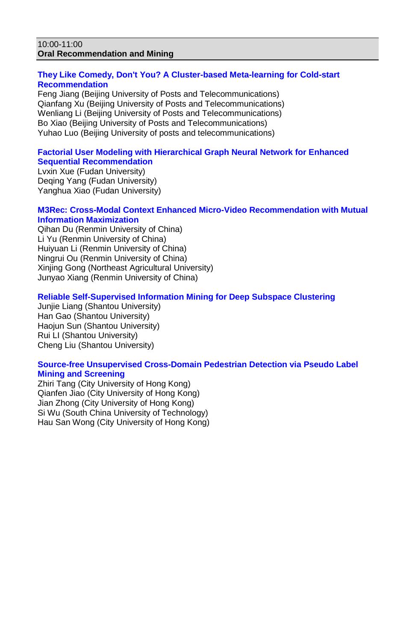#### 10:00-11:00 **Oral Recommendation and Mining**

# **They Like Comedy, Don't You? A Cluster-based Meta-learning for Cold-start Recommendation**

Feng Jiang (Beijing University of Posts and Telecommunications) Qianfang Xu (Beijing University of Posts and Telecommunications) Wenliang Li (Beijing University of Posts and Telecommunications) Bo Xiao (Beijing University of Posts and Telecommunications) Yuhao Luo (Beijing University of posts and telecommunications)

## **Factorial User Modeling with Hierarchical Graph Neural Network for Enhanced Sequential Recommendation**

Lvxin Xue (Fudan University) Deqing Yang (Fudan University) Yanghua Xiao (Fudan University)

# **M3Rec: Cross-Modal Context Enhanced Micro-Video Recommendation with Mutual Information Maximization**

Qihan Du (Renmin University of China) Li Yu (Renmin University of China) Huiyuan Li (Renmin University of China) Ningrui Ou (Renmin University of China) Xinjing Gong (Northeast Agricultural University) Junyao Xiang (Renmin University of China)

# **Reliable Self-Supervised Information Mining for Deep Subspace Clustering**

Junjie Liang (Shantou University) Han Gao (Shantou University) Haojun Sun (Shantou University) Rui LI (Shantou University) Cheng Liu (Shantou University)

### **Source-free Unsupervised Cross-Domain Pedestrian Detection via Pseudo Label Mining and Screening**

Zhiri Tang (City University of Hong Kong) Qianfen Jiao (City University of Hong Kong) Jian Zhong (City University of Hong Kong) Si Wu (South China University of Technology) Hau San Wong (City University of Hong Kong)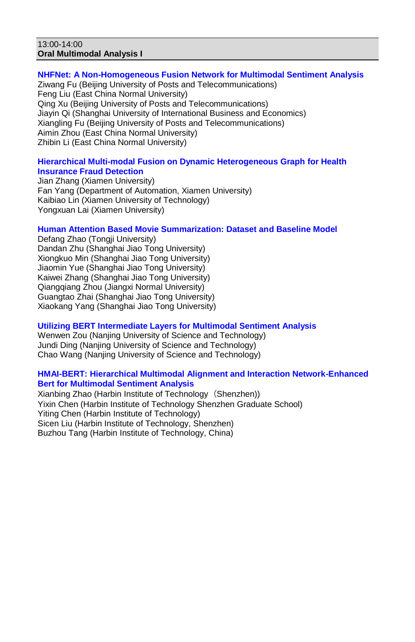#### 13:00-14:00 **Oral Multimodal Analysis I**

# **NHFNet: A Non-Homogeneous Fusion Network for Multimodal Sentiment Analysis**

Ziwang Fu (Beijing University of Posts and Telecommunications) Feng Liu (East China Normal University) Qing Xu (Beijing University of Posts and Telecommunications) Jiayin Qi (Shanghai University of International Business and Economics) Xiangling Fu (Beijing University of Posts and Telecommunications) Aimin Zhou (East China Normal University) Zhibin Li (East China Normal University)

### **Hierarchical Multi-modal Fusion on Dynamic Heterogeneous Graph for Health Insurance Fraud Detection**

Jian Zhang (Xiamen University) Fan Yang (Department of Automation, Xiamen University) Kaibiao Lin (Xiamen University of Technology) Yongxuan Lai (Xiamen University)

# **Human Attention Based Movie Summarization: Dataset and Baseline Model**

Defang Zhao (Tongji University) Dandan Zhu (Shanghai Jiao Tong University) Xiongkuo Min (Shanghai Jiao Tong University) Jiaomin Yue (Shanghai Jiao Tong University) Kaiwei Zhang (Shanghai Jiao Tong University) Qiangqiang Zhou (Jiangxi Normal University) Guangtao Zhai (Shanghai Jiao Tong University) Xiaokang Yang (Shanghai Jiao Tong University)

## **Utilizing BERT Intermediate Layers for Multimodal Sentiment Analysis**

Wenwen Zou (Nanjing University of Science and Technology) Jundi Ding (Nanjing University of Science and Technology) Chao Wang (Nanjing University of Science and Technology)

### **HMAI-BERT: Hierarchical Multimodal Alignment and Interaction Network-Enhanced Bert for Multimodal Sentiment Analysis**

Xianbing Zhao (Harbin Institute of Technology (Shenzhen)) Yixin Chen (Harbin Institute of Technology Shenzhen Graduate School) Yiting Chen (Harbin Institute of Technology) Sicen Liu (Harbin Institute of Technology, Shenzhen) Buzhou Tang (Harbin Institute of Technology, China)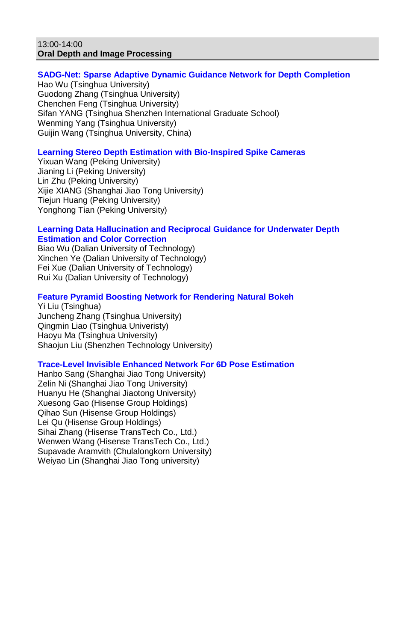#### 13:00-14:00 **Oral Depth and Image Processing**

## **SADG-Net: Sparse Adaptive Dynamic Guidance Network for Depth Completion**

Hao Wu (Tsinghua University) Guodong Zhang (Tsinghua University) Chenchen Feng (Tsinghua University) Sifan YANG (Tsinghua Shenzhen International Graduate School) Wenming Yang (Tsinghua University) Guijin Wang (Tsinghua University, China)

# **Learning Stereo Depth Estimation with Bio-Inspired Spike Cameras**

Yixuan Wang (Peking University) Jianing Li (Peking University) Lin Zhu (Peking University) Xijie XIANG (Shanghai Jiao Tong University) Tiejun Huang (Peking University) Yonghong Tian (Peking University)

#### **Learning Data Hallucination and Reciprocal Guidance for Underwater Depth Estimation and Color Correction**

Biao Wu (Dalian University of Technology) Xinchen Ye (Dalian University of Technology) Fei Xue (Dalian University of Technology) Rui Xu (Dalian University of Technology)

# **Feature Pyramid Boosting Network for Rendering Natural Bokeh**

Yi Liu (Tsinghua) Juncheng Zhang (Tsinghua University) Qingmin Liao (Tsinghua Univeristy) Haoyu Ma (Tsinghua University) Shaojun Liu (Shenzhen Technology University)

### **Trace-Level Invisible Enhanced Network For 6D Pose Estimation**

Hanbo Sang (Shanghai Jiao Tong University) Zelin Ni (Shanghai Jiao Tong University) Huanyu He (Shanghai Jiaotong University) Xuesong Gao (Hisense Group Holdings) Qihao Sun (Hisense Group Holdings) Lei Qu (Hisense Group Holdings) Sihai Zhang (Hisense TransTech Co., Ltd.) Wenwen Wang (Hisense TransTech Co., Ltd.) Supavade Aramvith (Chulalongkorn University) Weiyao Lin (Shanghai Jiao Tong university)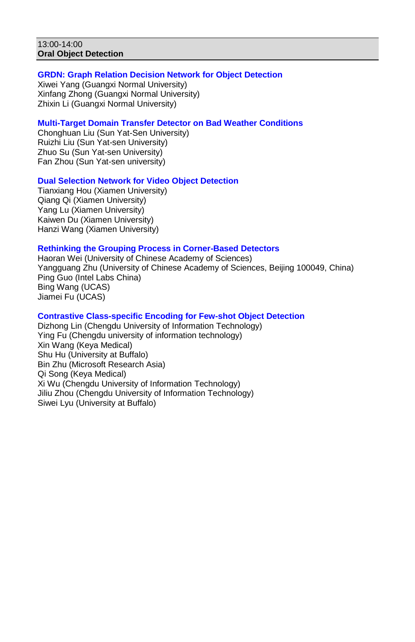#### 13:00-14:00 **Oral Object Detection**

### **GRDN: Graph Relation Decision Network for Object Detection**

Xiwei Yang (Guangxi Normal University) Xinfang Zhong (Guangxi Normal University) Zhixin Li (Guangxi Normal University)

#### **Multi-Target Domain Transfer Detector on Bad Weather Conditions**

Chonghuan Liu (Sun Yat-Sen University) Ruizhi Liu (Sun Yat-sen University) Zhuo Su (Sun Yat-sen University) Fan Zhou (Sun Yat-sen university)

**Dual Selection Network for Video Object Detection**

Tianxiang Hou (Xiamen University) Qiang Qi (Xiamen University) Yang Lu (Xiamen University) Kaiwen Du (Xiamen University) Hanzi Wang (Xiamen University)

### **Rethinking the Grouping Process in Corner-Based Detectors**

Haoran Wei (University of Chinese Academy of Sciences) Yangguang Zhu (University of Chinese Academy of Sciences, Beijing 100049, China) Ping Guo (Intel Labs China) Bing Wang (UCAS) Jiamei Fu (UCAS)

#### **Contrastive Class-specific Encoding for Few-shot Object Detection**

Dizhong Lin (Chengdu University of Information Technology) Ying Fu (Chengdu university of information technology) Xin Wang (Keya Medical) Shu Hu (University at Buffalo) Bin Zhu (Microsoft Research Asia) Qi Song (Keya Medical) Xi Wu (Chengdu University of Information Technology) Jiliu Zhou (Chengdu University of Information Technology) Siwei Lyu (University at Buffalo)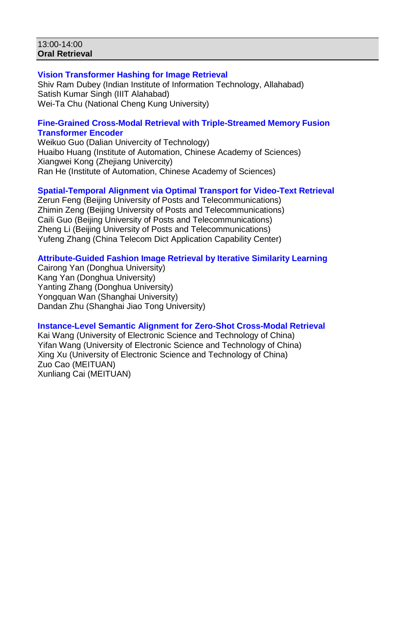#### 13:00-14:00 **Oral Retrieval**

# **Vision Transformer Hashing for Image Retrieval**

Shiv Ram Dubey (Indian Institute of Information Technology, Allahabad) Satish Kumar Singh (IIIT Alahabad) Wei-Ta Chu (National Cheng Kung University)

### **Fine-Grained Cross-Modal Retrieval with Triple-Streamed Memory Fusion Transformer Encoder**

Weikuo Guo (Dalian Univercity of Technology) Huaibo Huang (Institute of Automation, Chinese Academy of Sciences) Xiangwei Kong (Zhejiang Univercity) Ran He (Institute of Automation, Chinese Academy of Sciences)

# **Spatial-Temporal Alignment via Optimal Transport for Video-Text Retrieval**

Zerun Feng (Beijing University of Posts and Telecommunications) Zhimin Zeng (Beijing University of Posts and Telecommunications) Caili Guo (Beijing University of Posts and Telecommunications) Zheng Li (Beijing University of Posts and Telecommunications) Yufeng Zhang (China Telecom Dict Application Capability Center)

### **Attribute-Guided Fashion Image Retrieval by Iterative Similarity Learning**

Cairong Yan (Donghua University) Kang Yan (Donghua University) Yanting Zhang (Donghua University) Yongquan Wan (Shanghai University) Dandan Zhu (Shanghai Jiao Tong University)

### **Instance-Level Semantic Alignment for Zero-Shot Cross-Modal Retrieval**

Kai Wang (University of Electronic Science and Technology of China) Yifan Wang (University of Electronic Science and Technology of China) Xing Xu (University of Electronic Science and Technology of China) Zuo Cao (MEITUAN) Xunliang Cai (MEITUAN)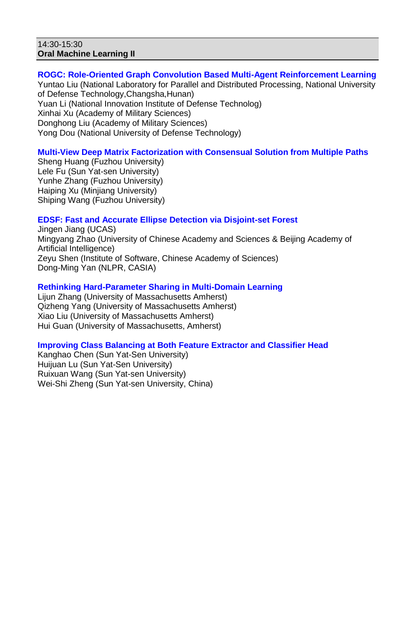#### 14:30-15:30 **Oral Machine Learning II**

# **ROGC: Role-Oriented Graph Convolution Based Multi-Agent Reinforcement Learning**

Yuntao Liu (National Laboratory for Parallel and Distributed Processing, National University of Defense Technology,Changsha,Hunan) Yuan Li (National Innovation Institute of Defense Technolog) Xinhai Xu (Academy of Military Sciences) Donghong Liu (Academy of Military Sciences) Yong Dou (National University of Defense Technology)

# **Multi-View Deep Matrix Factorization with Consensual Solution from Multiple Paths**

Sheng Huang (Fuzhou University) Lele Fu (Sun Yat-sen University) Yunhe Zhang (Fuzhou University) Haiping Xu (Minjiang University) Shiping Wang (Fuzhou University)

### **EDSF: Fast and Accurate Ellipse Detection via Disjoint-set Forest**

Jingen Jiang (UCAS) Mingyang Zhao (University of Chinese Academy and Sciences & Beijing Academy of Artificial Intelligence) Zeyu Shen (Institute of Software, Chinese Academy of Sciences) Dong-Ming Yan (NLPR, CASIA)

# **Rethinking Hard-Parameter Sharing in Multi-Domain Learning**

Lijun Zhang (University of Massachusetts Amherst) Qizheng Yang (University of Massachusetts Amherst) Xiao Liu (University of Massachusetts Amherst) Hui Guan (University of Massachusetts, Amherst)

# **Improving Class Balancing at Both Feature Extractor and Classifier Head**

Kanghao Chen (Sun Yat-Sen University) Huijuan Lu (Sun Yat-Sen University) Ruixuan Wang (Sun Yat-sen University) Wei-Shi Zheng (Sun Yat-sen University, China)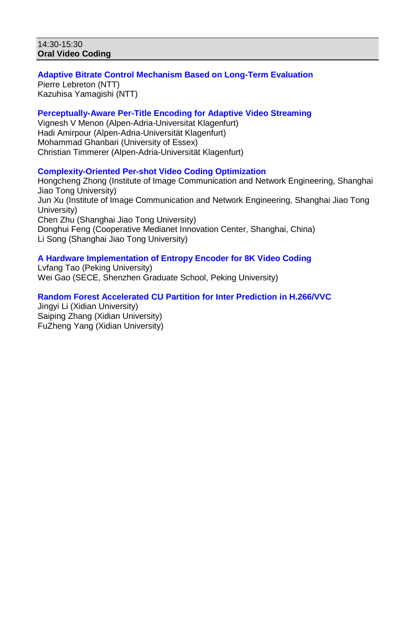#### 14:30-15:30 **Oral Video Coding**

# **Adaptive Bitrate Control Mechanism Based on Long-Term Evaluation**

Pierre Lebreton (NTT) Kazuhisa Yamagishi (NTT)

# **Perceptually-Aware Per-Title Encoding for Adaptive Video Streaming**

Vignesh V Menon (Alpen-Adria-Universitat Klagenfurt) Hadi Amirpour (Alpen-Adria-Universität Klagenfurt) Mohammad Ghanbari (University of Essex) Christian Timmerer (Alpen-Adria-Universität Klagenfurt)

# **Complexity-Oriented Per-shot Video Coding Optimization**

Hongcheng Zhong (Institute of Image Communication and Network Engineering, Shanghai Jiao Tong University) Jun Xu (Institute of Image Communication and Network Engineering, Shanghai Jiao Tong University) Chen Zhu (Shanghai Jiao Tong University) Donghui Feng (Cooperative Medianet Innovation Center, Shanghai, China) Li Song (Shanghai Jiao Tong University)

# **A Hardware Implementation of Entropy Encoder for 8K Video Coding**

Lvfang Tao (Peking University) Wei Gao (SECE, Shenzhen Graduate School, Peking University)

# **Random Forest Accelerated CU Partition for Inter Prediction in H.266/VVC**

Jingyi Li (Xidian University) Saiping Zhang (Xidian University) FuZheng Yang (Xidian University)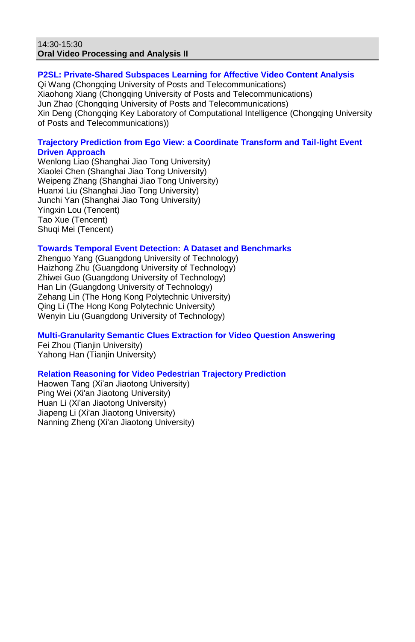### 14:30-15:30 **Oral Video Processing and Analysis II**

## **P2SL: Private-Shared Subspaces Learning for Affective Video Content Analysis**

Qi Wang (Chongqing University of Posts and Telecommunications) Xiaohong Xiang (Chongqing University of Posts and Telecommunications) Jun Zhao (Chongqing University of Posts and Telecommunications) Xin Deng (Chongqing Key Laboratory of Computational Intelligence (Chongqing University of Posts and Telecommunications))

## **Trajectory Prediction from Ego View: a Coordinate Transform and Tail-light Event Driven Approach**

Wenlong Liao (Shanghai Jiao Tong University) Xiaolei Chen (Shanghai Jiao Tong University) Weipeng Zhang (Shanghai Jiao Tong University) Huanxi Liu (Shanghai Jiao Tong University) Junchi Yan (Shanghai Jiao Tong University) Yingxin Lou (Tencent) Tao Xue (Tencent) Shuqi Mei (Tencent)

### **Towards Temporal Event Detection: A Dataset and Benchmarks**

Zhenguo Yang (Guangdong University of Technology) Haizhong Zhu (Guangdong University of Technology) Zhiwei Guo (Guangdong University of Technology) Han Lin (Guangdong University of Technology) Zehang Lin (The Hong Kong Polytechnic University) Qing Li (The Hong Kong Polytechnic University) Wenyin Liu (Guangdong University of Technology)

# **Multi-Granularity Semantic Clues Extraction for Video Question Answering**

Fei Zhou (Tianjin University) Yahong Han (Tianjin University)

# **Relation Reasoning for Video Pedestrian Trajectory Prediction**

Haowen Tang (Xi'an Jiaotong University) Ping Wei (Xi'an Jiaotong University) Huan Li (Xi'an Jiaotong University) Jiapeng Li (Xi'an Jiaotong University) Nanning Zheng (Xi'an Jiaotong University)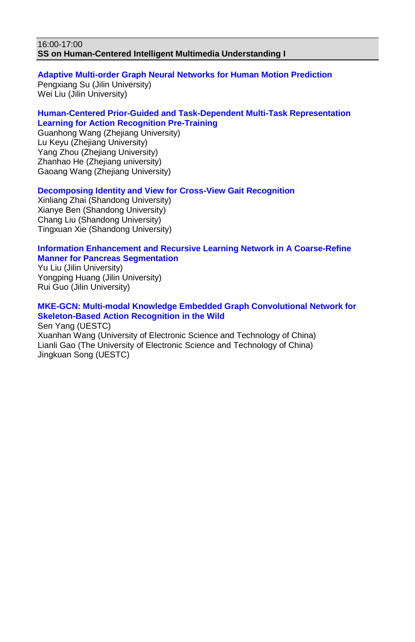#### 16:00-17:00 **SS on Human-Centered Intelligent Multimedia Understanding I**

# **Adaptive Multi-order Graph Neural Networks for Human Motion Prediction**

Pengxiang Su (Jilin University) Wei Liu (Jilin University)

### **Human-Centered Prior-Guided and Task-Dependent Multi-Task Representation Learning for Action Recognition Pre-Training**

Guanhong Wang (Zhejiang University) Lu Keyu (Zhejiang University) Yang Zhou (Zhejiang University) Zhanhao He (Zhejiang university) Gaoang Wang (Zhejiang University)

**Decomposing Identity and View for Cross-View Gait Recognition**

Xinliang Zhai (Shandong University) Xianye Ben (Shandong University) Chang Liu (Shandong University) Tingxuan Xie (Shandong University)

### **Information Enhancement and Recursive Learning Network in A Coarse-Refine Manner for Pancreas Segmentation**

Yu Liu (Jilin University) Yongping Huang (Jilin University) Rui Guo (Jilin University)

# **MKE-GCN: Multi-modal Knowledge Embedded Graph Convolutional Network for Skeleton-Based Action Recognition in the Wild**

Sen Yang (UESTC) Xuanhan Wang (University of Electronic Science and Technology of China) Lianli Gao (The University of Electronic Science and Technology of China) Jingkuan Song (UESTC)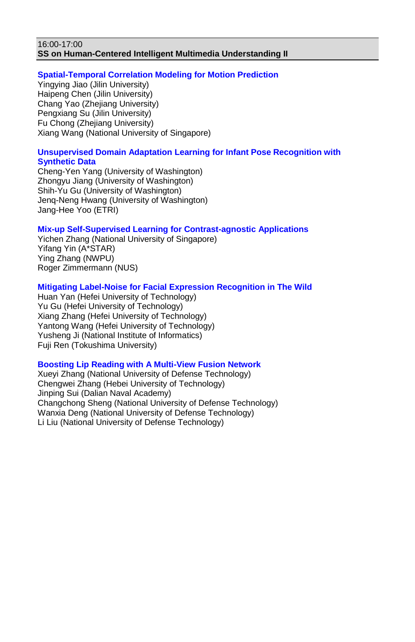#### 16:00-17:00 **SS on Human-Centered Intelligent Multimedia Understanding II**

### **Spatial-Temporal Correlation Modeling for Motion Prediction**

Yingying Jiao (Jilin University) Haipeng Chen (Jilin University) Chang Yao (Zhejiang University) Pengxiang Su (Jilin University) Fu Chong (Zhejiang University) Xiang Wang (National University of Singapore)

#### **Unsupervised Domain Adaptation Learning for Infant Pose Recognition with Synthetic Data**

Cheng-Yen Yang (University of Washington) Zhongyu Jiang (University of Washington) Shih-Yu Gu (University of Washington) Jenq-Neng Hwang (University of Washington) Jang-Hee Yoo (ETRI)

## **Mix-up Self-Supervised Learning for Contrast-agnostic Applications**

Yichen Zhang (National University of Singapore) Yifang Yin (A\*STAR) Ying Zhang (NWPU) Roger Zimmermann (NUS)

#### **Mitigating Label-Noise for Facial Expression Recognition in The Wild**

Huan Yan (Hefei University of Technology) Yu Gu (Hefei University of Technology) Xiang Zhang (Hefei University of Technology) Yantong Wang (Hefei University of Technology) Yusheng Ji (National Institute of Informatics) Fuji Ren (Tokushima University)

## **Boosting Lip Reading with A Multi-View Fusion Network**

Xueyi Zhang (National University of Defense Technology) Chengwei Zhang (Hebei University of Technology) Jinping Sui (Dalian Naval Academy) Changchong Sheng (National University of Defense Technology) Wanxia Deng (National University of Defense Technology) Li Liu (National University of Defense Technology)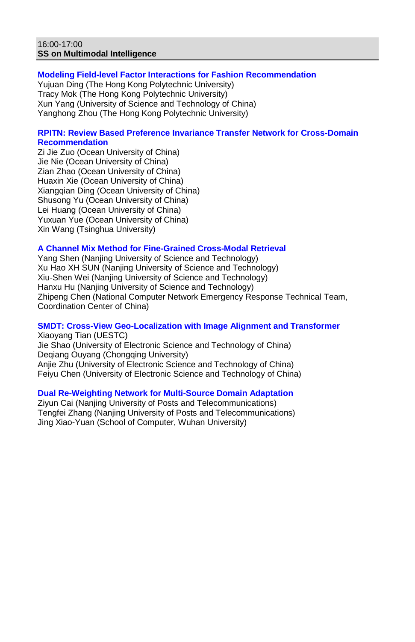#### 16:00-17:00 **SS on Multimodal Intelligence**

# **Modeling Field-level Factor Interactions for Fashion Recommendation**

Yujuan Ding (The Hong Kong Polytechnic University) Tracy Mok (The Hong Kong Polytechnic University) Xun Yang (University of Science and Technology of China) Yanghong Zhou (The Hong Kong Polytechnic University)

### **RPITN: Review Based Preference Invariance Transfer Network for Cross-Domain Recommendation**

Zi Jie Zuo (Ocean University of China) Jie Nie (Ocean University of China) Zian Zhao (Ocean University of China) Huaxin Xie (Ocean University of China) Xiangqian Ding (Ocean University of China) Shusong Yu (Ocean University of China) Lei Huang (Ocean University of China) Yuxuan Yue (Ocean University of China) Xin Wang (Tsinghua University)

### **A Channel Mix Method for Fine-Grained Cross-Modal Retrieval**

Yang Shen (Nanjing University of Science and Technology) Xu Hao XH SUN (Nanjing University of Science and Technology) Xiu-Shen Wei (Nanjing University of Science and Technology) Hanxu Hu (Nanjing University of Science and Technology) Zhipeng Chen (National Computer Network Emergency Response Technical Team, Coordination Center of China)

# **SMDT: Cross-View Geo-Localization with Image Alignment and Transformer**

Xiaoyang Tian (UESTC) Jie Shao (University of Electronic Science and Technology of China) Deqiang Ouyang (Chongqing University) Anije Zhu (University of Electronic Science and Technology of China) Feiyu Chen (University of Electronic Science and Technology of China)

## **Dual Re-Weighting Network for Multi-Source Domain Adaptation**

Ziyun Cai (Nanjing University of Posts and Telecommunications) Tengfei Zhang (Nanjing University of Posts and Telecommunications) Jing Xiao-Yuan (School of Computer, Wuhan University)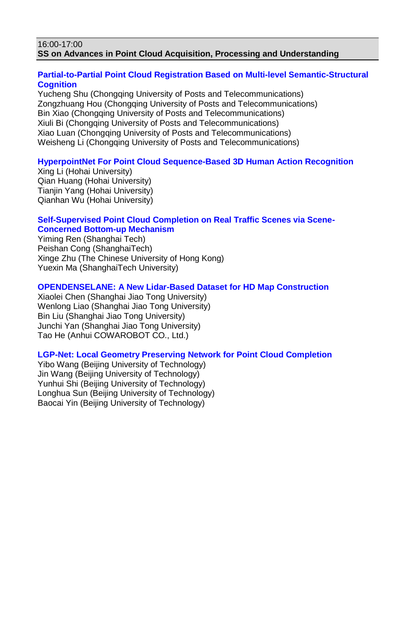#### 16:00-17:00 **SS on Advances in Point Cloud Acquisition, Processing and Understanding**

# **Partial-to-Partial Point Cloud Registration Based on Multi-level Semantic-Structural Cognition**

Yucheng Shu (Chongqing University of Posts and Telecommunications) Zongzhuang Hou (Chongqing University of Posts and Telecommunications) Bin Xiao (Chongqing University of Posts and Telecommunications) Xiuli Bi (Chongqing University of Posts and Telecommunications) Xiao Luan (Chongqing University of Posts and Telecommunications) Weisheng Li (Chongqing University of Posts and Telecommunications)

## **HyperpointNet For Point Cloud Sequence-Based 3D Human Action Recognition**

Xing Li (Hohai University) Qian Huang (Hohai University) Tianiin Yang (Hohai University) Qianhan Wu (Hohai University)

## **Self-Supervised Point Cloud Completion on Real Traffic Scenes via Scene-Concerned Bottom-up Mechanism**

Yiming Ren (Shanghai Tech) Peishan Cong (ShanghaiTech) Xinge Zhu (The Chinese University of Hong Kong) Yuexin Ma (ShanghaiTech University)

### **OPENDENSELANE: A New Lidar-Based Dataset for HD Map Construction**

Xiaolei Chen (Shanghai Jiao Tong University) Wenlong Liao (Shanghai Jiao Tong University) Bin Liu (Shanghai Jiao Tong University) Junchi Yan (Shanghai Jiao Tong University) Tao He (Anhui COWAROBOT CO., Ltd.)

## **LGP-Net: Local Geometry Preserving Network for Point Cloud Completion**

Yibo Wang (Beijing University of Technology) Jin Wang (Beijing University of Technology) Yunhui Shi (Beijing University of Technology) Longhua Sun (Beijing University of Technology) Baocai Yin (Beijing University of Technology)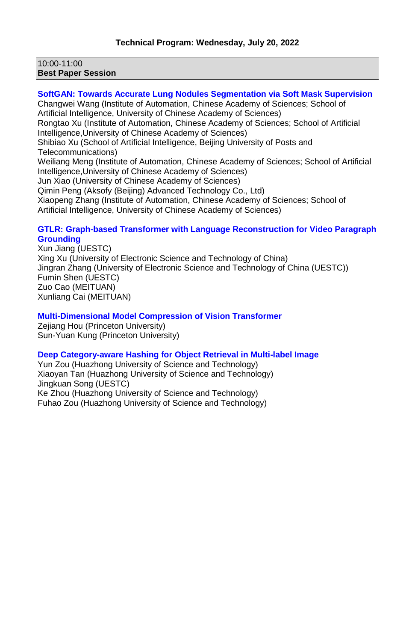### 10:00-11:00 **Best Paper Session**

# **SoftGAN: Towards Accurate Lung Nodules Segmentation via Soft Mask Supervision**

Changwei Wang (Institute of Automation, Chinese Academy of Sciences; School of Artificial Intelligence, University of Chinese Academy of Sciences) Rongtao Xu (Institute of Automation, Chinese Academy of Sciences; School of Artificial Intelligence,University of Chinese Academy of Sciences) Shibiao Xu (School of Artificial Intelligence, Beijing University of Posts and Telecommunications) Weiliang Meng (Institute of Automation, Chinese Academy of Sciences; School of Artificial Intelligence,University of Chinese Academy of Sciences) Jun Xiao (University of Chinese Academy of Sciences) Qimin Peng (Aksofy (Beijing) Advanced Technology Co., Ltd) Xiaopeng Zhang (Institute of Automation, Chinese Academy of Sciences; School of Artificial Intelligence, University of Chinese Academy of Sciences)

#### **GTLR: Graph-based Transformer with Language Reconstruction for Video Paragraph Grounding**

Xun Jiang (UESTC) Xing Xu (University of Electronic Science and Technology of China) Jingran Zhang (University of Electronic Science and Technology of China (UESTC)) Fumin Shen (UESTC) Zuo Cao (MEITUAN) Xunliang Cai (MEITUAN)

### **Multi-Dimensional Model Compression of Vision Transformer**

Zejiang Hou (Princeton University) Sun-Yuan Kung (Princeton University)

## **Deep Category-aware Hashing for Object Retrieval in Multi-label Image**

Yun Zou (Huazhong University of Science and Technology) Xiaoyan Tan (Huazhong University of Science and Technology) Jingkuan Song (UESTC) Ke Zhou (Huazhong University of Science and Technology) Fuhao Zou (Huazhong University of Science and Technology)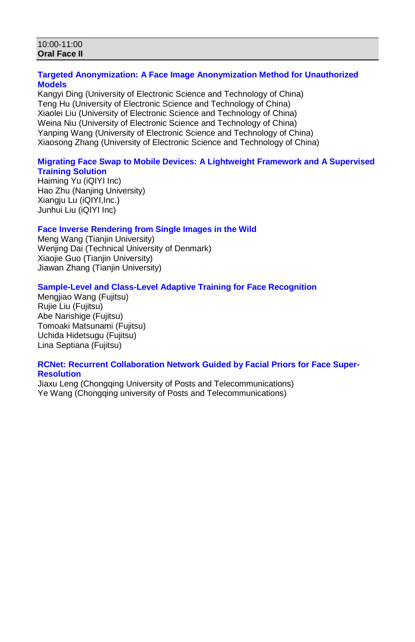#### 10:00-11:00 **Oral Face II**

# **Targeted Anonymization: A Face Image Anonymization Method for Unauthorized Models**

Kangyi Ding (University of Electronic Science and Technology of China) Teng Hu (University of Electronic Science and Technology of China) Xiaolei Liu (University of Electronic Science and Technology of China) Weina Niu (University of Electronic Science and Technology of China) Yanping Wang (University of Electronic Science and Technology of China) Xiaosong Zhang (University of Electronic Science and Technology of China)

# **Migrating Face Swap to Mobile Devices: A Lightweight Framework and A Supervised Training Solution**

Haiming Yu (iQIYI Inc) Hao Zhu (Naniing University) Xiangju Lu (iQIYI,Inc.) Junhui Liu (iQIYI Inc)

### **Face Inverse Rendering from Single Images in the Wild**

Meng Wang (Tianjin University) Wenjing Dai (Technical University of Denmark) Xiaojie Guo (Tianjin University) Jiawan Zhang (Tianjin University)

# **Sample-Level and Class-Level Adaptive Training for Face Recognition**

Mengjiao Wang (Fujitsu) Rujie Liu (Fujitsu) Abe Narishige (Fujitsu) Tomoaki Matsunami (Fujitsu) Uchida Hidetsugu (Fujitsu) Lina Septiana (Fujitsu)

#### **RCNet: Recurrent Collaboration Network Guided by Facial Priors for Face Super-Resolution**

Jiaxu Leng (Chongqing University of Posts and Telecommunications) Ye Wang (Chongqing university of Posts and Telecommunications)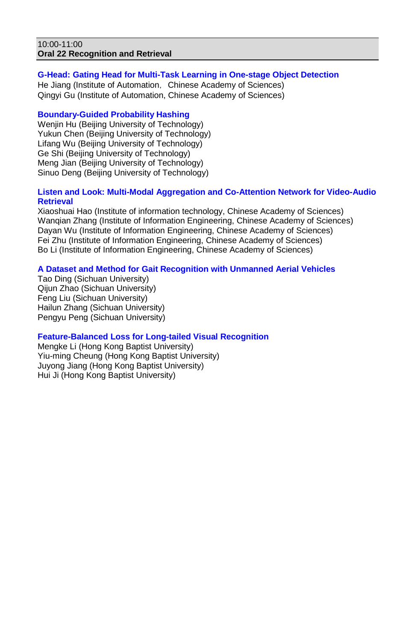#### 10:00-11:00 **Oral 22 Recognition and Retrieval**

### **G-Head: Gating Head for Multi-Task Learning in One-stage Object Detection**

He Jiang (Institute of Automation, Chinese Academy of Sciences) Qingyi Gu (Institute of Automation, Chinese Academy of Sciences)

# **Boundary-Guided Probability Hashing**

Weniin Hu (Beijing University of Technology) Yukun Chen (Beijing University of Technology) Lifang Wu (Beijing University of Technology) Ge Shi (Beijing University of Technology) Meng Jian (Beijing University of Technology) Sinuo Deng (Beijing University of Technology)

### **Listen and Look: Multi-Modal Aggregation and Co-Attention Network for Video-Audio Retrieval**

Xiaoshuai Hao (Institute of information technology, Chinese Academy of Sciences) Wanqian Zhang (Institute of Information Engineering, Chinese Academy of Sciences) Dayan Wu (Institute of Information Engineering, Chinese Academy of Sciences) Fei Zhu (Institute of Information Engineering, Chinese Academy of Sciences) Bo Li (Institute of Information Engineering, Chinese Academy of Sciences)

# **A Dataset and Method for Gait Recognition with Unmanned Aerial Vehicles**

Tao Ding (Sichuan University) Qijun Zhao (Sichuan University) Feng Liu (Sichuan University) Hailun Zhang (Sichuan University) Pengyu Peng (Sichuan University)

### **Feature-Balanced Loss for Long-tailed Visual Recognition**

Mengke Li (Hong Kong Baptist University) Yiu-ming Cheung (Hong Kong Baptist University) Juyong Jiang (Hong Kong Baptist University) Hui Ji (Hong Kong Baptist University)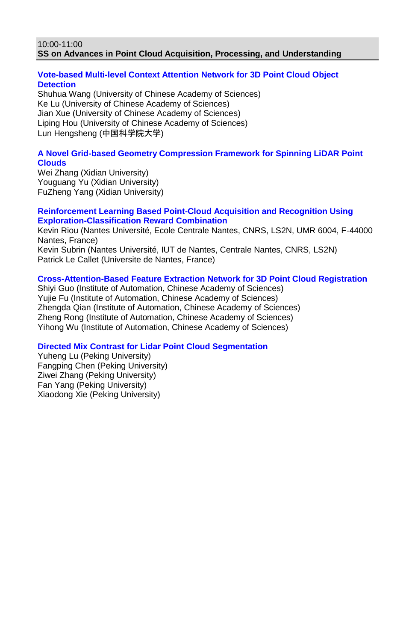#### 10:00-11:00 **SS on Advances in Point Cloud Acquisition, Processing, and Understanding**

# **Vote-based Multi-level Context Attention Network for 3D Point Cloud Object Detection**

Shuhua Wang (University of Chinese Academy of Sciences) Ke Lu (University of Chinese Academy of Sciences) Jian Xue (University of Chinese Academy of Sciences) Liping Hou (University of Chinese Academy of Sciences) Lun Hengsheng (中国科学院大学)

# **A Novel Grid-based Geometry Compression Framework for Spinning LiDAR Point Clouds**

Wei Zhang (Xidian University) Youguang Yu (Xidian University) FuZheng Yang (Xidian University)

### **Reinforcement Learning Based Point-Cloud Acquisition and Recognition Using Exploration-Classification Reward Combination**

Kevin Riou (Nantes Université, Ecole Centrale Nantes, CNRS, LS2N, UMR 6004, F-44000 Nantes, France) Kevin Subrin (Nantes Université, IUT de Nantes, Centrale Nantes, CNRS, LS2N) Patrick Le Callet (Universite de Nantes, France)

# **Cross-Attention-Based Feature Extraction Network for 3D Point Cloud Registration**

Shiyi Guo (Institute of Automation, Chinese Academy of Sciences) Yujie Fu (Institute of Automation, Chinese Academy of Sciences) Zhengda Qian (Institute of Automation, Chinese Academy of Sciences) Zheng Rong (Institute of Automation, Chinese Academy of Sciences) Yihong Wu (Institute of Automation, Chinese Academy of Sciences)

# **Directed Mix Contrast for Lidar Point Cloud Segmentation**

Yuheng Lu (Peking University) Fangping Chen (Peking University) Ziwei Zhang (Peking University) Fan Yang (Peking University) Xiaodong Xie (Peking University)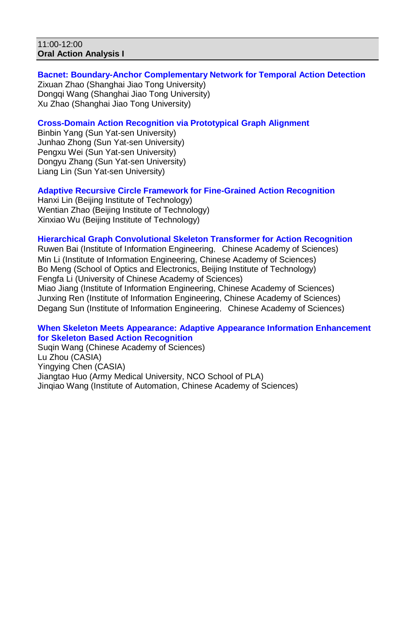#### 11:00-12:00 **Oral Action Analysis I**

# **Bacnet: Boundary-Anchor Complementary Network for Temporal Action Detection**

Zixuan Zhao (Shanghai Jiao Tong University) Dongqi Wang (Shanghai Jiao Tong University) Xu Zhao (Shanghai Jiao Tong University)

# **Cross-Domain Action Recognition via Prototypical Graph Alignment**

Binbin Yang (Sun Yat-sen University) Junhao Zhong (Sun Yat-sen University) Pengxu Wei (Sun Yat-sen University) Dongyu Zhang (Sun Yat-sen University) Liang Lin (Sun Yat-sen University)

# **Adaptive Recursive Circle Framework for Fine-Grained Action Recognition**

Hanxi Lin (Beijing Institute of Technology) Wentian Zhao (Beijing Institute of Technology) Xinxiao Wu (Beijing Institute of Technology)

### **Hierarchical Graph Convolutional Skeleton Transformer for Action Recognition**

Ruwen Bai (Institute of Information Engineering, Chinese Academy of Sciences) Min Li (Institute of Information Engineering, Chinese Academy of Sciences) Bo Meng (School of Optics and Electronics, Beijing Institute of Technology) Fengfa Li (University of Chinese Academy of Sciences) Miao Jiang (Institute of Information Engineering, Chinese Academy of Sciences) Junxing Ren (Institute of Information Engineering, Chinese Academy of Sciences) Degang Sun (Institute of Information Engineering, Chinese Academy of Sciences)

#### **When Skeleton Meets Appearance: Adaptive Appearance Information Enhancement for Skeleton Based Action Recognition**

Suqin Wang (Chinese Academy of Sciences) Lu Zhou (CASIA) Yingying Chen (CASIA) Jiangtao Huo (Army Medical University, NCO School of PLA) Jinqiao Wang (Institute of Automation, Chinese Academy of Sciences)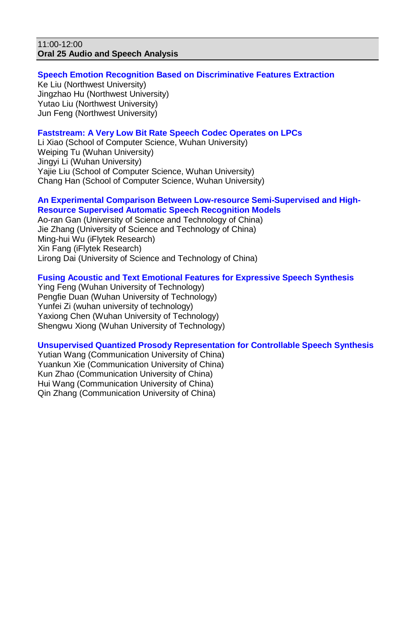## 11:00-12:00 **Oral 25 Audio and Speech Analysis**

### **Speech Emotion Recognition Based on Discriminative Features Extraction**

Ke Liu (Northwest University) Jingzhao Hu (Northwest University) Yutao Liu (Northwest University) Jun Feng (Northwest University)

# **Faststream: A Very Low Bit Rate Speech Codec Operates on LPCs**

Li Xiao (School of Computer Science, Wuhan University) Weiping Tu (Wuhan University) Jingyi Li (Wuhan University) Yajie Liu (School of Computer Science, Wuhan University) Chang Han (School of Computer Science, Wuhan University)

#### **An Experimental Comparison Between Low-resource Semi-Supervised and High-Resource Supervised Automatic Speech Recognition Models**

Ao-ran Gan (University of Science and Technology of China) Jie Zhang (University of Science and Technology of China) Ming-hui Wu (iFlytek Research) Xin Fang (iFlytek Research) Lirong Dai (University of Science and Technology of China)

# **Fusing Acoustic and Text Emotional Features for Expressive Speech Synthesis**

Ying Feng (Wuhan University of Technology) Pengfie Duan (Wuhan University of Technology) Yunfei Zi (wuhan university of technology) Yaxiong Chen (Wuhan University of Technology) Shengwu Xiong (Wuhan University of Technology)

### **Unsupervised Quantized Prosody Representation for Controllable Speech Synthesis**

Yutian Wang (Communication University of China) Yuankun Xie (Communication University of China) Kun Zhao (Communication University of China) Hui Wang (Communication University of China) Qin Zhang (Communication University of China)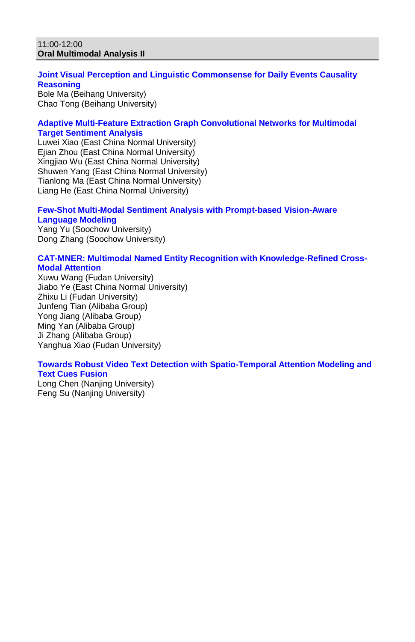#### 11:00-12:00 **Oral Multimodal Analysis II**

# **Joint Visual Perception and Linguistic Commonsense for Daily Events Causality Reasoning**

Bole Ma (Beihang University) Chao Tong (Beihang University)

# **Adaptive Multi-Feature Extraction Graph Convolutional Networks for Multimodal Target Sentiment Analysis**

Luwei Xiao (East China Normal University) Ejian Zhou (East China Normal University) Xingjiao Wu (East China Normal University) Shuwen Yang (East China Normal University) Tianlong Ma (East China Normal University) Liang He (East China Normal University)

#### **Few-Shot Multi-Modal Sentiment Analysis with Prompt-based Vision-Aware Language Modeling**

Yang Yu (Soochow University) Dong Zhang (Soochow University)

#### **CAT-MNER: Multimodal Named Entity Recognition with Knowledge-Refined Cross-Modal Attention**

Xuwu Wang (Fudan University) Jiabo Ye (East China Normal University) Zhixu Li (Fudan University) Junfeng Tian (Alibaba Group) Yong Jiang (Alibaba Group) Ming Yan (Alibaba Group) Ji Zhang (Alibaba Group) Yanghua Xiao (Fudan University)

# **Towards Robust Video Text Detection with Spatio-Temporal Attention Modeling and Text Cues Fusion**

Long Chen (Nanjing University) Feng Su (Nanjing University)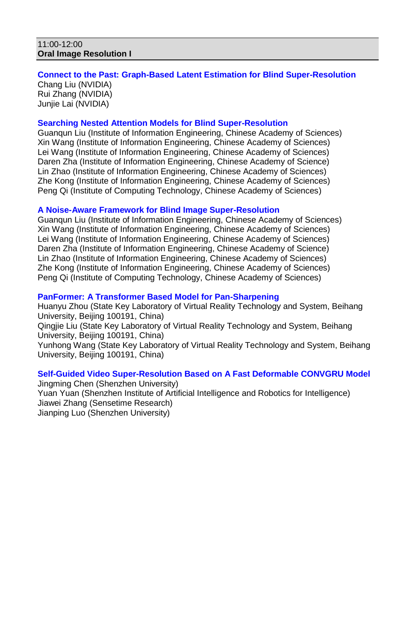#### 11:00-12:00 **Oral Image Resolution I**

#### **Connect to the Past: Graph-Based Latent Estimation for Blind Super-Resolution** Chang Liu (NVIDIA) Rui Zhang (NVIDIA) Junjie Lai (NVIDIA)

## **Searching Nested Attention Models for Blind Super-Resolution**

Guanqun Liu (Institute of Information Engineering, Chinese Academy of Sciences) Xin Wang (Institute of Information Engineering, Chinese Academy of Sciences) Lei Wang (Institute of Information Engineering, Chinese Academy of Sciences) Daren Zha (Institute of Information Engineering, Chinese Academy of Science) Lin Zhao (Institute of Information Engineering, Chinese Academy of Sciences) Zhe Kong (Institute of Information Engineering, Chinese Academy of Sciences) Peng Qi (Institute of Computing Technology, Chinese Academy of Sciences)

### **A Noise-Aware Framework for Blind Image Super-Resolution**

Guanqun Liu (Institute of Information Engineering, Chinese Academy of Sciences) Xin Wang (Institute of Information Engineering, Chinese Academy of Sciences) Lei Wang (Institute of Information Engineering, Chinese Academy of Sciences) Daren Zha (Institute of Information Engineering, Chinese Academy of Science) Lin Zhao (Institute of Information Engineering, Chinese Academy of Sciences) Zhe Kong (Institute of Information Engineering, Chinese Academy of Sciences) Peng Qi (Institute of Computing Technology, Chinese Academy of Sciences)

#### **PanFormer: A Transformer Based Model for Pan-Sharpening**

Huanyu Zhou (State Key Laboratory of Virtual Reality Technology and System, Beihang University, Beijing 100191, China)

Qingjie Liu (State Key Laboratory of Virtual Reality Technology and System, Beihang University, Beijing 100191, China)

Yunhong Wang (State Key Laboratory of Virtual Reality Technology and System, Beihang University, Beijing 100191, China)

#### **Self-Guided Video Super-Resolution Based on A Fast Deformable CONVGRU Model** Jingming Chen (Shenzhen University)

Yuan Yuan (Shenzhen Institute of Artificial Intelligence and Robotics for Intelligence) Jiawei Zhang (Sensetime Research) Jianping Luo (Shenzhen University)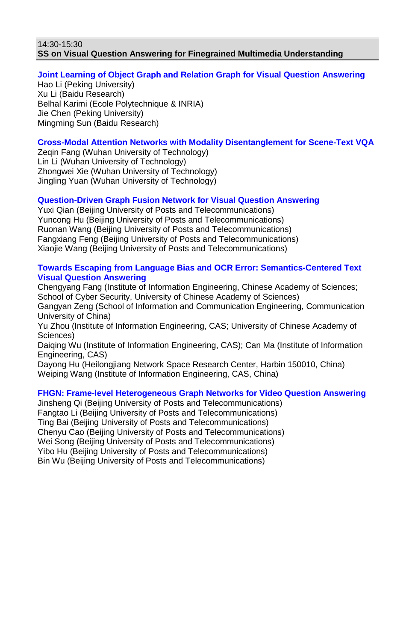#### 14:30-15:30 **SS on Visual Question Answering for Finegrained Multimedia Understanding**

# **Joint Learning of Object Graph and Relation Graph for Visual Question Answering**

Hao Li (Peking University) Xu Li (Baidu Research) Belhal Karimi (Ecole Polytechnique & INRIA) Jie Chen (Peking University) Mingming Sun (Baidu Research)

# **Cross-Modal Attention Networks with Modality Disentanglement for Scene-Text VQA**

Zegin Fang (Wuhan University of Technology) Lin Li (Wuhan University of Technology) Zhongwei Xie (Wuhan University of Technology) Jingling Yuan (Wuhan University of Technology)

# **Question-Driven Graph Fusion Network for Visual Question Answering**

Yuxi Qian (Beijing University of Posts and Telecommunications) Yuncong Hu (Beijing University of Posts and Telecommunications) Ruonan Wang (Beijing University of Posts and Telecommunications) Fangxiang Feng (Beijing University of Posts and Telecommunications) Xiaojie Wang (Beijing University of Posts and Telecommunications)

## **Towards Escaping from Language Bias and OCR Error: Semantics-Centered Text Visual Question Answering**

Chengyang Fang (Institute of Information Engineering, Chinese Academy of Sciences; School of Cyber Security, University of Chinese Academy of Sciences) Gangyan Zeng (School of Information and Communication Engineering, Communication University of China) Yu Zhou (Institute of Information Engineering, CAS; University of Chinese Academy of Sciences) Daiqing Wu (Institute of Information Engineering, CAS); Can Ma (Institute of Information Engineering, CAS) Dayong Hu (Heilongjiang Network Space Research Center, Harbin 150010, China) Weiping Wang (Institute of Information Engineering, CAS, China)

# **FHGN: Frame-level Heterogeneous Graph Networks for Video Question Answering**

Jinsheng Qi (Beijing University of Posts and Telecommunications) Fangtao Li (Beijing University of Posts and Telecommunications) Ting Bai (Beijing University of Posts and Telecommunications) Chenyu Cao (Beijing University of Posts and Telecommunications) Wei Song (Beijing University of Posts and Telecommunications) Yibo Hu (Beijing University of Posts and Telecommunications) Bin Wu (Beijing University of Posts and Telecommunications)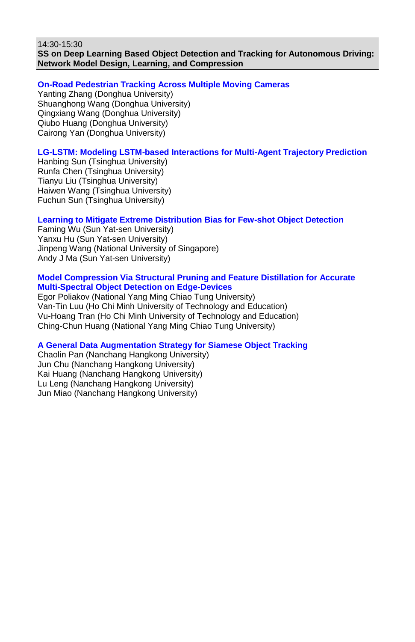14:30-15:30 **SS on Deep Learning Based Object Detection and Tracking for Autonomous Driving: Network Model Design, Learning, and Compression**

## **On-Road Pedestrian Tracking Across Multiple Moving Cameras**

Yanting Zhang (Donghua University) Shuanghong Wang (Donghua University) Qingxiang Wang (Donghua University) Qiubo Huang (Donghua University) Cairong Yan (Donghua University)

# **LG-LSTM: Modeling LSTM-based Interactions for Multi-Agent Trajectory Prediction**

Hanbing Sun (Tsinghua University) Runfa Chen (Tsinghua University) Tianyu Liu (Tsinghua University) Haiwen Wang (Tsinghua University) Fuchun Sun (Tsinghua University)

## **Learning to Mitigate Extreme Distribution Bias for Few-shot Object Detection**

Faming Wu (Sun Yat-sen University) Yanxu Hu (Sun Yat-sen University) Jinpeng Wang (National University of Singapore) Andy J Ma (Sun Yat-sen University)

#### **Model Compression Via Structural Pruning and Feature Distillation for Accurate Multi-Spectral Object Detection on Edge-Devices**

Egor Poliakov (National Yang Ming Chiao Tung University) Van-Tin Luu (Ho Chi Minh University of Technology and Education) Vu-Hoang Tran (Ho Chi Minh University of Technology and Education) Ching-Chun Huang (National Yang Ming Chiao Tung University)

### **A General Data Augmentation Strategy for Siamese Object Tracking**

Chaolin Pan (Nanchang Hangkong University) Jun Chu (Nanchang Hangkong University) Kai Huang (Nanchang Hangkong University) Lu Leng (Nanchang Hangkong University) Jun Miao (Nanchang Hangkong University)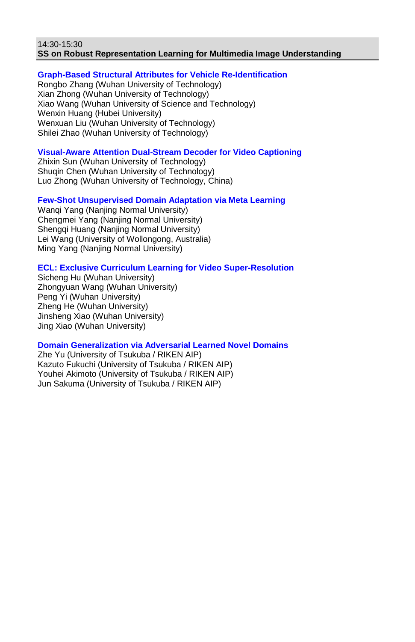#### 14:30-15:30 **SS on Robust Representation Learning for Multimedia Image Understanding**

## **Graph-Based Structural Attributes for Vehicle Re-Identification**

Rongbo Zhang (Wuhan University of Technology) Xian Zhong (Wuhan University of Technology) Xiao Wang (Wuhan University of Science and Technology) Wenxin Huang (Hubei University) Wenxuan Liu (Wuhan University of Technology) Shilei Zhao (Wuhan University of Technology)

# **Visual-Aware Attention Dual-Stream Decoder for Video Captioning**

Zhixin Sun (Wuhan University of Technology) Shuqin Chen (Wuhan University of Technology) Luo Zhong (Wuhan University of Technology, China)

# **Few-Shot Unsupervised Domain Adaptation via Meta Learning**

Wanqi Yang (Nanjing Normal University) Chengmei Yang (Nanjing Normal University) Shengqi Huang (Nanjing Normal University) Lei Wang (University of Wollongong, Australia) Ming Yang (Nanjing Normal University)

# **ECL: Exclusive Curriculum Learning for Video Super-Resolution**

Sicheng Hu (Wuhan University) Zhongyuan Wang (Wuhan University) Peng Yi (Wuhan University) Zheng He (Wuhan University) Jinsheng Xiao (Wuhan University) Jing Xiao (Wuhan University)

### **Domain Generalization via Adversarial Learned Novel Domains**

Zhe Yu (University of Tsukuba / RIKEN AIP) Kazuto Fukuchi (University of Tsukuba / RIKEN AIP) Youhei Akimoto (University of Tsukuba / RIKEN AIP) Jun Sakuma (University of Tsukuba / RIKEN AIP)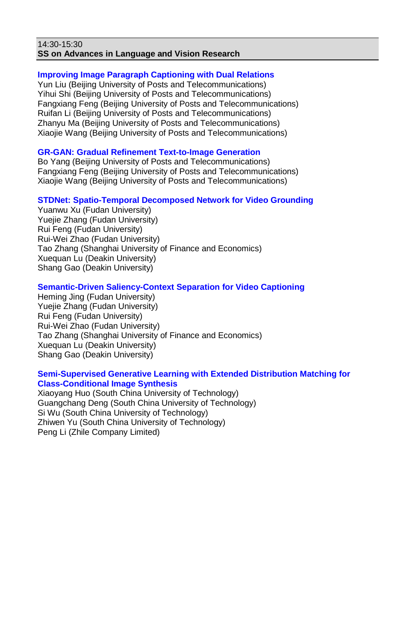#### 14:30-15:30 **SS on Advances in Language and Vision Research**

# **Improving Image Paragraph Captioning with Dual Relations**

Yun Liu (Beijing University of Posts and Telecommunications) Yihui Shi (Beijing University of Posts and Telecommunications) Fangxiang Feng (Beijing University of Posts and Telecommunications) Ruifan Li (Beijing University of Posts and Telecommunications) Zhanyu Ma (Beijing University of Posts and Telecommunications) Xiaojie Wang (Beijing University of Posts and Telecommunications)

## **GR-GAN: Gradual Refinement Text-to-Image Generation**

Bo Yang (Beijing University of Posts and Telecommunications) Fangxiang Feng (Beijing University of Posts and Telecommunications) Xiaojie Wang (Beijing University of Posts and Telecommunications)

# **STDNet: Spatio-Temporal Decomposed Network for Video Grounding**

Yuanwu Xu (Fudan University) Yuejie Zhang (Fudan University) Rui Feng (Fudan University) Rui-Wei Zhao (Fudan University) Tao Zhang (Shanghai University of Finance and Economics) Xuequan Lu (Deakin University) Shang Gao (Deakin University)

# **Semantic-Driven Saliency-Context Separation for Video Captioning**

Heming Jing (Fudan University) Yuejie Zhang (Fudan University) Rui Feng (Fudan University) Rui-Wei Zhao (Fudan University) Tao Zhang (Shanghai University of Finance and Economics) Xuequan Lu (Deakin University) Shang Gao (Deakin University)

### **Semi-Supervised Generative Learning with Extended Distribution Matching for Class-Conditional Image Synthesis**

Xiaoyang Huo (South China University of Technology) Guangchang Deng (South China University of Technology) Si Wu (South China University of Technology) Zhiwen Yu (South China University of Technology) Peng Li (Zhile Company Limited)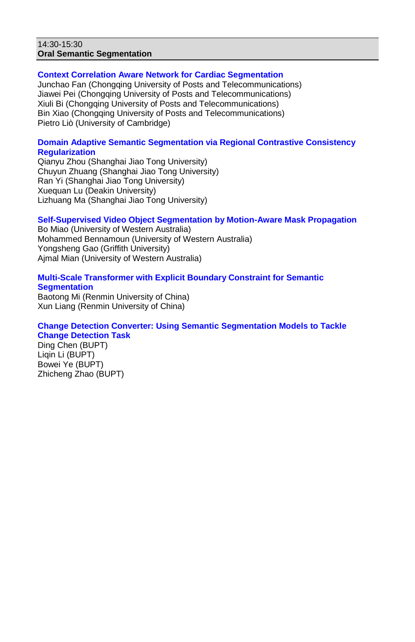#### 14:30-15:30 **Oral Semantic Segmentation**

#### **Context Correlation Aware Network for Cardiac Segmentation**

Junchao Fan (Chongqing University of Posts and Telecommunications) Jiawei Pei (Chongqing University of Posts and Telecommunications) Xiuli Bi (Chongqing University of Posts and Telecommunications) Bin Xiao (Chongqing University of Posts and Telecommunications) Pietro Liò (University of Cambridge)

### **Domain Adaptive Semantic Segmentation via Regional Contrastive Consistency Regularization**

Qianyu Zhou (Shanghai Jiao Tong University) Chuyun Zhuang (Shanghai Jiao Tong University) Ran Yi (Shanghai Jiao Tong University) Xuequan Lu (Deakin University) Lizhuang Ma (Shanghai Jiao Tong University)

#### **Self-Supervised Video Object Segmentation by Motion-Aware Mask Propagation**

Bo Miao (University of Western Australia) Mohammed Bennamoun (University of Western Australia) Yongsheng Gao (Griffith University) Ajmal Mian (University of Western Australia)

#### **Multi-Scale Transformer with Explicit Boundary Constraint for Semantic Segmentation**

Baotong Mi (Renmin University of China) Xun Liang (Renmin University of China)

#### **Change Detection Converter: Using Semantic Segmentation Models to Tackle Change Detection Task**

Ding Chen (BUPT) Liqin Li (BUPT) Bowei Ye (BUPT) Zhicheng Zhao (BUPT)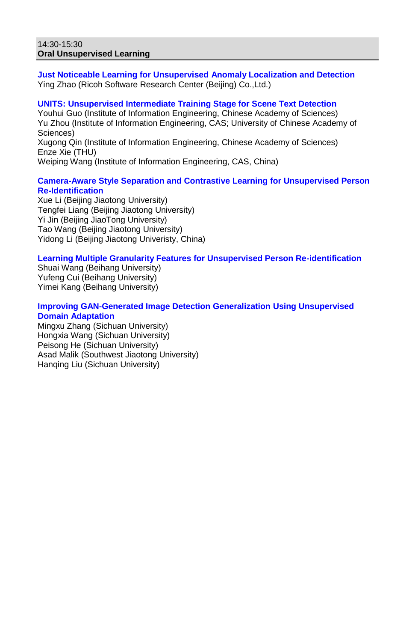#### 14:30-15:30 **Oral Unsupervised Learning**

**Just Noticeable Learning for Unsupervised Anomaly Localization and Detection** Ying Zhao (Ricoh Software Research Center (Beijing) Co.,Ltd.)

# **UNITS: Unsupervised Intermediate Training Stage for Scene Text Detection**

Youhui Guo (Institute of Information Engineering, Chinese Academy of Sciences) Yu Zhou (Institute of Information Engineering, CAS; University of Chinese Academy of Sciences)

Xugong Qin (Institute of Information Engineering, Chinese Academy of Sciences) Enze Xie (THU)

Weiping Wang (Institute of Information Engineering, CAS, China)

## **Camera-Aware Style Separation and Contrastive Learning for Unsupervised Person Re-Identification**

Xue Li (Beijing Jiaotong University) Tengfei Liang (Beijing Jiaotong University) Yi Jin (Beijing JiaoTong University) Tao Wang (Beijing Jiaotong University) Yidong Li (Beijing Jiaotong Univeristy, China)

## **Learning Multiple Granularity Features for Unsupervised Person Re-identification**

Shuai Wang (Beihang University) Yufeng Cui (Beihang University) Yimei Kang (Beihang University)

### **Improving GAN-Generated Image Detection Generalization Using Unsupervised Domain Adaptation**

Mingxu Zhang (Sichuan University) Hongxia Wang (Sichuan University) Peisong He (Sichuan University) Asad Malik (Southwest Jiaotong University) Hanqing Liu (Sichuan University)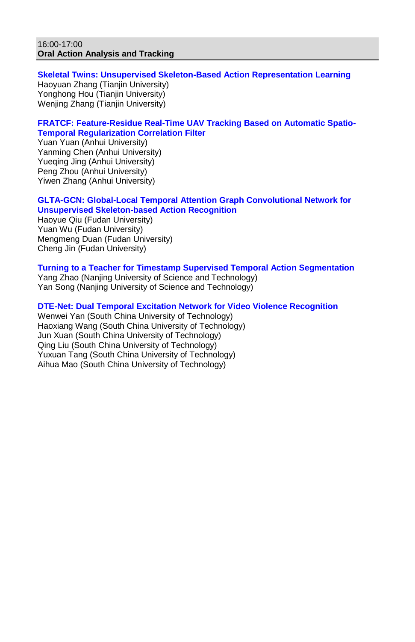#### 16:00-17:00 **Oral Action Analysis and Tracking**

#### **Skeletal Twins: Unsupervised Skeleton-Based Action Representation Learning** Haoyuan Zhang (Tianjin University) Yonghong Hou (Tianjin University) Wenjing Zhang (Tianjin University)

## **FRATCF: Feature-Residue Real-Time UAV Tracking Based on Automatic Spatio-Temporal Regularization Correlation Filter**

Yuan Yuan (Anhui University) Yanming Chen (Anhui University) Yueqing Jing (Anhui University) Peng Zhou (Anhui University) Yiwen Zhang (Anhui University)

## **GLTA-GCN: Global-Local Temporal Attention Graph Convolutional Network for Unsupervised Skeleton-based Action Recognition**

Haoyue Qiu (Fudan University) Yuan Wu (Fudan University) Mengmeng Duan (Fudan University) Cheng Jin (Fudan University)

## **Turning to a Teacher for Timestamp Supervised Temporal Action Segmentation**

Yang Zhao (Nanjing University of Science and Technology) Yan Song (Nanjing University of Science and Technology)

## **DTE-Net: Dual Temporal Excitation Network for Video Violence Recognition**

Wenwei Yan (South China University of Technology) Haoxiang Wang (South China University of Technology) Jun Xuan (South China University of Technology) Qing Liu (South China University of Technology) Yuxuan Tang (South China University of Technology) Aihua Mao (South China University of Technology)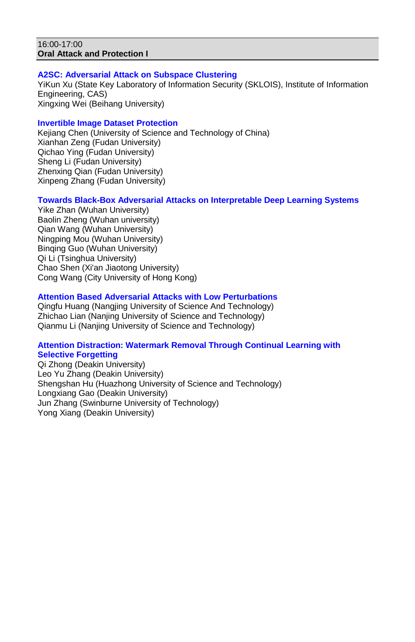#### 16:00-17:00 **Oral Attack and Protection I**

### **A2SC: Adversarial Attack on Subspace Clustering**

YiKun Xu (State Key Laboratory of Information Security (SKLOIS), Institute of Information Engineering, CAS) Xingxing Wei (Beihang University)

## **Invertible Image Dataset Protection**

Kejiang Chen (University of Science and Technology of China) Xianhan Zeng (Fudan University) Qichao Ying (Fudan University) Sheng Li (Fudan University) Zhenxing Qian (Fudan University) Xinpeng Zhang (Fudan University)

## **Towards Black-Box Adversarial Attacks on Interpretable Deep Learning Systems**

Yike Zhan (Wuhan University) Baolin Zheng (Wuhan university) Qian Wang (Wuhan University) Ningping Mou (Wuhan University) Binqing Guo (Wuhan University) Qi Li (Tsinghua University) Chao Shen (Xi'an Jiaotong University) Cong Wang (City University of Hong Kong)

## **Attention Based Adversarial Attacks with Low Perturbations**

Qingfu Huang (Nangjing University of Science And Technology) Zhichao Lian (Nanjing University of Science and Technology) Qianmu Li (Nanjing University of Science and Technology)

#### **Attention Distraction: Watermark Removal Through Continual Learning with Selective Forgetting**

Qi Zhong (Deakin University) Leo Yu Zhang (Deakin University) Shengshan Hu (Huazhong University of Science and Technology) Longxiang Gao (Deakin University) Jun Zhang (Swinburne University of Technology) Yong Xiang (Deakin University)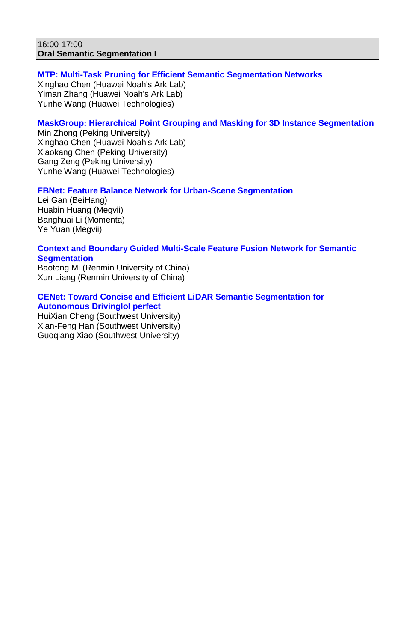#### 16:00-17:00 **Oral Semantic Segmentation I**

## **MTP: Multi-Task Pruning for Efficient Semantic Segmentation Networks**

Xinghao Chen (Huawei Noah's Ark Lab) Yiman Zhang (Huawei Noah's Ark Lab) Yunhe Wang (Huawei Technologies)

## **MaskGroup: Hierarchical Point Grouping and Masking for 3D Instance Segmentation**

Min Zhong (Peking University) Xinghao Chen (Huawei Noah's Ark Lab) Xiaokang Chen (Peking University) Gang Zeng (Peking University) Yunhe Wang (Huawei Technologies)

### **FBNet: Feature Balance Network for Urban-Scene Segmentation**

Lei Gan (BeiHang) Huabin Huang (Megvii) Banghuai Li (Momenta) Ye Yuan (Megvii)

#### **Context and Boundary Guided Multi-Scale Feature Fusion Network for Semantic Segmentation**

Baotong Mi (Renmin University of China) Xun Liang (Renmin University of China)

### **CENet: Toward Concise and Efficient LiDAR Semantic Segmentation for Autonomous Drivinglol perfect**

HuiXian Cheng (Southwest University) Xian-Feng Han (Southwest University) Guoqiang Xiao (Southwest University)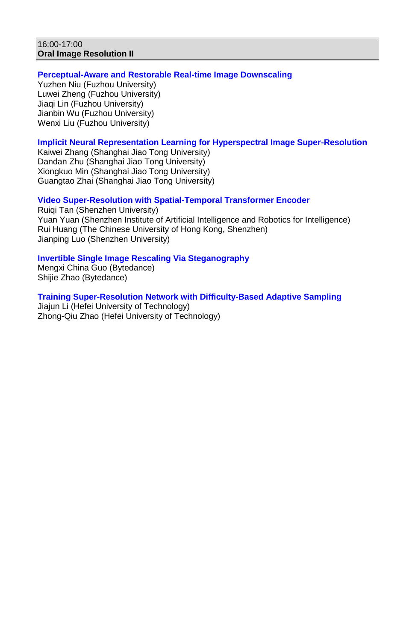#### 16:00-17:00 **Oral Image Resolution II**

### **Perceptual-Aware and Restorable Real-time Image Downscaling**

Yuzhen Niu (Fuzhou University) Luwei Zheng (Fuzhou University) Jiaqi Lin (Fuzhou University) Jianbin Wu (Fuzhou University) Wenxi Liu (Fuzhou University)

## **Implicit Neural Representation Learning for Hyperspectral Image Super-Resolution**

Kaiwei Zhang (Shanghai Jiao Tong University) Dandan Zhu (Shanghai Jiao Tong University) Xiongkuo Min (Shanghai Jiao Tong University) Guangtao Zhai (Shanghai Jiao Tong University)

### **Video Super-Resolution with Spatial-Temporal Transformer Encoder**

Ruiqi Tan (Shenzhen University) Yuan Yuan (Shenzhen Institute of Artificial Intelligence and Robotics for Intelligence) Rui Huang (The Chinese University of Hong Kong, Shenzhen) Jianping Luo (Shenzhen University)

## **Invertible Single Image Rescaling Via Steganography**

Mengxi China Guo (Bytedance) Shijie Zhao (Bytedance)

**Training Super-Resolution Network with Difficulty-Based Adaptive Sampling** Jiajun Li (Hefei University of Technology) Zhong-Qiu Zhao (Hefei University of Technology)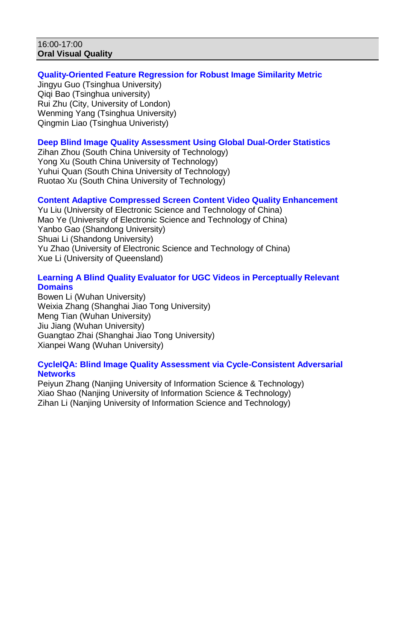#### 16:00-17:00 **Oral Visual Quality**

## **Quality-Oriented Feature Regression for Robust Image Similarity Metric**

Jingyu Guo (Tsinghua University) Qiqi Bao (Tsinghua university) Rui Zhu (City, University of London) Wenming Yang (Tsinghua University) Qingmin Liao (Tsinghua Univeristy)

## **Deep Blind Image Quality Assessment Using Global Dual-Order Statistics**

Zihan Zhou (South China University of Technology) Yong Xu (South China University of Technology) Yuhui Quan (South China University of Technology) Ruotao Xu (South China University of Technology)

## **Content Adaptive Compressed Screen Content Video Quality Enhancement**

Yu Liu (University of Electronic Science and Technology of China) Mao Ye (University of Electronic Science and Technology of China) Yanbo Gao (Shandong University) Shuai Li (Shandong University) Yu Zhao (University of Electronic Science and Technology of China) Xue Li (University of Queensland)

### **Learning A Blind Quality Evaluator for UGC Videos in Perceptually Relevant Domains**

Bowen Li (Wuhan University) Weixia Zhang (Shanghai Jiao Tong University) Meng Tian (Wuhan University) Jiu Jiang (Wuhan University) Guangtao Zhai (Shanghai Jiao Tong University) Xianpei Wang (Wuhan University)

#### **CycleIQA: Blind Image Quality Assessment via Cycle-Consistent Adversarial Networks**

Peiyun Zhang (Nanjing University of Information Science & Technology) Xiao Shao (Nanjing University of Information Science & Technology) Zihan Li (Nanjing University of Information Science and Technology)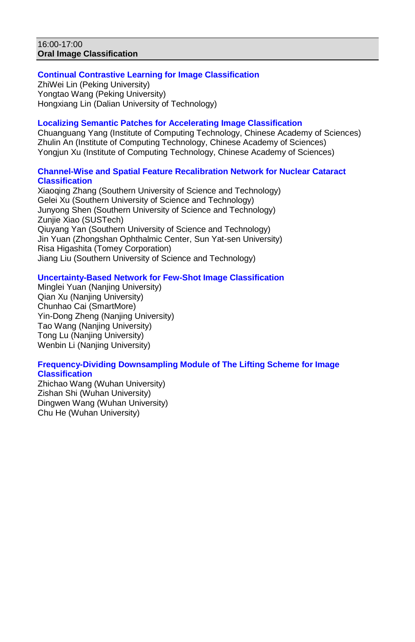#### 16:00-17:00 **Oral Image Classification**

## **Continual Contrastive Learning for Image Classification**

ZhiWei Lin (Peking University) Yongtao Wang (Peking University) Hongxiang Lin (Dalian University of Technology)

### **Localizing Semantic Patches for Accelerating Image Classification**

Chuanguang Yang (Institute of Computing Technology, Chinese Academy of Sciences) Zhulin An (Institute of Computing Technology, Chinese Academy of Sciences) Yongjun Xu (Institute of Computing Technology, Chinese Academy of Sciences)

## **Channel-Wise and Spatial Feature Recalibration Network for Nuclear Cataract Classification**

Xiaoqing Zhang (Southern University of Science and Technology) Gelei Xu (Southern University of Science and Technology) Junyong Shen (Southern University of Science and Technology) Zunjie Xiao (SUSTech) Qiuyang Yan (Southern University of Science and Technology) Jin Yuan (Zhongshan Ophthalmic Center, Sun Yat-sen University) Risa Higashita (Tomey Corporation) Jiang Liu (Southern University of Science and Technology)

### **Uncertainty-Based Network for Few-Shot Image Classification**

Minglei Yuan (Nanjing University) Qian Xu (Nanjing University) Chunhao Cai (SmartMore) Yin-Dong Zheng (Nanjing University) Tao Wang (Nanjing University) Tong Lu (Nanjing University) Wenbin Li (Nanjing University)

### **Frequency-Dividing Downsampling Module of The Lifting Scheme for Image Classification**

Zhichao Wang (Wuhan University) Zishan Shi (Wuhan University) Dingwen Wang (Wuhan University) Chu He (Wuhan University)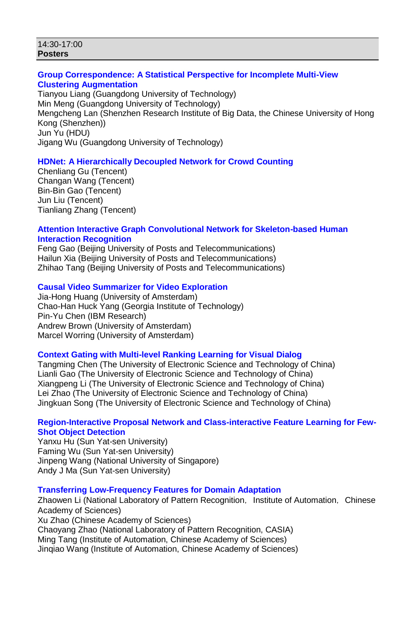#### 14:30-17:00 **Posters**

#### **Group Correspondence: A Statistical Perspective for Incomplete Multi-View Clustering Augmentation**

Tianyou Liang (Guangdong University of Technology) Min Meng (Guangdong University of Technology) Mengcheng Lan (Shenzhen Research Institute of Big Data, the Chinese University of Hong Kong (Shenzhen)) Jun Yu (HDU) Jigang Wu (Guangdong University of Technology)

### **HDNet: A Hierarchically Decoupled Network for Crowd Counting**

Chenliang Gu (Tencent) Changan Wang (Tencent) Bin-Bin Gao (Tencent) Jun Liu (Tencent) Tianliang Zhang (Tencent)

### **Attention Interactive Graph Convolutional Network for Skeleton-based Human Interaction Recognition**

Feng Gao (Beijing University of Posts and Telecommunications) Hailun Xia (Beijing University of Posts and Telecommunications) Zhihao Tang (Beijing University of Posts and Telecommunications)

## **Causal Video Summarizer for Video Exploration**

Jia-Hong Huang (University of Amsterdam) Chao-Han Huck Yang (Georgia Institute of Technology) Pin-Yu Chen (IBM Research) Andrew Brown (University of Amsterdam) Marcel Worring (University of Amsterdam)

### **Context Gating with Multi-level Ranking Learning for Visual Dialog**

Tangming Chen (The University of Electronic Science and Technology of China) Lianli Gao (The University of Electronic Science and Technology of China) Xiangpeng Li (The University of Electronic Science and Technology of China) Lei Zhao (The University of Electronic Science and Technology of China) Jingkuan Song (The University of Electronic Science and Technology of China)

### **Region-Interactive Proposal Network and Class-interactive Feature Learning for Few-Shot Object Detection**

Yanxu Hu (Sun Yat-sen University) Faming Wu (Sun Yat-sen University) Jinpeng Wang (National University of Singapore) Andy J Ma (Sun Yat-sen University)

### **Transferring Low-Frequency Features for Domain Adaptation**

Zhaowen Li (National Laboratory of Pattern Recognition, Institute of Automation, Chinese Academy of Sciences)

Xu Zhao (Chinese Academy of Sciences) Chaoyang Zhao (National Laboratory of Pattern Recognition, CASIA) Ming Tang (Institute of Automation, Chinese Academy of Sciences) Jinqiao Wang (Institute of Automation, Chinese Academy of Sciences)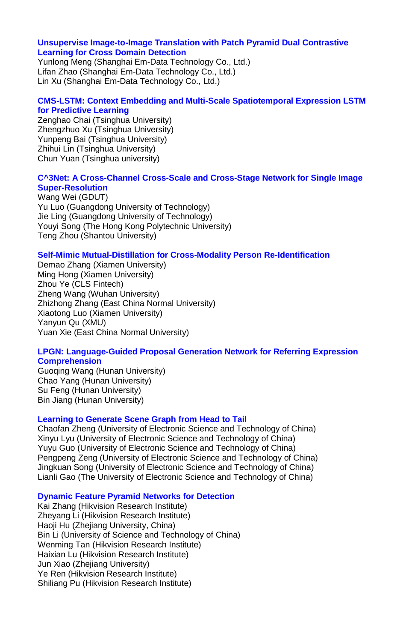#### **Unsupervise Image-to-Image Translation with Patch Pyramid Dual Contrastive Learning for Cross Domain Detection**

Yunlong Meng (Shanghai Em-Data Technology Co., Ltd.) Lifan Zhao (Shanghai Em-Data Technology Co., Ltd.) Lin Xu (Shanghai Em-Data Technology Co., Ltd.)

### **CMS-LSTM: Context Embedding and Multi-Scale Spatiotemporal Expression LSTM for Predictive Learning**

Zenghao Chai (Tsinghua University) Zhengzhuo Xu (Tsinghua University) Yunpeng Bai (Tsinghua University) Zhihui Lin (Tsinghua University) Chun Yuan (Tsinghua university)

### **C^3Net: A Cross-Channel Cross-Scale and Cross-Stage Network for Single Image Super-Resolution**

Wang Wei (GDUT) Yu Luo (Guangdong University of Technology) Jie Ling (Guangdong University of Technology) Youyi Song (The Hong Kong Polytechnic University) Teng Zhou (Shantou University)

### **Self-Mimic Mutual-Distillation for Cross-Modality Person Re-Identification**

Demao Zhang (Xiamen University) Ming Hong (Xiamen University) Zhou Ye (CLS Fintech) Zheng Wang (Wuhan University) Zhizhong Zhang (East China Normal University) Xiaotong Luo (Xiamen University) Yanyun Qu (XMU) Yuan Xie (East China Normal University)

#### **LPGN: Language-Guided Proposal Generation Network for Referring Expression Comprehension**

Guoqing Wang (Hunan University) Chao Yang (Hunan University) Su Feng (Hunan University) Bin Jiang (Hunan University)

### **Learning to Generate Scene Graph from Head to Tail**

Chaofan Zheng (University of Electronic Science and Technology of China) Xinyu Lyu (University of Electronic Science and Technology of China) Yuyu Guo (University of Electronic Science and Technology of China) Pengpeng Zeng (University of Electronic Science and Technology of China) Jingkuan Song (University of Electronic Science and Technology of China) Lianli Gao (The University of Electronic Science and Technology of China)

## **Dynamic Feature Pyramid Networks for Detection**

Kai Zhang (Hikvision Research Institute) Zheyang Li (Hikvision Research Institute) Haoji Hu (Zhejiang University, China) Bin Li (University of Science and Technology of China) Wenming Tan (Hikvision Research Institute) Haixian Lu (Hikvision Research Institute) Jun Xiao (Zhejiang University) Ye Ren (Hikvision Research Institute) Shiliang Pu (Hikvision Research Institute)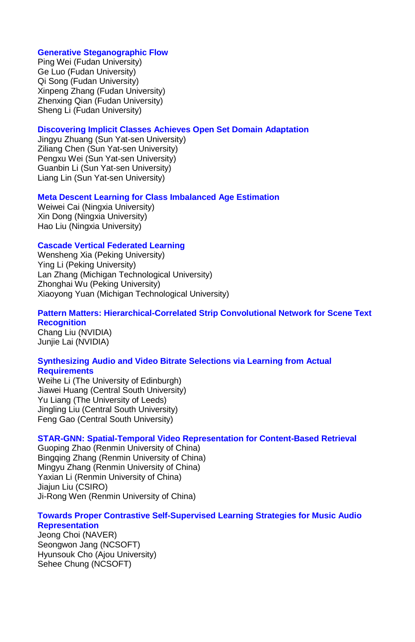#### **Generative Steganographic Flow**

Ping Wei (Fudan University) Ge Luo (Fudan University) Qi Song (Fudan University) Xinpeng Zhang (Fudan University) Zhenxing Qian (Fudan University) Sheng Li (Fudan University)

#### **Discovering Implicit Classes Achieves Open Set Domain Adaptation**

Jingyu Zhuang (Sun Yat-sen University) Ziliang Chen (Sun Yat-sen University) Pengxu Wei (Sun Yat-sen University) Guanbin Li (Sun Yat-sen University) Liang Lin (Sun Yat-sen University)

## **Meta Descent Learning for Class Imbalanced Age Estimation**

Weiwei Cai (Ningxia University) Xin Dong (Ningxia University) Hao Liu (Ningxia University)

#### **Cascade Vertical Federated Learning**

Wensheng Xia (Peking University) Ying Li (Peking University) Lan Zhang (Michigan Technological University) Zhonghai Wu (Peking University) Xiaoyong Yuan (Michigan Technological University)

## **Pattern Matters: Hierarchical-Correlated Strip Convolutional Network for Scene Text Recognition**

Chang Liu (NVIDIA) Junjie Lai (NVIDIA)

#### **Synthesizing Audio and Video Bitrate Selections via Learning from Actual Requirements**

Weihe Li (The University of Edinburgh) Jiawei Huang (Central South University) Yu Liang (The University of Leeds) Jingling Liu (Central South University) Feng Gao (Central South University)

### **STAR-GNN: Spatial-Temporal Video Representation for Content-Based Retrieval**

Guoping Zhao (Renmin University of China) Bingqing Zhang (Renmin University of China) Mingyu Zhang (Renmin University of China) Yaxian Li (Renmin University of China) Jiajun Liu (CSIRO) Ji-Rong Wen (Renmin University of China)

### **Towards Proper Contrastive Self-Supervised Learning Strategies for Music Audio Representation**

Jeong Choi (NAVER) Seongwon Jang (NCSOFT) Hyunsouk Cho (Ajou University) Sehee Chung (NCSOFT)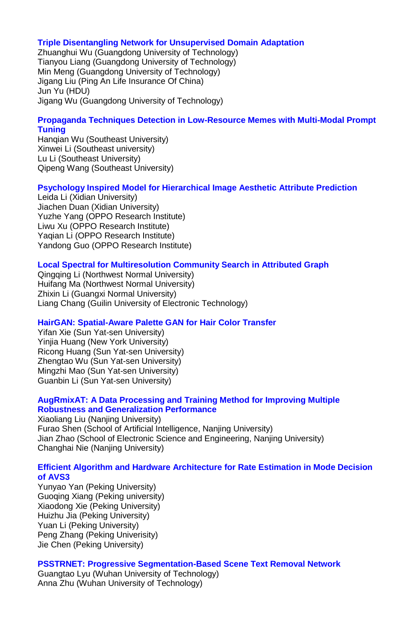#### **Triple Disentangling Network for Unsupervised Domain Adaptation**

Zhuanghui Wu (Guangdong University of Technology) Tianyou Liang (Guangdong University of Technology) Min Meng (Guangdong University of Technology) Jigang Liu (Ping An Life Insurance Of China) Jun Yu (HDU) Jigang Wu (Guangdong University of Technology)

### **Propaganda Techniques Detection in Low-Resource Memes with Multi-Modal Prompt Tuning**

Hanqian Wu (Southeast University) Xinwei Li (Southeast university) Lu Li (Southeast University) Qipeng Wang (Southeast University)

### **Psychology Inspired Model for Hierarchical Image Aesthetic Attribute Prediction**

Leida Li (Xidian University) Jiachen Duan (Xidian University) Yuzhe Yang (OPPO Research Institute) Liwu Xu (OPPO Research Institute) Yaqian Li (OPPO Research Institute) Yandong Guo (OPPO Research Institute)

### **Local Spectral for Multiresolution Community Search in Attributed Graph**

Qingqing Li (Northwest Normal University) Huifang Ma (Northwest Normal University) Zhixin Li (Guangxi Normal University) Liang Chang (Guilin University of Electronic Technology)

#### **HairGAN: Spatial-Aware Palette GAN for Hair Color Transfer**

Yifan Xie (Sun Yat-sen University) Yinjia Huang (New York University) Ricong Huang (Sun Yat-sen University) Zhengtao Wu (Sun Yat-sen University) Mingzhi Mao (Sun Yat-sen University) Guanbin Li (Sun Yat-sen University)

### **AugRmixAT: A Data Processing and Training Method for Improving Multiple Robustness and Generalization Performance**

Xiaoliang Liu (Nanjing University) Furao Shen (School of Artificial Intelligence, Nanjing University) Jian Zhao (School of Electronic Science and Engineering, Nanjing University) Changhai Nie (Nanjing University)

#### **Efficient Algorithm and Hardware Architecture for Rate Estimation in Mode Decision of AVS3**

Yunyao Yan (Peking University) Guoqing Xiang (Peking university) Xiaodong Xie (Peking University) Huizhu Jia (Peking University) Yuan Li (Peking University) Peng Zhang (Peking Univerisity) Jie Chen (Peking University)

### **PSSTRNET: Progressive Segmentation-Based Scene Text Removal Network**

Guangtao Lyu (Wuhan University of Technology) Anna Zhu (Wuhan University of Technology)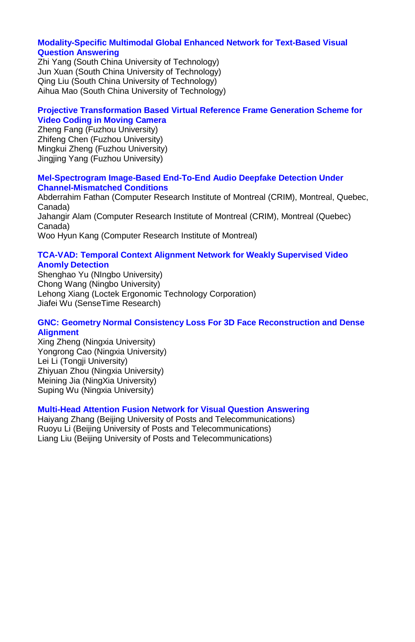### **Modality-Specific Multimodal Global Enhanced Network for Text-Based Visual Question Answering**

Zhi Yang (South China University of Technology) Jun Xuan (South China University of Technology) Qing Liu (South China University of Technology) Aihua Mao (South China University of Technology)

### **Projective Transformation Based Virtual Reference Frame Generation Scheme for Video Coding in Moving Camera**

Zheng Fang (Fuzhou University) Zhifeng Chen (Fuzhou University) Mingkui Zheng (Fuzhou University) Jingjing Yang (Fuzhou University)

#### **Mel-Spectrogram Image-Based End-To-End Audio Deepfake Detection Under Channel-Mismatched Conditions**

Abderrahim Fathan (Computer Research Institute of Montreal (CRIM), Montreal, Quebec, Canada) Jahangir Alam (Computer Research Institute of Montreal (CRIM), Montreal (Quebec) Canada) Woo Hyun Kang (Computer Research Institute of Montreal)

#### **TCA-VAD: Temporal Context Alignment Network for Weakly Supervised Video Anomly Detection**

Shenghao Yu (NIngbo University) Chong Wang (Ningbo University) Lehong Xiang (Loctek Ergonomic Technology Corporation) Jiafei Wu (SenseTime Research)

## **GNC: Geometry Normal Consistency Loss For 3D Face Reconstruction and Dense Alignment**

Xing Zheng (Ningxia University) Yongrong Cao (Ningxia University) Lei Li (Tongii University) Zhiyuan Zhou (Ningxia University) Meining Jia (NingXia University) Suping Wu (Ningxia University)

### **Multi-Head Attention Fusion Network for Visual Question Answering**

Haiyang Zhang (Beijing University of Posts and Telecommunications) Ruoyu Li (Beijing University of Posts and Telecommunications) Liang Liu (Beijing University of Posts and Telecommunications)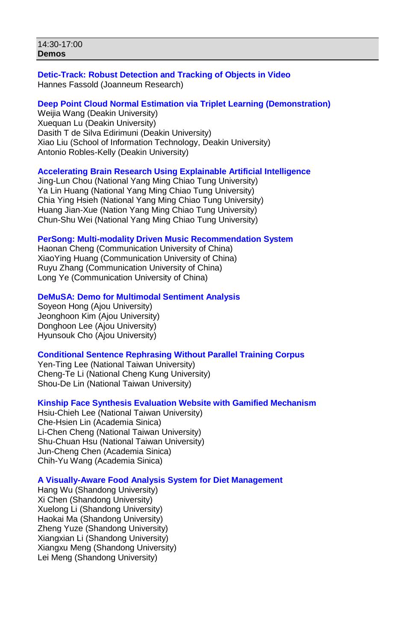### **Detic-Track: Robust Detection and Tracking of Objects in Video** Hannes Fassold (Joanneum Research)

#### **Deep Point Cloud Normal Estimation via Triplet Learning (Demonstration)**

Weijia Wang (Deakin University) Xuequan Lu (Deakin University) Dasith T de Silva Edirimuni (Deakin University) Xiao Liu (School of Information Technology, Deakin University) Antonio Robles-Kelly (Deakin University)

### **Accelerating Brain Research Using Explainable Artificial Intelligence**

Jing-Lun Chou (National Yang Ming Chiao Tung University) Ya Lin Huang (National Yang Ming Chiao Tung University) Chia Ying Hsieh (National Yang Ming Chiao Tung University) Huang Jian-Xue (Nation Yang Ming Chiao Tung University) Chun-Shu Wei (National Yang Ming Chiao Tung University)

### **PerSong: Multi-modality Driven Music Recommendation System**

Haonan Cheng (Communication University of China) XiaoYing Huang (Communication University of China) Ruyu Zhang (Communication University of China) Long Ye (Communication University of China)

### **DeMuSA: Demo for Multimodal Sentiment Analysis**

Soyeon Hong (Ajou University) Jeonghoon Kim (Ajou University) Donghoon Lee (Ajou University) Hyunsouk Cho (Ajou University)

### **Conditional Sentence Rephrasing Without Parallel Training Corpus**

Yen-Ting Lee (National Taiwan University) Cheng-Te Li (National Cheng Kung University) Shou-De Lin (National Taiwan University)

### **Kinship Face Synthesis Evaluation Website with Gamified Mechanism**

Hsiu-Chieh Lee (National Taiwan University) Che-Hsien Lin (Academia Sinica) Li-Chen Cheng (National Taiwan University) Shu-Chuan Hsu (National Taiwan University) Jun-Cheng Chen (Academia Sinica) Chih-Yu Wang (Academia Sinica)

### **A Visually-Aware Food Analysis System for Diet Management**

Hang Wu (Shandong University) Xi Chen (Shandong University) Xuelong Li (Shandong University) Haokai Ma (Shandong University) Zheng Yuze (Shandong University) Xiangxian Li (Shandong University) Xiangxu Meng (Shandong University) Lei Meng (Shandong University)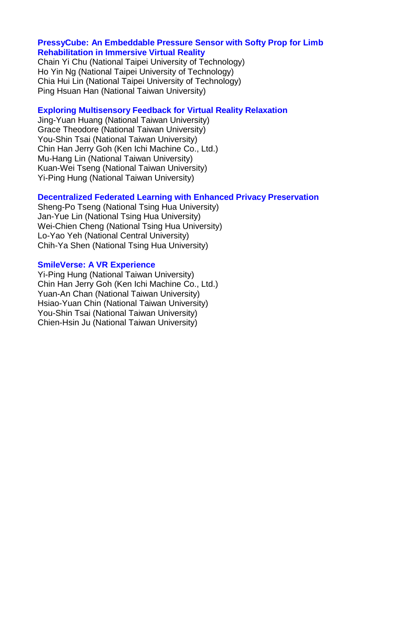### **PressyCube: An Embeddable Pressure Sensor with Softy Prop for Limb Rehabilitation in Immersive Virtual Reality**

Chain Yi Chu (National Taipei University of Technology) Ho Yin Ng (National Taipei University of Technology) Chia Hui Lin (National Taipei University of Technology) Ping Hsuan Han (National Taiwan University)

#### **Exploring Multisensory Feedback for Virtual Reality Relaxation**

Jing-Yuan Huang (National Taiwan University) Grace Theodore (National Taiwan University) You-Shin Tsai (National Taiwan University) Chin Han Jerry Goh (Ken Ichi Machine Co., Ltd.) Mu-Hang Lin (National Taiwan University) Kuan-Wei Tseng (National Taiwan University) Yi-Ping Hung (National Taiwan University)

#### **Decentralized Federated Learning with Enhanced Privacy Preservation**

Sheng-Po Tseng (National Tsing Hua University) Jan-Yue Lin (National Tsing Hua University) Wei-Chien Cheng (National Tsing Hua University) Lo-Yao Yeh (National Central University) Chih-Ya Shen (National Tsing Hua University)

#### **SmileVerse: A VR Experience**

Yi-Ping Hung (National Taiwan University) Chin Han Jerry Goh (Ken Ichi Machine Co., Ltd.) Yuan-An Chan (National Taiwan University) Hsiao-Yuan Chin (National Taiwan University) You-Shin Tsai (National Taiwan University) Chien-Hsin Ju (National Taiwan University)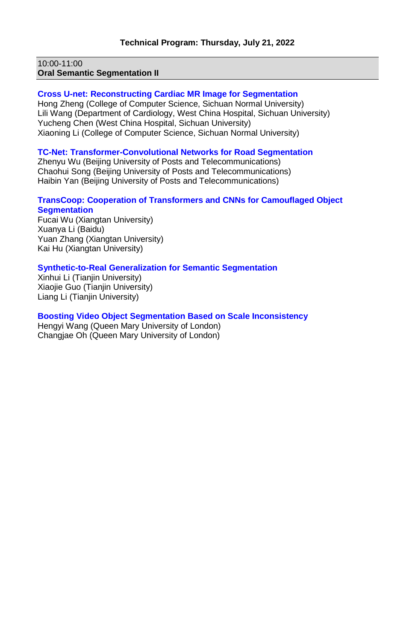10:00-11:00 **Oral Semantic Segmentation II**

#### **Cross U-net: Reconstructing Cardiac MR Image for Segmentation**

Hong Zheng (College of Computer Science, Sichuan Normal University) Lili Wang (Department of Cardiology, West China Hospital, Sichuan University) Yucheng Chen (West China Hospital, Sichuan University) Xiaoning Li (College of Computer Science, Sichuan Normal University)

#### **TC-Net: Transformer-Convolutional Networks for Road Segmentation**

Zhenyu Wu (Beijing University of Posts and Telecommunications) Chaohui Song (Beijing University of Posts and Telecommunications) Haibin Yan (Beijing University of Posts and Telecommunications)

#### **TransCoop: Cooperation of Transformers and CNNs for Camouflaged Object Segmentation**

Fucai Wu (Xiangtan University) Xuanya Li (Baidu) Yuan Zhang (Xiangtan University) Kai Hu (Xiangtan University)

#### **Synthetic-to-Real Generalization for Semantic Segmentation**

Xinhui Li (Tianjin University) Xiaojie Guo (Tianjin University) Liang Li (Tianjin University)

### **Boosting Video Object Segmentation Based on Scale Inconsistency**

Hengyi Wang (Queen Mary University of London) Changjae Oh (Queen Mary University of London)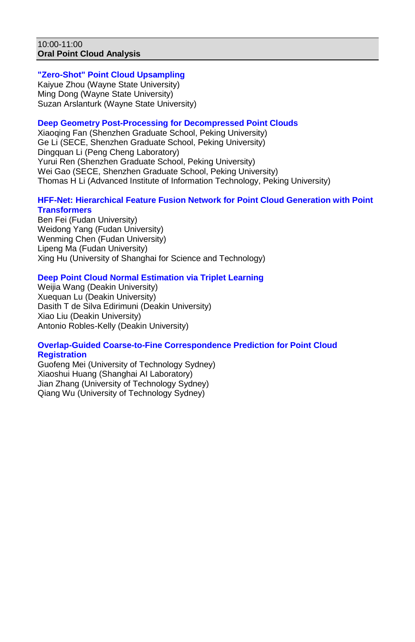#### 10:00-11:00 **Oral Point Cloud Analysis**

## **"Zero-Shot" Point Cloud Upsampling**

Kaiyue Zhou (Wayne State University) Ming Dong (Wayne State University) Suzan Arslanturk (Wayne State University)

### **Deep Geometry Post-Processing for Decompressed Point Clouds**

Xiaoqing Fan (Shenzhen Graduate School, Peking University) Ge Li (SECE, Shenzhen Graduate School, Peking University) Dingquan Li (Peng Cheng Laboratory) Yurui Ren (Shenzhen Graduate School, Peking University) Wei Gao (SECE, Shenzhen Graduate School, Peking University) Thomas H Li (Advanced Institute of Information Technology, Peking University)

## **HFF-Net: Hierarchical Feature Fusion Network for Point Cloud Generation with Point Transformers**

Ben Fei (Fudan University) Weidong Yang (Fudan University) Wenming Chen (Fudan University) Lipeng Ma (Fudan University) Xing Hu (University of Shanghai for Science and Technology)

### **Deep Point Cloud Normal Estimation via Triplet Learning**

Weijia Wang (Deakin University) Xuequan Lu (Deakin University) Dasith T de Silva Edirimuni (Deakin University) Xiao Liu (Deakin University) Antonio Robles-Kelly (Deakin University)

#### **Overlap-Guided Coarse-to-Fine Correspondence Prediction for Point Cloud Registration**

Guofeng Mei (University of Technology Sydney) Xiaoshui Huang (Shanghai AI Laboratory) Jian Zhang (University of Technology Sydney) Qiang Wu (University of Technology Sydney)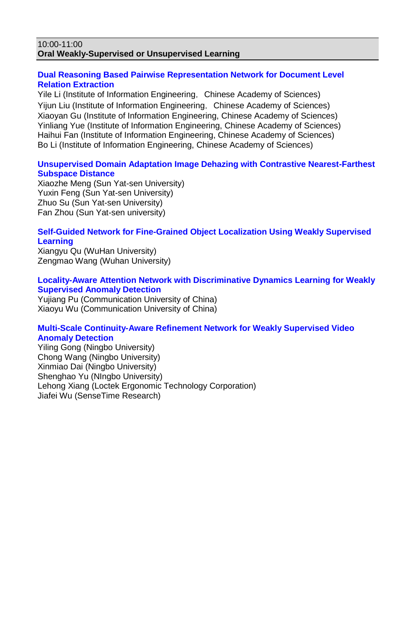#### 10:00-11:00 **Oral Weakly-Supervised or Unsupervised Learning**

### **Dual Reasoning Based Pairwise Representation Network for Document Level Relation Extraction**

Yile Li (Institute of Information Engineering, Chinese Academy of Sciences) Yijun Liu (Institute of Information Engineering, Chinese Academy of Sciences) Xiaoyan Gu (Institute of Information Engineering, Chinese Academy of Sciences) Yinliang Yue (Institute of Information Engineering, Chinese Academy of Sciences) Haihui Fan (Institute of Information Engineering, Chinese Academy of Sciences) Bo Li (Institute of Information Engineering, Chinese Academy of Sciences)

## **Unsupervised Domain Adaptation Image Dehazing with Contrastive Nearest-Farthest Subspace Distance**

Xiaozhe Meng (Sun Yat-sen University) Yuxin Feng (Sun Yat-sen University) Zhuo Su (Sun Yat-sen University) Fan Zhou (Sun Yat-sen university)

### **Self-Guided Network for Fine-Grained Object Localization Using Weakly Supervised Learning**

Xiangyu Qu (WuHan University) Zengmao Wang (Wuhan University)

#### **Locality-Aware Attention Network with Discriminative Dynamics Learning for Weakly Supervised Anomaly Detection**

Yujiang Pu (Communication University of China) Xiaoyu Wu (Communication University of China)

### **Multi-Scale Continuity-Aware Refinement Network for Weakly Supervised Video Anomaly Detection**

Yiling Gong (Ningbo University) Chong Wang (Ningbo University) Xinmiao Dai (Ningbo University) Shenghao Yu (NIngbo University) Lehong Xiang (Loctek Ergonomic Technology Corporation) Jiafei Wu (SenseTime Research)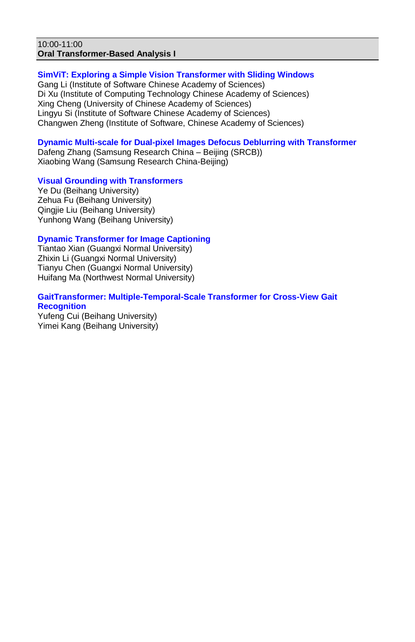#### 10:00-11:00 **Oral Transformer-Based Analysis I**

### **SimViT: Exploring a Simple Vision Transformer with Sliding Windows**

Gang Li (Institute of Software Chinese Academy of Sciences) Di Xu (Institute of Computing Technology Chinese Academy of Sciences) Xing Cheng (University of Chinese Academy of Sciences) Lingyu Si (Institute of Software Chinese Academy of Sciences) Changwen Zheng (Institute of Software, Chinese Academy of Sciences)

### **Dynamic Multi-scale for Dual-pixel Images Defocus Deblurring with Transformer**

Dafeng Zhang (Samsung Research China – Beijing (SRCB)) Xiaobing Wang (Samsung Research China-Beijing)

### **Visual Grounding with Transformers**

Ye Du (Beihang University) Zehua Fu (Beihang University) Qingjie Liu (Beihang University) Yunhong Wang (Beihang University)

## **Dynamic Transformer for Image Captioning**

Tiantao Xian (Guangxi Normal University) Zhixin Li (Guangxi Normal University) Tianyu Chen (Guangxi Normal University) Huifang Ma (Northwest Normal University)

## **GaitTransformer: Multiple-Temporal-Scale Transformer for Cross-View Gait Recognition**

Yufeng Cui (Beihang University) Yimei Kang (Beihang University)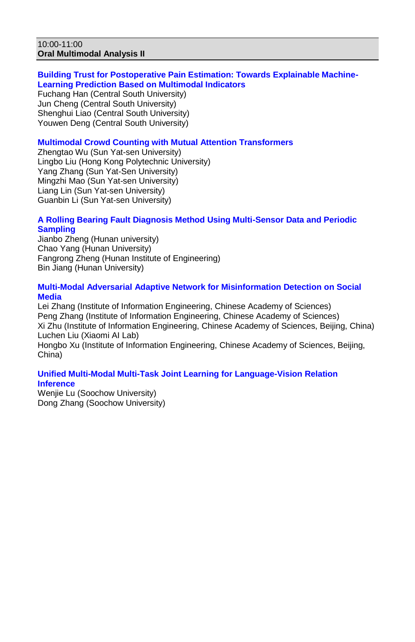#### 10:00-11:00 **Oral Multimodal Analysis II**

## **Building Trust for Postoperative Pain Estimation: Towards Explainable Machine-Learning Prediction Based on Multimodal Indicators**

Fuchang Han (Central South University) Jun Cheng (Central South University) Shenghui Liao (Central South University) Youwen Deng (Central South University)

## **Multimodal Crowd Counting with Mutual Attention Transformers**

Zhengtao Wu (Sun Yat-sen University) Lingbo Liu (Hong Kong Polytechnic University) Yang Zhang (Sun Yat-Sen University) Mingzhi Mao (Sun Yat-sen University) Liang Lin (Sun Yat-sen University) Guanbin Li (Sun Yat-sen University)

## **A Rolling Bearing Fault Diagnosis Method Using Multi-Sensor Data and Periodic Sampling**

Jianbo Zheng (Hunan university) Chao Yang (Hunan University) Fangrong Zheng (Hunan Institute of Engineering) Bin Jiang (Hunan University)

#### **Multi-Modal Adversarial Adaptive Network for Misinformation Detection on Social Media**

Lei Zhang (Institute of Information Engineering, Chinese Academy of Sciences) Peng Zhang (Institute of Information Engineering, Chinese Academy of Sciences) Xi Zhu (Institute of Information Engineering, Chinese Academy of Sciences, Beijing, China) Luchen Liu (Xiaomi AI Lab)

Hongbo Xu (Institute of Information Engineering, Chinese Academy of Sciences, Beijing, China)

### **Unified Multi-Modal Multi-Task Joint Learning for Language-Vision Relation Inference**

Wenjie Lu (Soochow University) Dong Zhang (Soochow University)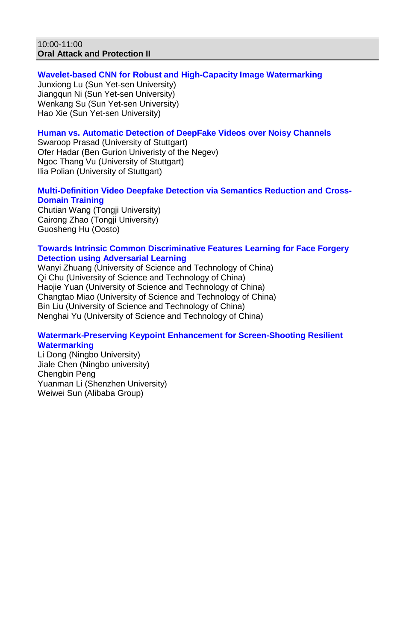#### 10:00-11:00 **Oral Attack and Protection II**

## **Wavelet-based CNN for Robust and High-Capacity Image Watermarking**

Junxiong Lu (Sun Yet-sen University) Jiangqun Ni (Sun Yet-sen University) Wenkang Su (Sun Yet-sen University) Hao Xie (Sun Yet-sen University)

### **Human vs. Automatic Detection of DeepFake Videos over Noisy Channels**

Swaroop Prasad (University of Stuttgart) Ofer Hadar (Ben Gurion Univeristy of the Negev) Ngoc Thang Vu (University of Stuttgart) Ilia Polian (University of Stuttgart)

## **Multi-Definition Video Deepfake Detection via Semantics Reduction and Cross-Domain Training**

Chutian Wang (Tongji University) Cairong Zhao (Tongji University) Guosheng Hu (Oosto)

### **Towards Intrinsic Common Discriminative Features Learning for Face Forgery Detection using Adversarial Learning**

Wanyi Zhuang (University of Science and Technology of China) Qi Chu (University of Science and Technology of China) Haojie Yuan (University of Science and Technology of China) Changtao Miao (University of Science and Technology of China) Bin Liu (University of Science and Technology of China) Nenghai Yu (University of Science and Technology of China)

### **Watermark-Preserving Keypoint Enhancement for Screen-Shooting Resilient Watermarking**

Li Dong (Ningbo University) Jiale Chen (Ningbo university) Chengbin Peng Yuanman Li (Shenzhen University) Weiwei Sun (Alibaba Group)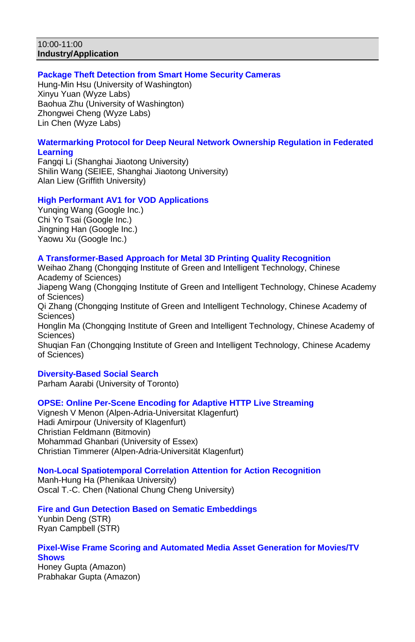#### 10:00-11:00 **Industry/Application**

### **Package Theft Detection from Smart Home Security Cameras**

Hung-Min Hsu (University of Washington) Xinyu Yuan (Wyze Labs) Baohua Zhu (University of Washington) Zhongwei Cheng (Wyze Labs) Lin Chen (Wyze Labs)

### **Watermarking Protocol for Deep Neural Network Ownership Regulation in Federated Learning**

Fangqi Li (Shanghai Jiaotong University) Shilin Wang (SEIEE, Shanghai Jiaotong University) Alan Liew (Griffith University)

### **High Performant AV1 for VOD Applications**

Yunqing Wang (Google Inc.) Chi Yo Tsai (Google Inc.) Jingning Han (Google Inc.) Yaowu Xu (Google Inc.)

#### **A Transformer-Based Approach for Metal 3D Printing Quality Recognition**

Weihao Zhang (Chongqing Institute of Green and Intelligent Technology, Chinese Academy of Sciences) Jiapeng Wang (Chongqing Institute of Green and Intelligent Technology, Chinese Academy of Sciences) Qi Zhang (Chongqing Institute of Green and Intelligent Technology, Chinese Academy of Sciences) Honglin Ma (Chongqing Institute of Green and Intelligent Technology, Chinese Academy of Sciences) Shuqian Fan (Chongqing Institute of Green and Intelligent Technology, Chinese Academy of Sciences)

#### **Diversity-Based Social Search**

Parham Aarabi (University of Toronto)

## **OPSE: Online Per-Scene Encoding for Adaptive HTTP Live Streaming**

Vignesh V Menon (Alpen-Adria-Universitat Klagenfurt) Hadi Amirpour (University of Klagenfurt) Christian Feldmann (Bitmovin) Mohammad Ghanbari (University of Essex) Christian Timmerer (Alpen-Adria-Universität Klagenfurt)

### **Non-Local Spatiotemporal Correlation Attention for Action Recognition**

Manh-Hung Ha (Phenikaa University) Oscal T.-C. Chen (National Chung Cheng University)

### **Fire and Gun Detection Based on Sematic Embeddings**

Yunbin Deng (STR) Ryan Campbell (STR)

#### **Pixel-Wise Frame Scoring and Automated Media Asset Generation for Movies/TV Shows**

Honey Gupta (Amazon) Prabhakar Gupta (Amazon)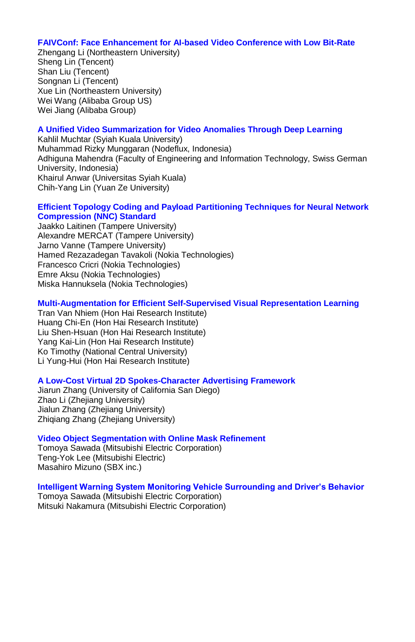#### **FAIVConf: Face Enhancement for AI-based Video Conference with Low Bit-Rate**

Zhengang Li (Northeastern University) Sheng Lin (Tencent) Shan Liu (Tencent) Songnan Li (Tencent) Xue Lin (Northeastern University) Wei Wang (Alibaba Group US) Wei Jiang (Alibaba Group)

### **A Unified Video Summarization for Video Anomalies Through Deep Learning**

Kahlil Muchtar (Syiah Kuala University) Muhammad Rizky Munggaran (Nodeflux, Indonesia) Adhiguna Mahendra (Faculty of Engineering and Information Technology, Swiss German University, Indonesia) Khairul Anwar (Universitas Syiah Kuala) Chih-Yang Lin (Yuan Ze University)

#### **Efficient Topology Coding and Payload Partitioning Techniques for Neural Network Compression (NNC) Standard**

Jaakko Laitinen (Tampere University) Alexandre MERCAT (Tampere University) Jarno Vanne (Tampere University) Hamed Rezazadegan Tavakoli (Nokia Technologies) Francesco Cricri (Nokia Technologies) Emre Aksu (Nokia Technologies) Miska Hannuksela (Nokia Technologies)

### **Multi-Augmentation for Efficient Self-Supervised Visual Representation Learning**

Tran Van Nhiem (Hon Hai Research Institute) Huang Chi-En (Hon Hai Research Institute) Liu Shen-Hsuan (Hon Hai Research Institute) Yang Kai-Lin (Hon Hai Research Institute) Ko Timothy (National Central University) Li Yung-Hui (Hon Hai Research Institute)

### **A Low-Cost Virtual 2D Spokes-Character Advertising Framework**

Jiarun Zhang (University of California San Diego) Zhao Li (Zheiiang University) Jialun Zhang (Zhejiang University) Zhiqiang Zhang (Zhejiang University)

### **Video Object Segmentation with Online Mask Refinement**

Tomoya Sawada (Mitsubishi Electric Corporation) Teng-Yok Lee (Mitsubishi Electric) Masahiro Mizuno (SBX inc.)

#### **Intelligent Warning System Monitoring Vehicle Surrounding and Driver's Behavior**

Tomoya Sawada (Mitsubishi Electric Corporation) Mitsuki Nakamura (Mitsubishi Electric Corporation)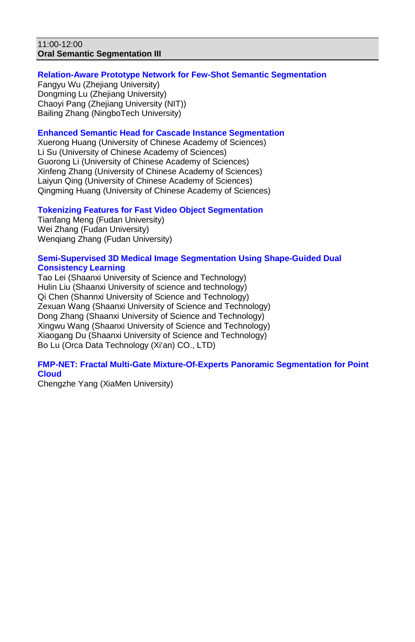#### 11:00-12:00 **Oral Semantic Segmentation III**

## **Relation-Aware Prototype Network for Few-Shot Semantic Segmentation**

Fangyu Wu (Zhejiang University) Dongming Lu (Zhejiang University) Chaoyi Pang (Zhejiang University (NIT)) Bailing Zhang (NingboTech University)

### **Enhanced Semantic Head for Cascade Instance Segmentation**

Xuerong Huang (University of Chinese Academy of Sciences) Li Su (University of Chinese Academy of Sciences) Guorong Li (University of Chinese Academy of Sciences) Xinfeng Zhang (University of Chinese Academy of Sciences) Laiyun Qing (University of Chinese Academy of Sciences) Qingming Huang (University of Chinese Academy of Sciences)

### **Tokenizing Features for Fast Video Object Segmentation**

Tianfang Meng (Fudan University) Wei Zhang (Fudan University) Wenqiang Zhang (Fudan University)

#### **Semi-Supervised 3D Medical Image Segmentation Using Shape-Guided Dual Consistency Learning**

Tao Lei (Shaanxi University of Science and Technology) Hulin Liu (Shaanxi University of science and technology) Qi Chen (Shannxi University of Science and Technology) Zexuan Wang (Shaanxi University of Science and Technology) Dong Zhang (Shaanxi University of Science and Technology) Xingwu Wang (Shaanxi University of Science and Technology) Xiaogang Du (Shaanxi University of Science and Technology) Bo Lu (Orca Data Technology (Xi'an) CO., LTD)

### **FMP-NET: Fractal Multi-Gate Mixture-Of-Experts Panoramic Segmentation for Point Cloud**

Chengzhe Yang (XiaMen University)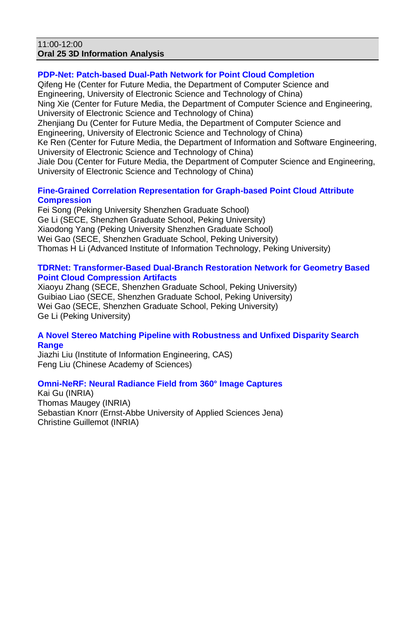#### 11:00-12:00 **Oral 25 3D Information Analysis**

### **PDP-Net: Patch-based Dual-Path Network for Point Cloud Completion**

Qifeng He (Center for Future Media, the Department of Computer Science and Engineering, University of Electronic Science and Technology of China) Ning Xie (Center for Future Media, the Department of Computer Science and Engineering, University of Electronic Science and Technology of China) Zhenjiang Du (Center for Future Media, the Department of Computer Science and Engineering, University of Electronic Science and Technology of China) Ke Ren (Center for Future Media, the Department of Information and Software Engineering, University of Electronic Science and Technology of China) Jiale Dou (Center for Future Media, the Department of Computer Science and Engineering, University of Electronic Science and Technology of China)

#### **Fine-Grained Correlation Representation for Graph-based Point Cloud Attribute Compression**

Fei Song (Peking University Shenzhen Graduate School) Ge Li (SECE, Shenzhen Graduate School, Peking University) Xiaodong Yang (Peking University Shenzhen Graduate School) Wei Gao (SECE, Shenzhen Graduate School, Peking University) Thomas H Li (Advanced Institute of Information Technology, Peking University)

### **TDRNet: Transformer-Based Dual-Branch Restoration Network for Geometry Based Point Cloud Compression Artifacts**

Xiaoyu Zhang (SECE, Shenzhen Graduate School, Peking University) Guibiao Liao (SECE, Shenzhen Graduate School, Peking University) Wei Gao (SECE, Shenzhen Graduate School, Peking University) Ge Li (Peking University)

#### **A Novel Stereo Matching Pipeline with Robustness and Unfixed Disparity Search Range**

Jiazhi Liu (Institute of Information Engineering, CAS) Feng Liu (Chinese Academy of Sciences)

### **Omni-NeRF: Neural Radiance Field from 360° Image Captures**

Kai Gu (INRIA) Thomas Maugey (INRIA) Sebastian Knorr (Ernst-Abbe University of Applied Sciences Jena) Christine Guillemot (INRIA)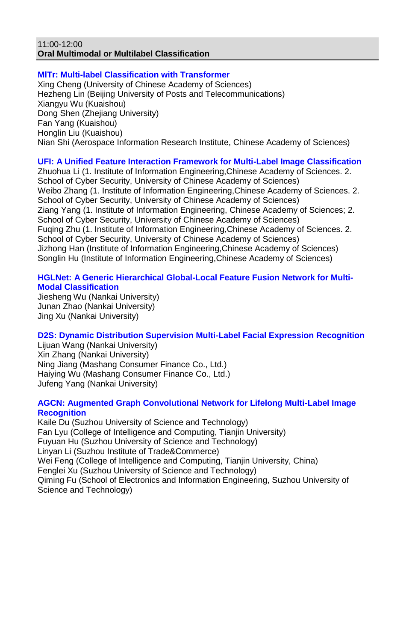#### 11:00-12:00 **Oral Multimodal or Multilabel Classification**

#### **MlTr: Multi-label Classification with Transformer** Xing Cheng (University of Chinese Academy of Sciences) Hezheng Lin (Beijing University of Posts and Telecommunications) Xiangyu Wu (Kuaishou) Dong Shen (Zhejiang University) Fan Yang (Kuaishou) Honglin Liu (Kuaishou) Nian Shi (Aerospace Information Research Institute, Chinese Academy of Sciences)

## **UFI: A Unified Feature Interaction Framework for Multi-Label Image Classification**

Zhuohua Li (1. Institute of Information Engineering,Chinese Academy of Sciences. 2. School of Cyber Security, University of Chinese Academy of Sciences) Weibo Zhang (1. Institute of Information Engineering,Chinese Academy of Sciences. 2. School of Cyber Security, University of Chinese Academy of Sciences) Ziang Yang (1. Institute of Information Engineering, Chinese Academy of Sciences; 2. School of Cyber Security, University of Chinese Academy of Sciences) Fuqing Zhu (1. Institute of Information Engineering,Chinese Academy of Sciences. 2. School of Cyber Security, University of Chinese Academy of Sciences) Jizhong Han (Institute of Information Engineering,Chinese Academy of Sciences) Songlin Hu (Institute of Information Engineering,Chinese Academy of Sciences)

## **HGLNet: A Generic Hierarchical Global-Local Feature Fusion Network for Multi-Modal Classification**

Jiesheng Wu (Nankai University) Junan Zhao (Nankai University) Jing Xu (Nankai University)

## **D2S: Dynamic Distribution Supervision Multi-Label Facial Expression Recognition**

Lijuan Wang (Nankai University) Xin Zhang (Nankai University) Ning Jiang (Mashang Consumer Finance Co., Ltd.) Haiying Wu (Mashang Consumer Finance Co., Ltd.) Jufeng Yang (Nankai University)

### **AGCN: Augmented Graph Convolutional Network for Lifelong Multi-Label Image Recognition**

Kaile Du (Suzhou University of Science and Technology) Fan Lyu (College of Intelligence and Computing, Tianjin University) Fuyuan Hu (Suzhou University of Science and Technology) Linyan Li (Suzhou Institute of Trade&Commerce) Wei Feng (College of Intelligence and Computing, Tianjin University, China) Fenglei Xu (Suzhou University of Science and Technology) Qiming Fu (School of Electronics and Information Engineering, Suzhou University of Science and Technology)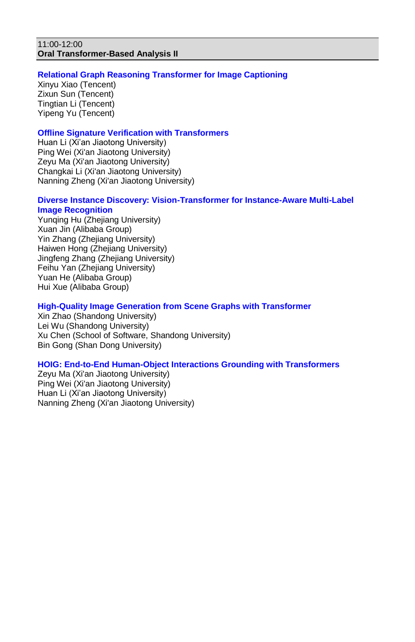## **Relational Graph Reasoning Transformer for Image Captioning**

Xinyu Xiao (Tencent) Zixun Sun (Tencent) Tingtian Li (Tencent) Yipeng Yu (Tencent)

### **Offline Signature Verification with Transformers**

Huan Li (Xi'an Jiaotong University) Ping Wei (Xi'an Jiaotong University) Zeyu Ma (Xi'an Jiaotong University) Changkai Li (Xi'an Jiaotong University) Nanning Zheng (Xi'an Jiaotong University)

#### **Diverse Instance Discovery: Vision-Transformer for Instance-Aware Multi-Label Image Recognition**

Yunqing Hu (Zhejiang University) Xuan Jin (Alibaba Group) Yin Zhang (Zhejiang University) Haiwen Hong (Zhejiang University) Jingfeng Zhang (Zhejiang University) Feihu Yan (Zhejiang University) Yuan He (Alibaba Group) Hui Xue (Alibaba Group)

### **High-Quality Image Generation from Scene Graphs with Transformer**

Xin Zhao (Shandong University) Lei Wu (Shandong University) Xu Chen (School of Software, Shandong University) Bin Gong (Shan Dong University)

#### **HOIG: End-to-End Human-Object Interactions Grounding with Transformers**

Zeyu Ma (Xi'an Jiaotong University) Ping Wei (Xi'an Jiaotong University) Huan Li (Xi'an Jiaotong University) Nanning Zheng (Xi'an Jiaotong University)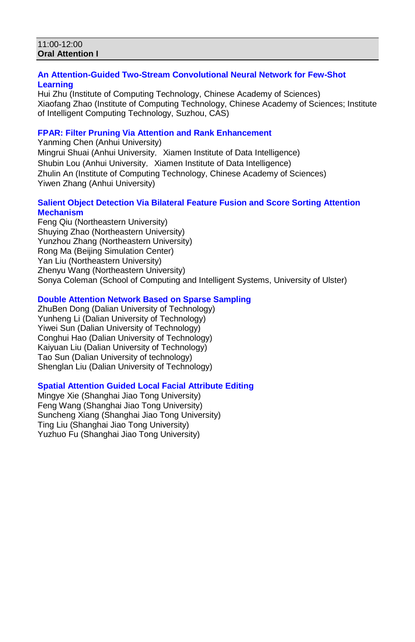#### 11:00-12:00 **Oral Attention I**

### **An Attention-Guided Two-Stream Convolutional Neural Network for Few-Shot Learning**

Hui Zhu (Institute of Computing Technology, Chinese Academy of Sciences) Xiaofang Zhao (Institute of Computing Technology, Chinese Academy of Sciences; Institute of Intelligent Computing Technology, Suzhou, CAS)

## **FPAR: Filter Pruning Via Attention and Rank Enhancement**

Yanming Chen (Anhui University) Mingrui Shuai (Anhui University, Xiamen Institute of Data Intelligence) Shubin Lou (Anhui University, Xiamen Institute of Data Intelligence) Zhulin An (Institute of Computing Technology, Chinese Academy of Sciences) Yiwen Zhang (Anhui University)

## **Salient Object Detection Via Bilateral Feature Fusion and Score Sorting Attention Mechanism**

Feng Qiu (Northeastern University) Shuying Zhao (Northeastern University) Yunzhou Zhang (Northeastern University) Rong Ma (Beijing Simulation Center) Yan Liu (Northeastern University) Zhenyu Wang (Northeastern University) Sonya Coleman (School of Computing and Intelligent Systems, University of Ulster)

## **Double Attention Network Based on Sparse Sampling**

ZhuBen Dong (Dalian University of Technology) Yunheng Li (Dalian University of Technology) Yiwei Sun (Dalian University of Technology) Conghui Hao (Dalian University of Technology) Kaiyuan Liu (Dalian University of Technology) Tao Sun (Dalian University of technology) Shenglan Liu (Dalian University of Technology)

### **Spatial Attention Guided Local Facial Attribute Editing**

Mingye Xie (Shanghai Jiao Tong University) Feng Wang (Shanghai Jiao Tong University) Suncheng Xiang (Shanghai Jiao Tong University) Ting Liu (Shanghai Jiao Tong University) Yuzhuo Fu (Shanghai Jiao Tong University)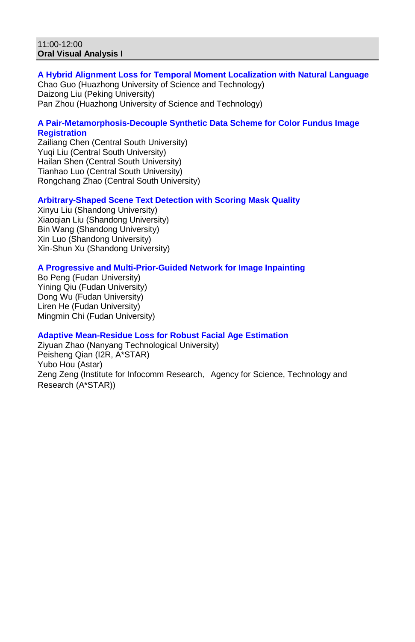#### 11:00-12:00 **Oral Visual Analysis I**

## **A Hybrid Alignment Loss for Temporal Moment Localization with Natural Language**

Chao Guo (Huazhong University of Science and Technology) Daizong Liu (Peking University) Pan Zhou (Huazhong University of Science and Technology)

### **A Pair-Metamorphosis-Decouple Synthetic Data Scheme for Color Fundus Image Registration**

Zailiang Chen (Central South University) Yuqi Liu (Central South University) Hailan Shen (Central South University) Tianhao Luo (Central South University) Rongchang Zhao (Central South University)

## **Arbitrary-Shaped Scene Text Detection with Scoring Mask Quality**

Xinyu Liu (Shandong University) Xiaoqian Liu (Shandong University) Bin Wang (Shandong University) Xin Luo (Shandong University) Xin-Shun Xu (Shandong University)

## **A Progressive and Multi-Prior-Guided Network for Image Inpainting**

Bo Peng (Fudan University) Yining Qiu (Fudan University) Dong Wu (Fudan University) Liren He (Fudan University) Mingmin Chi (Fudan University)

### **Adaptive Mean-Residue Loss for Robust Facial Age Estimation**

Ziyuan Zhao (Nanyang Technological University) Peisheng Qian (I2R, A\*STAR) Yubo Hou (Astar) Zeng Zeng (Institute for Infocomm Research, Agency for Science, Technology and Research (A\*STAR))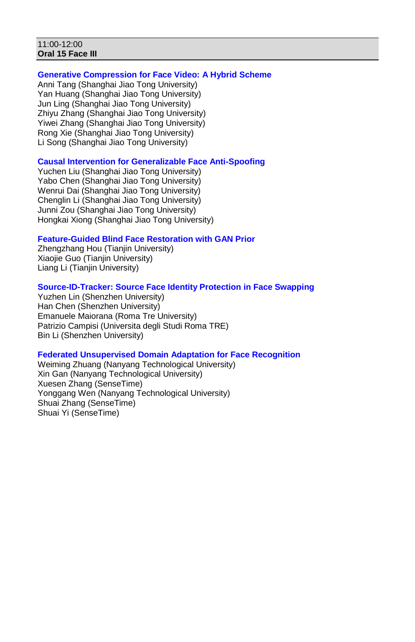#### 11:00-12:00 **Oral 15 Face III**

### **Generative Compression for Face Video: A Hybrid Scheme**

Anni Tang (Shanghai Jiao Tong University) Yan Huang (Shanghai Jiao Tong University) Jun Ling (Shanghai Jiao Tong University) Zhiyu Zhang (Shanghai Jiao Tong University) Yiwei Zhang (Shanghai Jiao Tong University) Rong Xie (Shanghai Jiao Tong University) Li Song (Shanghai Jiao Tong University)

### **Causal Intervention for Generalizable Face Anti-Spoofing**

Yuchen Liu (Shanghai Jiao Tong University) Yabo Chen (Shanghai Jiao Tong University) Wenrui Dai (Shanghai Jiao Tong University) Chenglin Li (Shanghai Jiao Tong University) Junni Zou (Shanghai Jiao Tong University) Hongkai Xiong (Shanghai Jiao Tong University)

### **Feature-Guided Blind Face Restoration with GAN Prior**

Zhengzhang Hou (Tianjin University) Xiaojie Guo (Tianjin University) Liang Li (Tianjin University)

### **Source-ID-Tracker: Source Face Identity Protection in Face Swapping**

Yuzhen Lin (Shenzhen University) Han Chen (Shenzhen University) Emanuele Maiorana (Roma Tre University) Patrizio Campisi (Universita degli Studi Roma TRE) Bin Li (Shenzhen University)

### **Federated Unsupervised Domain Adaptation for Face Recognition**

Weiming Zhuang (Nanyang Technological University) Xin Gan (Nanyang Technological University) Xuesen Zhang (SenseTime) Yonggang Wen (Nanyang Technological University) Shuai Zhang (SenseTime) Shuai Yi (SenseTime)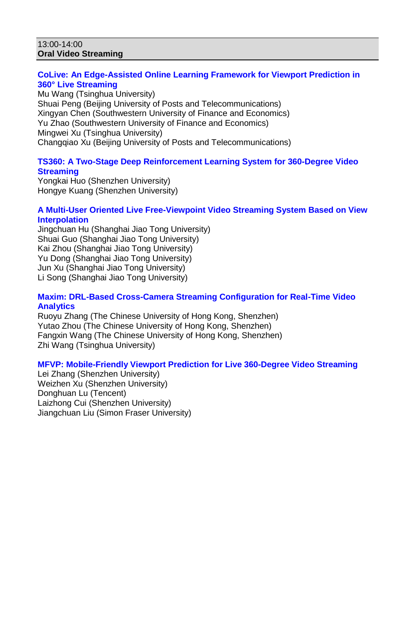#### 13:00-14:00 **Oral Video Streaming**

## **CoLive: An Edge-Assisted Online Learning Framework for Viewport Prediction in 360° Live Streaming**

Mu Wang (Tsinghua University) Shuai Peng (Beijing University of Posts and Telecommunications) Xingyan Chen (Southwestern University of Finance and Economics) Yu Zhao (Southwestern University of Finance and Economics) Mingwei Xu (Tsinghua University) Changqiao Xu (Beijing University of Posts and Telecommunications)

## **TS360: A Two-Stage Deep Reinforcement Learning System for 360-Degree Video Streaming**

Yongkai Huo (Shenzhen University) Hongye Kuang (Shenzhen University)

## **A Multi-User Oriented Live Free-Viewpoint Video Streaming System Based on View Interpolation**

Jingchuan Hu (Shanghai Jiao Tong University) Shuai Guo (Shanghai Jiao Tong University) Kai Zhou (Shanghai Jiao Tong University) Yu Dong (Shanghai Jiao Tong University) Jun Xu (Shanghai Jiao Tong University) Li Song (Shanghai Jiao Tong University)

## **Maxim: DRL-Based Cross-Camera Streaming Configuration for Real-Time Video Analytics**

Ruoyu Zhang (The Chinese University of Hong Kong, Shenzhen) Yutao Zhou (The Chinese University of Hong Kong, Shenzhen) Fangxin Wang (The Chinese University of Hong Kong, Shenzhen) Zhi Wang (Tsinghua University)

## **MFVP: Mobile-Friendly Viewport Prediction for Live 360-Degree Video Streaming**

Lei Zhang (Shenzhen University) Weizhen Xu (Shenzhen University) Donghuan Lu (Tencent) Laizhong Cui (Shenzhen University) Jiangchuan Liu (Simon Fraser University)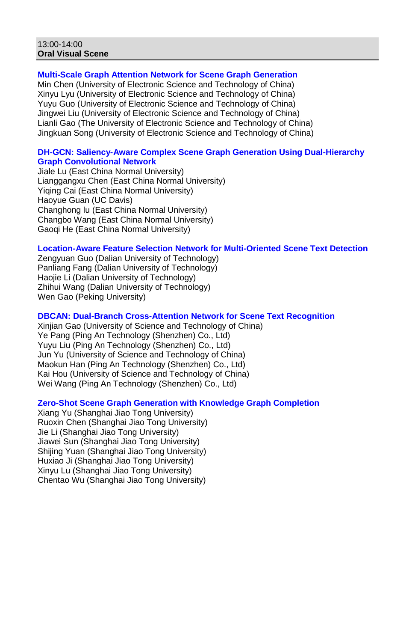#### 13:00-14:00 **Oral Visual Scene**

## **Multi-Scale Graph Attention Network for Scene Graph Generation**

Min Chen (University of Electronic Science and Technology of China) Xinyu Lyu (University of Electronic Science and Technology of China) Yuyu Guo (University of Electronic Science and Technology of China) Jingwei Liu (University of Electronic Science and Technology of China) Lianli Gao (The University of Electronic Science and Technology of China) Jingkuan Song (University of Electronic Science and Technology of China)

#### **DH-GCN: Saliency-Aware Complex Scene Graph Generation Using Dual-Hierarchy Graph Convolutional Network**

Jiale Lu (East China Normal University) Lianggangxu Chen (East China Normal University) Yiqing Cai (East China Normal University) Haoyue Guan (UC Davis) Changhong lu (East China Normal University) Changbo Wang (East China Normal University) Gaoqi He (East China Normal University)

#### **Location-Aware Feature Selection Network for Multi-Oriented Scene Text Detection**

Zengyuan Guo (Dalian University of Technology) Panliang Fang (Dalian University of Technology) Haojie Li (Dalian University of Technology) Zhihui Wang (Dalian University of Technology) Wen Gao (Peking University)

### **DBCAN: Dual-Branch Cross-Attention Network for Scene Text Recognition**

Xinjian Gao (University of Science and Technology of China) Ye Pang (Ping An Technology (Shenzhen) Co., Ltd) Yuyu Liu (Ping An Technology (Shenzhen) Co., Ltd) Jun Yu (University of Science and Technology of China) Maokun Han (Ping An Technology (Shenzhen) Co., Ltd) Kai Hou (University of Science and Technology of China) Wei Wang (Ping An Technology (Shenzhen) Co., Ltd)

### **Zero-Shot Scene Graph Generation with Knowledge Graph Completion**

Xiang Yu (Shanghai Jiao Tong University) Ruoxin Chen (Shanghai Jiao Tong University) Jie Li (Shanghai Jiao Tong University) Jiawei Sun (Shanghai Jiao Tong University) Shijing Yuan (Shanghai Jiao Tong University) Huxiao Ji (Shanghai Jiao Tong University) Xinyu Lu (Shanghai Jiao Tong University) Chentao Wu (Shanghai Jiao Tong University)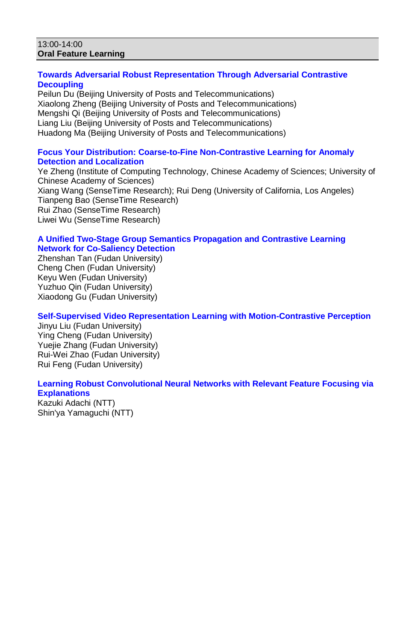#### 13:00-14:00 **Oral Feature Learning**

### **Towards Adversarial Robust Representation Through Adversarial Contrastive Decoupling**

Peilun Du (Beijing University of Posts and Telecommunications) Xiaolong Zheng (Beijing University of Posts and Telecommunications) Mengshi Qi (Beijing University of Posts and Telecommunications) Liang Liu (Beijing University of Posts and Telecommunications) Huadong Ma (Beijing University of Posts and Telecommunications)

### **Focus Your Distribution: Coarse-to-Fine Non-Contrastive Learning for Anomaly Detection and Localization**

Ye Zheng (Institute of Computing Technology, Chinese Academy of Sciences; University of Chinese Academy of Sciences) Xiang Wang (SenseTime Research); Rui Deng (University of California, Los Angeles) Tianpeng Bao (SenseTime Research) Rui Zhao (SenseTime Research) Liwei Wu (SenseTime Research)

### **A Unified Two-Stage Group Semantics Propagation and Contrastive Learning Network for Co-Saliency Detection**

Zhenshan Tan (Fudan University) Cheng Chen (Fudan University) Keyu Wen (Fudan University) Yuzhuo Qin (Fudan University) Xiaodong Gu (Fudan University)

## **Self-Supervised Video Representation Learning with Motion-Contrastive Perception**

Jinyu Liu (Fudan University) Ying Cheng (Fudan University) Yuejie Zhang (Fudan University) Rui-Wei Zhao (Fudan University) Rui Feng (Fudan University)

## **Learning Robust Convolutional Neural Networks with Relevant Feature Focusing via Explanations**

Kazuki Adachi (NTT) Shin'ya Yamaguchi (NTT)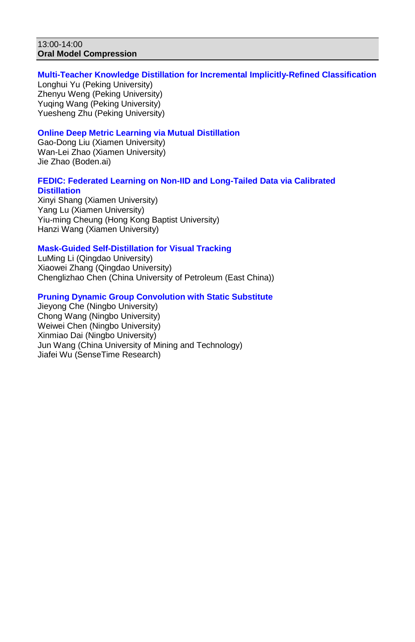#### 13:00-14:00 **Oral Model Compression**

### **Multi-Teacher Knowledge Distillation for Incremental Implicitly-Refined Classification**

Longhui Yu (Peking University) Zhenyu Weng (Peking University) Yuqing Wang (Peking University) Yuesheng Zhu (Peking University)

## **Online Deep Metric Learning via Mutual Distillation**

Gao-Dong Liu (Xiamen University) Wan-Lei Zhao (Xiamen University) Jie Zhao (Boden.ai)

## **FEDIC: Federated Learning on Non-IID and Long-Tailed Data via Calibrated Distillation**

Xinyi Shang (Xiamen University) Yang Lu (Xiamen University) Yiu-ming Cheung (Hong Kong Baptist University) Hanzi Wang (Xiamen University)

## **Mask-Guided Self-Distillation for Visual Tracking**

LuMing Li (Qingdao University) Xiaowei Zhang (Qingdao University) Chenglizhao Chen (China University of Petroleum (East China))

## **Pruning Dynamic Group Convolution with Static Substitute**

Jieyong Che (Ningbo University) Chong Wang (Ningbo University) Weiwei Chen (Ningbo University) Xinmiao Dai (Ningbo University) Jun Wang (China University of Mining and Technology) Jiafei Wu (SenseTime Research)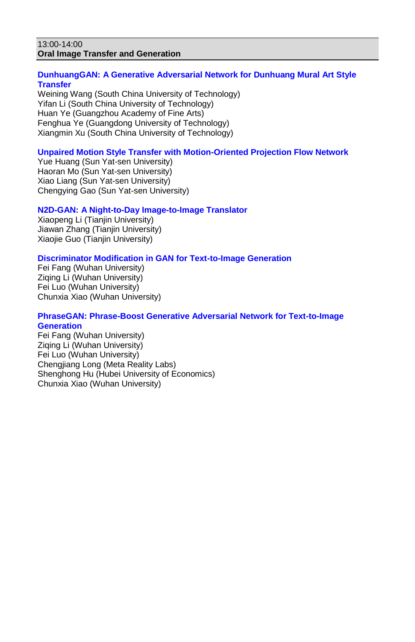#### 13:00-14:00 **Oral Image Transfer and Generation**

### **DunhuangGAN: A Generative Adversarial Network for Dunhuang Mural Art Style Transfer**

Weining Wang (South China University of Technology) Yifan Li (South China University of Technology) Huan Ye (Guangzhou Academy of Fine Arts) Fenghua Ye (Guangdong University of Technology) Xiangmin Xu (South China University of Technology)

## **Unpaired Motion Style Transfer with Motion-Oriented Projection Flow Network**

Yue Huang (Sun Yat-sen University) Haoran Mo (Sun Yat-sen University) Xiao Liang (Sun Yat-sen University) Chengying Gao (Sun Yat-sen University)

### **N2D-GAN: A Night-to-Day Image-to-Image Translator**

Xiaopeng Li (Tianjin University) Jiawan Zhang (Tianjin University) Xiaojie Guo (Tianjin University)

### **Discriminator Modification in GAN for Text-to-Image Generation**

Fei Fang (Wuhan University) Ziqing Li (Wuhan University) Fei Luo (Wuhan University) Chunxia Xiao (Wuhan University)

#### **PhraseGAN: Phrase-Boost Generative Adversarial Network for Text-to-Image Generation**

Fei Fang (Wuhan University) Ziqing Li (Wuhan University) Fei Luo (Wuhan University) Chengjiang Long (Meta Reality Labs) Shenghong Hu (Hubei University of Economics) Chunxia Xiao (Wuhan University)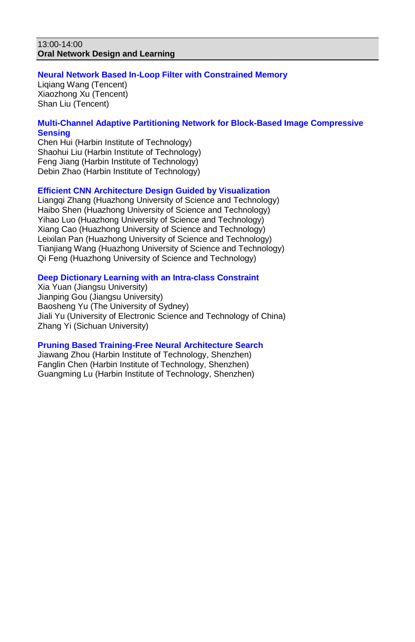#### 13:00-14:00 **Oral Network Design and Learning**

#### **Neural Network Based In-Loop Filter with Constrained Memory**

Liqiang Wang (Tencent) Xiaozhong Xu (Tencent) Shan Liu (Tencent)

## **Multi-Channel Adaptive Partitioning Network for Block-Based Image Compressive Sensing**

Chen Hui (Harbin Institute of Technology) Shaohui Liu (Harbin Institute of Technology) Feng Jiang (Harbin Institute of Technology) Debin Zhao (Harbin Institute of Technology)

### **Efficient CNN Architecture Design Guided by Visualization**

Liangqi Zhang (Huazhong University of Science and Technology) Haibo Shen (Huazhong University of Science and Technology) Yihao Luo (Huazhong University of Science and Technology) Xiang Cao (Huazhong University of Science and Technology) Leixilan Pan (Huazhong University of Science and Technology) Tianjiang Wang (Huazhong University of Science and Technology) Qi Feng (Huazhong University of Science and Technology)

### **Deep Dictionary Learning with an Intra-class Constraint**

Xia Yuan (Jiangsu University) Jianping Gou (Jiangsu University) Baosheng Yu (The University of Sydney) Jiali Yu (University of Electronic Science and Technology of China) Zhang Yi (Sichuan University)

### **Pruning Based Training-Free Neural Architecture Search**

Jiawang Zhou (Harbin Institute of Technology, Shenzhen) Fanglin Chen (Harbin Institute of Technology, Shenzhen) Guangming Lu (Harbin Institute of Technology, Shenzhen)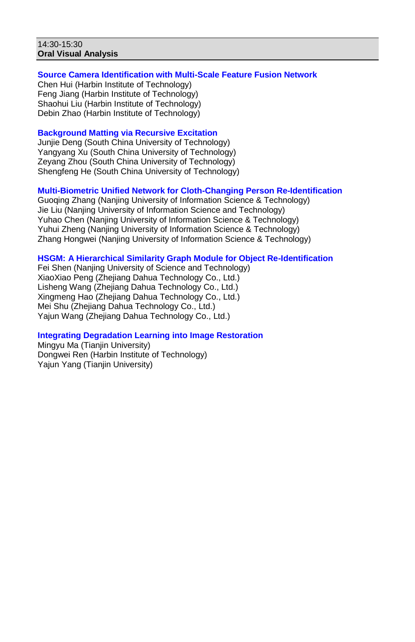#### 14:30-15:30 **Oral Visual Analysis**

# **Source Camera Identification with Multi-Scale Feature Fusion Network**

Chen Hui (Harbin Institute of Technology) Feng Jiang (Harbin Institute of Technology) Shaohui Liu (Harbin Institute of Technology) Debin Zhao (Harbin Institute of Technology)

# **Background Matting via Recursive Excitation**

Junjie Deng (South China University of Technology) Yangyang Xu (South China University of Technology) Zeyang Zhou (South China University of Technology) Shengfeng He (South China University of Technology)

# **Multi-Biometric Unified Network for Cloth-Changing Person Re-Identification**

Guoqing Zhang (Nanjing University of Information Science & Technology) Jie Liu (Nanjing University of Information Science and Technology) Yuhao Chen (Nanjing University of Information Science & Technology) Yuhui Zheng (Nanjing University of Information Science & Technology) Zhang Hongwei (Nanjing University of Information Science & Technology)

### **HSGM: A Hierarchical Similarity Graph Module for Object Re-Identification**

Fei Shen (Nanjing University of Science and Technology) XiaoXiao Peng (Zhejiang Dahua Technology Co., Ltd.) Lisheng Wang (Zhejiang Dahua Technology Co., Ltd.) Xingmeng Hao (Zhejiang Dahua Technology Co., Ltd.) Mei Shu (Zhejiang Dahua Technology Co., Ltd.) Yajun Wang (Zhejiang Dahua Technology Co., Ltd.)

# **Integrating Degradation Learning into Image Restoration**

Mingyu Ma (Tianjin University) Dongwei Ren (Harbin Institute of Technology) Yajun Yang (Tianjin University)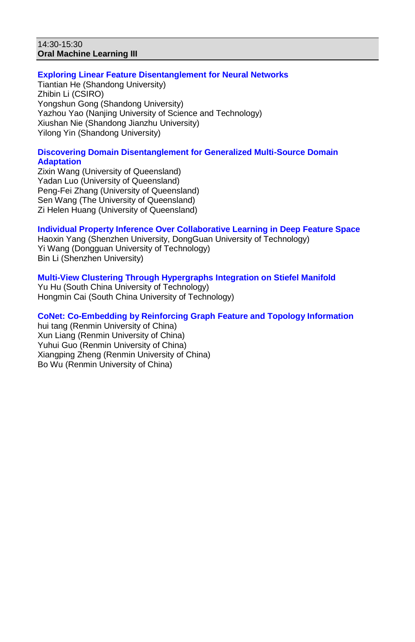#### 14:30-15:30 **Oral Machine Learning III**

# **Exploring Linear Feature Disentanglement for Neural Networks**

Tiantian He (Shandong University) Zhibin Li (CSIRO) Yongshun Gong (Shandong University) Yazhou Yao (Nanjing University of Science and Technology) Xiushan Nie (Shandong Jianzhu University) Yilong Yin (Shandong University)

# **Discovering Domain Disentanglement for Generalized Multi-Source Domain Adaptation**

Zixin Wang (University of Queensland) Yadan Luo (University of Queensland) Peng-Fei Zhang (University of Queensland) Sen Wang (The University of Queensland) Zi Helen Huang (University of Queensland)

# **Individual Property Inference Over Collaborative Learning in Deep Feature Space**

Haoxin Yang (Shenzhen University, DongGuan University of Technology) Yi Wang (Dongguan University of Technology) Bin Li (Shenzhen University)

# **Multi-View Clustering Through Hypergraphs Integration on Stiefel Manifold**

Yu Hu (South China University of Technology) Hongmin Cai (South China University of Technology)

# **CoNet: Co-Embedding by Reinforcing Graph Feature and Topology Information**

hui tang (Renmin University of China) Xun Liang (Renmin University of China) Yuhui Guo (Renmin University of China) Xiangping Zheng (Renmin University of China) Bo Wu (Renmin University of China)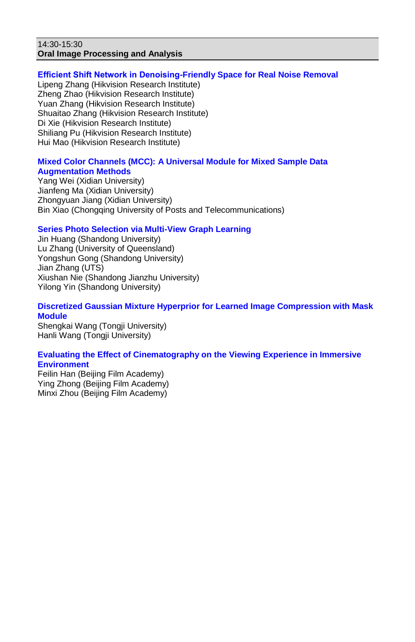#### 14:30-15:30 **Oral Image Processing and Analysis**

# **Efficient Shift Network in Denoising-Friendly Space for Real Noise Removal**

Lipeng Zhang (Hikvision Research Institute) Zheng Zhao (Hikvision Research Institute) Yuan Zhang (Hikvision Research Institute) Shuaitao Zhang (Hikvision Research Institute) Di Xie (Hikvision Research Institute) Shiliang Pu (Hikvision Research Institute) Hui Mao (Hikvision Research Institute)

### **Mixed Color Channels (MCC): A Universal Module for Mixed Sample Data Augmentation Methods**

Yang Wei (Xidian University) Jianfeng Ma (Xidian University) Zhongyuan Jiang (Xidian University) Bin Xiao (Chongqing University of Posts and Telecommunications)

# **Series Photo Selection via Multi-View Graph Learning**

Jin Huang (Shandong University) Lu Zhang (University of Queensland) Yongshun Gong (Shandong University) Jian Zhang (UTS) Xiushan Nie (Shandong Jianzhu University) Yilong Yin (Shandong University)

# **Discretized Gaussian Mixture Hyperprior for Learned Image Compression with Mask Module**

Shengkai Wang (Tongji University) Hanli Wang (Tongji University)

# **Evaluating the Effect of Cinematography on the Viewing Experience in Immersive Environment**

Feilin Han (Beijing Film Academy) Ying Zhong (Beijing Film Academy) Minxi Zhou (Beijing Film Academy)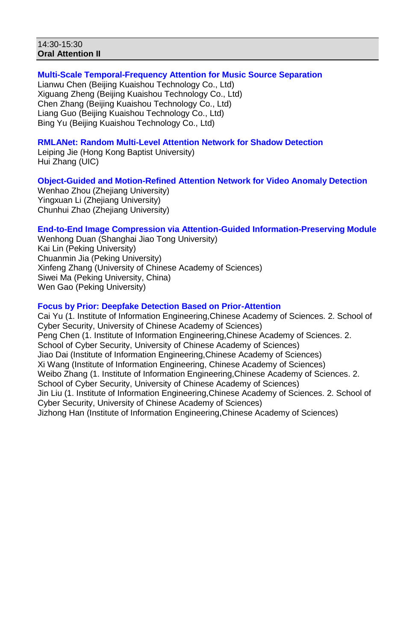#### 14:30-15:30 **Oral Attention II**

# **Multi-Scale Temporal-Frequency Attention for Music Source Separation**

Lianwu Chen (Beijing Kuaishou Technology Co., Ltd) Xiguang Zheng (Beijing Kuaishou Technology Co., Ltd) Chen Zhang (Beijing Kuaishou Technology Co., Ltd) Liang Guo (Beijing Kuaishou Technology Co., Ltd) Bing Yu (Beijing Kuaishou Technology Co., Ltd)

# **RMLANet: Random Multi-Level Attention Network for Shadow Detection**

Leiping Jie (Hong Kong Baptist University) Hui Zhang (UIC)

# **Object-Guided and Motion-Refined Attention Network for Video Anomaly Detection**

Wenhao Zhou (Zheijang University) Yingxuan Li (Zhejiang University) Chunhui Zhao (Zhejiang University)

# **End-to-End Image Compression via Attention-Guided Information-Preserving Module**

Wenhong Duan (Shanghai Jiao Tong University) Kai Lin (Peking University) Chuanmin Jia (Peking University) Xinfeng Zhang (University of Chinese Academy of Sciences) Siwei Ma (Peking University, China) Wen Gao (Peking University)

# **Focus by Prior: Deepfake Detection Based on Prior-Attention**

Cai Yu (1. Institute of Information Engineering,Chinese Academy of Sciences. 2. School of Cyber Security, University of Chinese Academy of Sciences) Peng Chen (1. Institute of Information Engineering,Chinese Academy of Sciences. 2. School of Cyber Security, University of Chinese Academy of Sciences) Jiao Dai (Institute of Information Engineering,Chinese Academy of Sciences) Xi Wang (Institute of Information Engineering, Chinese Academy of Sciences) Weibo Zhang (1. Institute of Information Engineering,Chinese Academy of Sciences. 2. School of Cyber Security, University of Chinese Academy of Sciences) Jin Liu (1. Institute of Information Engineering,Chinese Academy of Sciences. 2. School of Cyber Security, University of Chinese Academy of Sciences) Jizhong Han (Institute of Information Engineering,Chinese Academy of Sciences)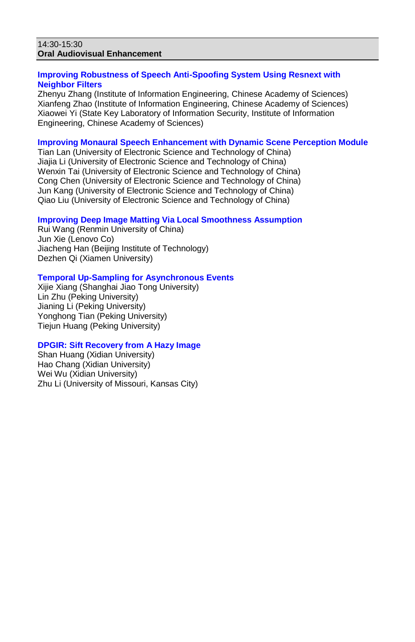#### 14:30-15:30 **Oral Audiovisual Enhancement**

# **Improving Robustness of Speech Anti-Spoofing System Using Resnext with Neighbor Filters**

Zhenyu Zhang (Institute of Information Engineering, Chinese Academy of Sciences) Xianfeng Zhao (Institute of Information Engineering, Chinese Academy of Sciences) Xiaowei Yi (State Key Laboratory of Information Security, Institute of Information Engineering, Chinese Academy of Sciences)

### **Improving Monaural Speech Enhancement with Dynamic Scene Perception Module**

Tian Lan (University of Electronic Science and Technology of China) Jiajia Li (University of Electronic Science and Technology of China) Wenxin Tai (University of Electronic Science and Technology of China) Cong Chen (University of Electronic Science and Technology of China) Jun Kang (University of Electronic Science and Technology of China) Qiao Liu (University of Electronic Science and Technology of China)

# **Improving Deep Image Matting Via Local Smoothness Assumption**

Rui Wang (Renmin University of China) Jun Xie (Lenovo Co) Jiacheng Han (Beijing Institute of Technology) Dezhen Qi (Xiamen University)

# **Temporal Up-Sampling for Asynchronous Events**

Xijie Xiang (Shanghai Jiao Tong University) Lin Zhu (Peking University) Jianing Li (Peking University) Yonghong Tian (Peking University) Tiejun Huang (Peking University)

### **DPGIR: Sift Recovery from A Hazy Image**

Shan Huang (Xidian University) Hao Chang (Xidian University) Wei Wu (Xidian University) Zhu Li (University of Missouri, Kansas City)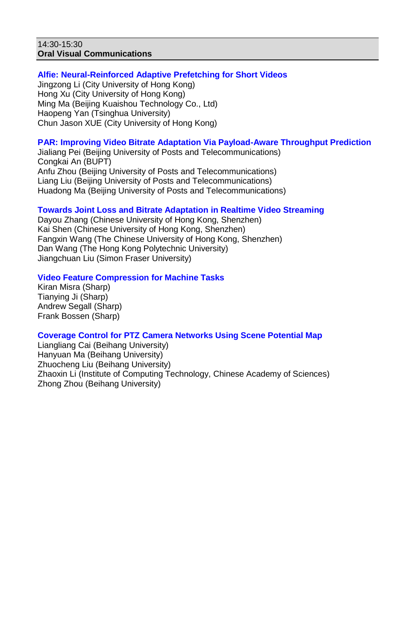#### 14:30-15:30 **Oral Visual Communications**

### **Alfie: Neural-Reinforced Adaptive Prefetching for Short Videos**

Jingzong Li (City University of Hong Kong) Hong Xu (City University of Hong Kong) Ming Ma (Beijing Kuaishou Technology Co., Ltd) Haopeng Yan (Tsinghua University) Chun Jason XUE (City University of Hong Kong)

# **PAR: Improving Video Bitrate Adaptation Via Payload-Aware Throughput Prediction**

Jialiang Pei (Beijing University of Posts and Telecommunications) Congkai An (BUPT) Anfu Zhou (Beijing University of Posts and Telecommunications) Liang Liu (Beijing University of Posts and Telecommunications) Huadong Ma (Beijing University of Posts and Telecommunications)

### **Towards Joint Loss and Bitrate Adaptation in Realtime Video Streaming**

Dayou Zhang (Chinese University of Hong Kong, Shenzhen) Kai Shen (Chinese University of Hong Kong, Shenzhen) Fangxin Wang (The Chinese University of Hong Kong, Shenzhen) Dan Wang (The Hong Kong Polytechnic University) Jiangchuan Liu (Simon Fraser University)

# **Video Feature Compression for Machine Tasks**

Kiran Misra (Sharp) Tianying Ji (Sharp) Andrew Segall (Sharp) Frank Bossen (Sharp)

### **Coverage Control for PTZ Camera Networks Using Scene Potential Map**

Liangliang Cai (Beihang University) Hanyuan Ma (Beihang University) Zhuocheng Liu (Beihang University) Zhaoxin Li (Institute of Computing Technology, Chinese Academy of Sciences) Zhong Zhou (Beihang University)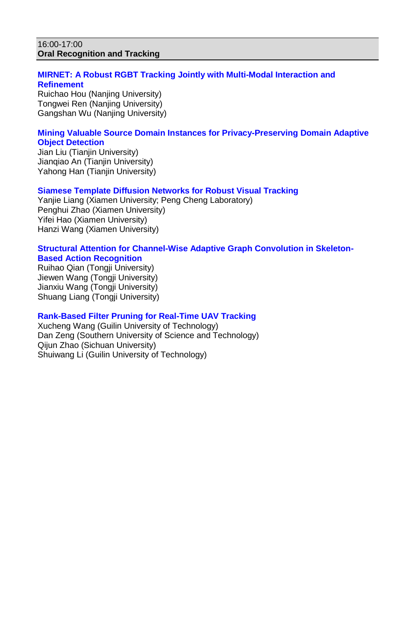#### 16:00-17:00 **Oral Recognition and Tracking**

### **MIRNET: A Robust RGBT Tracking Jointly with Multi-Modal Interaction and Refinement**

Ruichao Hou (Nanjing University) Tongwei Ren (Nanjing University) Gangshan Wu (Nanjing University)

# **Mining Valuable Source Domain Instances for Privacy-Preserving Domain Adaptive Object Detection**

Jian Liu (Tianjin University) Jianqiao An (Tianjin University) Yahong Han (Tianjin University)

### **Siamese Template Diffusion Networks for Robust Visual Tracking**

Yanjie Liang (Xiamen University; Peng Cheng Laboratory) Penghui Zhao (Xiamen University) Yifei Hao (Xiamen University) Hanzi Wang (Xiamen University)

#### **Structural Attention for Channel-Wise Adaptive Graph Convolution in Skeleton-Based Action Recognition**

Ruihao Qian (Tongji University) Jiewen Wang (Tongji University) Jianxiu Wang (Tongji University) Shuang Liang (Tongji University)

# **Rank-Based Filter Pruning for Real-Time UAV Tracking**

Xucheng Wang (Guilin University of Technology) Dan Zeng (Southern University of Science and Technology) Qijun Zhao (Sichuan University) Shuiwang Li (Guilin University of Technology)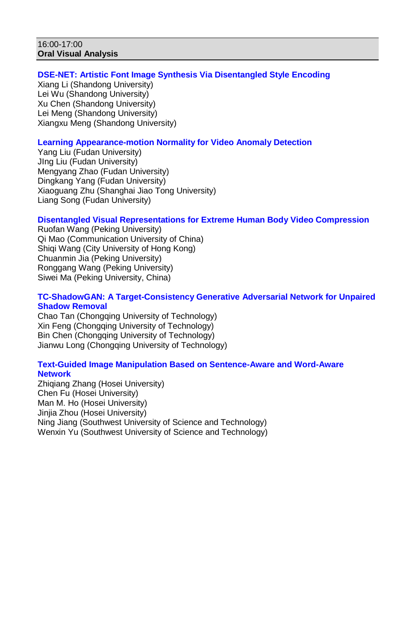#### 16:00-17:00 **Oral Visual Analysis**

# **DSE-NET: Artistic Font Image Synthesis Via Disentangled Style Encoding**

Xiang Li (Shandong University) Lei Wu (Shandong University) Xu Chen (Shandong University) Lei Meng (Shandong University) Xiangxu Meng (Shandong University)

# **Learning Appearance-motion Normality for Video Anomaly Detection**

Yang Liu (Fudan University) JIng Liu (Fudan University) Mengyang Zhao (Fudan University) Dingkang Yang (Fudan University) Xiaoguang Zhu (Shanghai Jiao Tong University) Liang Song (Fudan University)

# **Disentangled Visual Representations for Extreme Human Body Video Compression**

Ruofan Wang (Peking University) Qi Mao (Communication University of China) Shiqi Wang (City University of Hong Kong) Chuanmin Jia (Peking University) Ronggang Wang (Peking University) Siwei Ma (Peking University, China)

### **TC-ShadowGAN: A Target-Consistency Generative Adversarial Network for Unpaired Shadow Removal**

Chao Tan (Chongqing University of Technology) Xin Feng (Chongqing University of Technology) Bin Chen (Chongqing University of Technology) Jianwu Long (Chongqing University of Technology)

### **Text-Guided Image Manipulation Based on Sentence-Aware and Word-Aware Network**

Zhiqiang Zhang (Hosei University) Chen Fu (Hosei University) Man M. Ho (Hosei University) Jinjia Zhou (Hosei University) Ning Jiang (Southwest University of Science and Technology) Wenxin Yu (Southwest University of Science and Technology)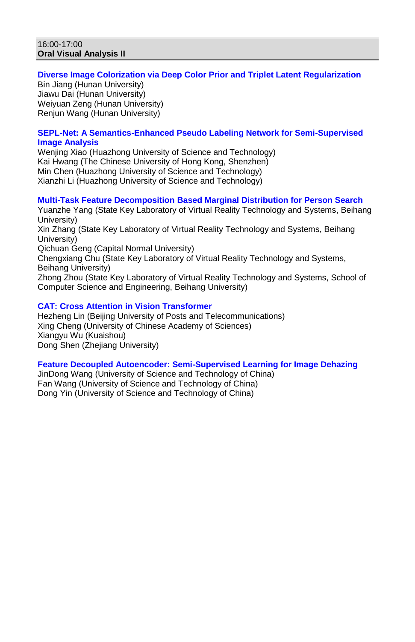#### 16:00-17:00 **Oral Visual Analysis II**

# **Diverse Image Colorization via Deep Color Prior and Triplet Latent Regularization**

Bin Jiang (Hunan University) Jiawu Dai (Hunan University) Weiyuan Zeng (Hunan University) Renjun Wang (Hunan University)

# **SEPL-Net: A Semantics-Enhanced Pseudo Labeling Network for Semi-Supervised Image Analysis**

Weniing Xiao (Huazhong University of Science and Technology) Kai Hwang (The Chinese University of Hong Kong, Shenzhen) Min Chen (Huazhong University of Science and Technology) Xianzhi Li (Huazhong University of Science and Technology)

# **Multi-Task Feature Decomposition Based Marginal Distribution for Person Search**

Yuanzhe Yang (State Key Laboratory of Virtual Reality Technology and Systems, Beihang University) Xin Zhang (State Key Laboratory of Virtual Reality Technology and Systems, Beihang University) Qichuan Geng (Capital Normal University) Chengxiang Chu (State Key Laboratory of Virtual Reality Technology and Systems, Beihang University) Zhong Zhou (State Key Laboratory of Virtual Reality Technology and Systems, School of Computer Science and Engineering, Beihang University)

# **CAT: Cross Attention in Vision Transformer**

Hezheng Lin (Beijing University of Posts and Telecommunications) Xing Cheng (University of Chinese Academy of Sciences) Xiangyu Wu (Kuaishou) Dong Shen (Zhejiang University)

### **Feature Decoupled Autoencoder: Semi-Supervised Learning for Image Dehazing**

JinDong Wang (University of Science and Technology of China) Fan Wang (University of Science and Technology of China) Dong Yin (University of Science and Technology of China)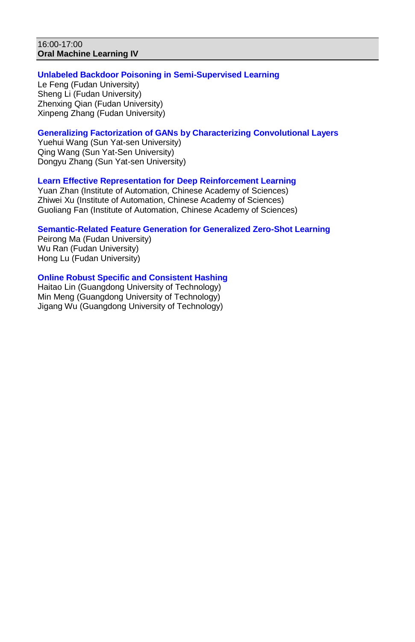### 16:00-17:00 **Oral Machine Learning IV**

# **Unlabeled Backdoor Poisoning in Semi-Supervised Learning**

Le Feng (Fudan University) Sheng Li (Fudan University) Zhenxing Qian (Fudan University) Xinpeng Zhang (Fudan University)

# **Generalizing Factorization of GANs by Characterizing Convolutional Layers**

Yuehui Wang (Sun Yat-sen University) Qing Wang (Sun Yat-Sen University) Dongyu Zhang (Sun Yat-sen University)

### **Learn Effective Representation for Deep Reinforcement Learning**

Yuan Zhan (Institute of Automation, Chinese Academy of Sciences) Zhiwei Xu (Institute of Automation, Chinese Academy of Sciences) Guoliang Fan (Institute of Automation, Chinese Academy of Sciences)

# **Semantic-Related Feature Generation for Generalized Zero-Shot Learning**

Peirong Ma (Fudan University) Wu Ran (Fudan University) Hong Lu (Fudan University)

# **Online Robust Specific and Consistent Hashing**

Haitao Lin (Guangdong University of Technology) Min Meng (Guangdong University of Technology) Jigang Wu (Guangdong University of Technology)